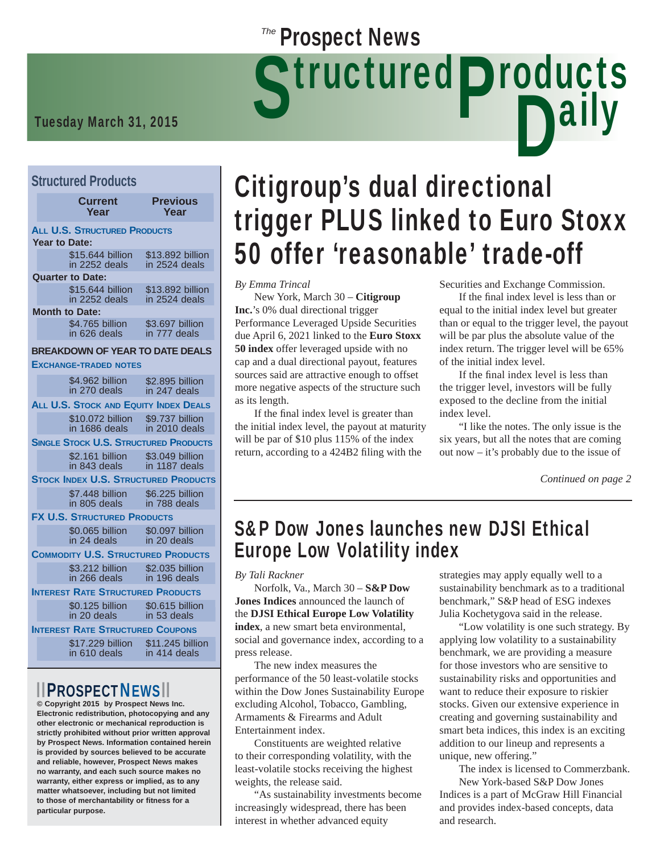# **Tuesday March 31, 2015**<br>Tuesday March 31, 2015

#### **Structured Products**

|                      | <b>Current</b><br>Year                                       | <b>Previous</b><br>Year                     |
|----------------------|--------------------------------------------------------------|---------------------------------------------|
| <b>Year to Date:</b> | <b>ALL U.S. STRUCTURED PRODUCTS</b>                          |                                             |
|                      | \$15,644 billion<br>in 2252 deals                            | \$13.892 billion<br>in 2524 deals           |
|                      | <b>Quarter to Date:</b><br>\$15,644 billion<br>in 2252 deals | \$13.892 billion<br>in 2524 deals           |
|                      | <b>Month to Date:</b>                                        |                                             |
|                      | \$4.765 billion<br>in 626 deals                              | \$3.697 billion<br>in 777 deals             |
|                      | <b>BREAKDOWN OF YEAR TO DATE DEALS</b>                       |                                             |
|                      | <b>EXCHANGE-TRADED NOTES</b>                                 |                                             |
|                      | \$4.962 billion<br>in 270 deals                              | \$2.895 billion<br>in 247 deals             |
|                      | <b>ALL U.S. STOCK AND EQUITY INDEX DEALS</b>                 |                                             |
|                      | \$10.072 billion<br>in 1686 deals                            | \$9.737 billion<br>in 2010 deals            |
|                      | <b>SINGLE STOCK U.S. STRUCTURED PRODUCTS</b>                 |                                             |
|                      | \$2.161 billion<br>in 843 deals                              | \$3.049 billion<br>in 1187 deals            |
|                      |                                                              | <b>STOCK INDEX U.S. STRUCTURED PRODUCTS</b> |
|                      | \$7.448 billion<br>in 805 deals                              | \$6.225 billion<br>in 788 deals             |
|                      | <b>FX U.S. STRUCTURED PRODUCTS</b>                           |                                             |
|                      | \$0.065 billion<br>in 24 deals                               | \$0.097 billion<br>in 20 deals              |
|                      | <b>COMMODITY U.S. STRUCTURED PRODUCTS</b>                    |                                             |
|                      | \$3.212 billion<br>in 266 deals                              | \$2.035 billion<br>in 196 deals             |
|                      | <b>INTEREST RATE STRUCTURED PRODUCTS</b>                     |                                             |
|                      | \$0.125 billion<br>in 20 deals                               | \$0.615 billion<br>in 53 deals              |
|                      | <b>INTEREST RATE STRUCTURED COUPONS</b>                      |                                             |
|                      | \$17,229 billion                                             | \$11,245 billion                            |

in 414 deals in 610 deals

### **PROSPECTNEWS**

**© Copyright 2015 by Prospect News Inc. Electronic redistribution, photocopying and any other electronic or mechanical reproduction is strictly prohibited without prior written approval by Prospect News. Information contained herein is provided by sources believed to be accurate and reliable, however, Prospect News makes no warranty, and each such source makes no warranty, either express or implied, as to any matter whatsoever, including but not limited to those of merchantability or fitness for a particular purpose.**

## **Dally** Citigroup's dual directional trigger PLUS linked to Euro Stoxx 50 offer 'reasonable' trade-off

*By Emma Trincal*

 New York, March 30 – **Citigroup Inc.**'s 0% dual directional trigger Performance Leveraged Upside Securities due April 6, 2021 linked to the **Euro Stoxx 50 index** offer leveraged upside with no cap and a dual directional payout, features sources said are attractive enough to offset more negative aspects of the structure such as its length.

**Prospect News** 

If the final index level is greater than the initial index level, the payout at maturity will be par of \$10 plus 115% of the index return, according to a 424B2 filing with the

Securities and Exchange Commission.

If the final index level is less than or equal to the initial index level but greater than or equal to the trigger level, the payout will be par plus the absolute value of the index return. The trigger level will be 65% of the initial index level.

If the final index level is less than the trigger level, investors will be fully exposed to the decline from the initial index level.

 "I like the notes. The only issue is the six years, but all the notes that are coming out now – it's probably due to the issue of

*Continued on page 2*

### S&P Dow Jones launches new DJSI Ethical Europe Low Volatility index

*By Tali Rackner*

 Norfolk, Va., March 30 – **S&P Dow Jones Indices** announced the launch of the **DJSI Ethical Europe Low Volatility index**, a new smart beta environmental, social and governance index, according to a press release.

 The new index measures the performance of the 50 least-volatile stocks within the Dow Jones Sustainability Europe excluding Alcohol, Tobacco, Gambling, Armaments & Firearms and Adult Entertainment index.

 Constituents are weighted relative to their corresponding volatility, with the least-volatile stocks receiving the highest weights, the release said.

 "As sustainability investments become increasingly widespread, there has been interest in whether advanced equity

strategies may apply equally well to a sustainability benchmark as to a traditional benchmark," S&P head of ESG indexes Julia Kochetygova said in the release.

 "Low volatility is one such strategy. By applying low volatility to a sustainability benchmark, we are providing a measure for those investors who are sensitive to sustainability risks and opportunities and want to reduce their exposure to riskier stocks. Given our extensive experience in creating and governing sustainability and smart beta indices, this index is an exciting addition to our lineup and represents a unique, new offering."

 The index is licensed to Commerzbank. New York-based S&P Dow Jones

Indices is a part of McGraw Hill Financial and provides index-based concepts, data and research.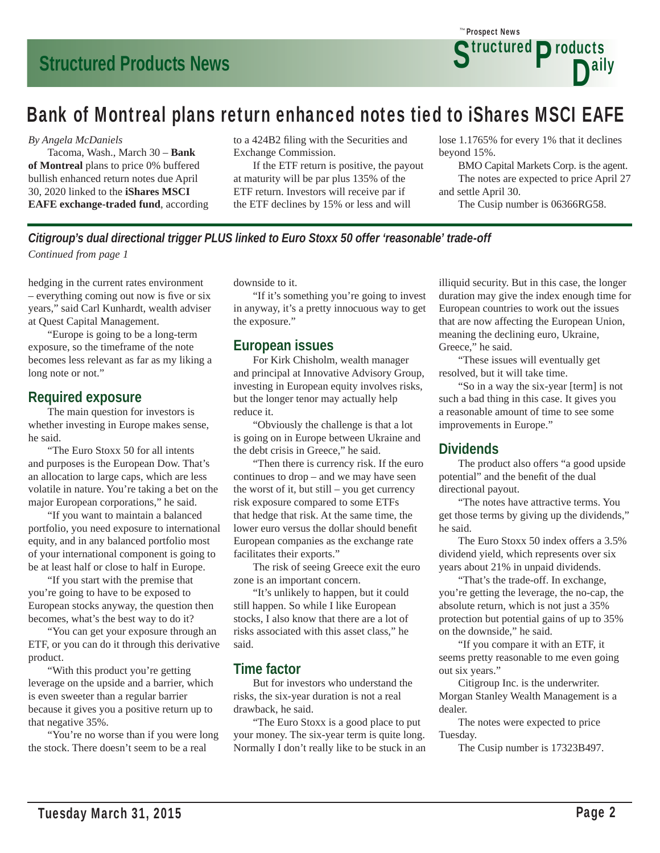### Bank of Montreal plans return enhanced notes tied to iShares MSCI EAFE

#### *By Angela McDaniels*

 Tacoma, Wash., March 30 – **Bank of Montreal** plans to price 0% buffered bullish enhanced return notes due April 30, 2020 linked to the **iShares MSCI EAFE exchange-traded fund**, according to a 424B2 filing with the Securities and Exchange Commission.

 If the ETF return is positive, the payout at maturity will be par plus 135% of the ETF return. Investors will receive par if the ETF declines by 15% or less and will

lose 1.1765% for every 1% that it declines beyond 15%.

 BMO Capital Markets Corp. is the agent. The notes are expected to price April 27 and settle April 30.

The Cusip number is 06366RG58.

*Citigroup's dual directional trigger PLUS linked to Euro Stoxx 50 offer 'reasonable' trade-off Continued from page 1*

hedging in the current rates environment  $-$  everything coming out now is five or six years," said Carl Kunhardt, wealth adviser at Quest Capital Management.

 "Europe is going to be a long-term exposure, so the timeframe of the note becomes less relevant as far as my liking a long note or not."

#### **Required exposure**

 The main question for investors is whether investing in Europe makes sense, he said.

 "The Euro Stoxx 50 for all intents and purposes is the European Dow. That's an allocation to large caps, which are less volatile in nature. You're taking a bet on the major European corporations," he said.

 "If you want to maintain a balanced portfolio, you need exposure to international equity, and in any balanced portfolio most of your international component is going to be at least half or close to half in Europe.

 "If you start with the premise that you're going to have to be exposed to European stocks anyway, the question then becomes, what's the best way to do it?

 "You can get your exposure through an ETF, or you can do it through this derivative product.

 "With this product you're getting leverage on the upside and a barrier, which is even sweeter than a regular barrier because it gives you a positive return up to that negative 35%.

"You're no worse than if you were long the stock. There doesn't seem to be a real

downside to it.

 "If it's something you're going to invest in anyway, it's a pretty innocuous way to get the exposure."

#### **European issues**

 For Kirk Chisholm, wealth manager and principal at Innovative Advisory Group, investing in European equity involves risks, but the longer tenor may actually help reduce it.

 "Obviously the challenge is that a lot is going on in Europe between Ukraine and the debt crisis in Greece," he said.

 "Then there is currency risk. If the euro continues to drop – and we may have seen the worst of it, but still – you get currency risk exposure compared to some ETFs that hedge that risk. At the same time, the lower euro versus the dollar should benefit European companies as the exchange rate facilitates their exports."

 The risk of seeing Greece exit the euro zone is an important concern.

 "It's unlikely to happen, but it could still happen. So while I like European stocks, I also know that there are a lot of risks associated with this asset class," he said.

#### **Time factor**

 But for investors who understand the risks, the six-year duration is not a real drawback, he said.

 "The Euro Stoxx is a good place to put your money. The six-year term is quite long. Normally I don't really like to be stuck in an illiquid security. But in this case, the longer duration may give the index enough time for European countries to work out the issues that are now affecting the European Union, meaning the declining euro, Ukraine, Greece," he said.

 "These issues will eventually get resolved, but it will take time.

 "So in a way the six-year [term] is not such a bad thing in this case. It gives you a reasonable amount of time to see some improvements in Europe."

#### **Dividends**

 The product also offers "a good upside potential" and the benefit of the dual directional payout.

 "The notes have attractive terms. You get those terms by giving up the dividends," he said.

 The Euro Stoxx 50 index offers a 3.5% dividend yield, which represents over six years about 21% in unpaid dividends.

 "That's the trade-off. In exchange, you're getting the leverage, the no-cap, the absolute return, which is not just a 35% protection but potential gains of up to 35% on the downside," he said.

 "If you compare it with an ETF, it seems pretty reasonable to me even going out six years."

 Citigroup Inc. is the underwriter. Morgan Stanley Wealth Management is a dealer.

 The notes were expected to price Tuesday.

The Cusip number is 17323B497.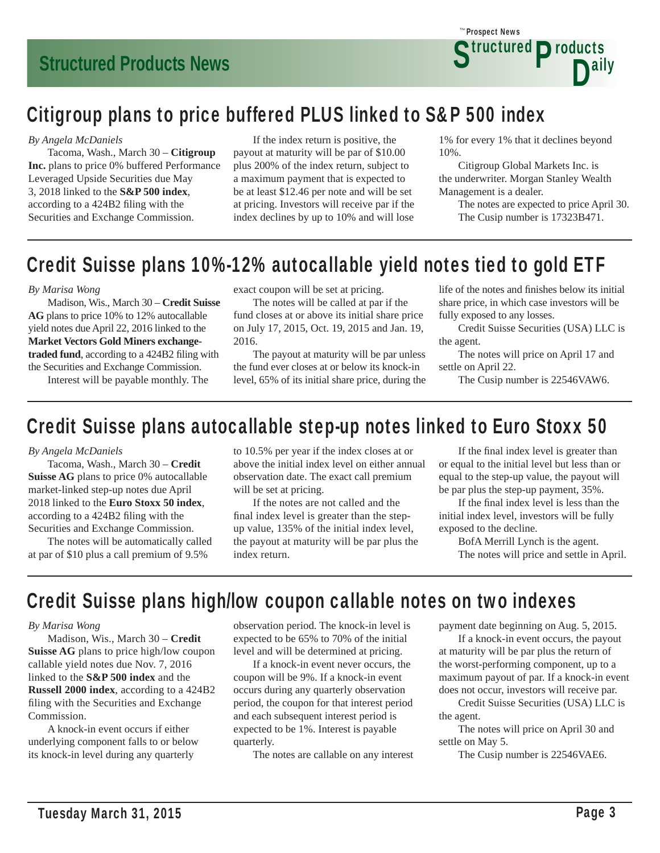

### Citigroup plans to price buffered PLUS linked to S&P 500 index

#### *By Angela McDaniels*

 Tacoma, Wash., March 30 – **Citigroup Inc.** plans to price 0% buffered Performance Leveraged Upside Securities due May 3, 2018 linked to the **S&P 500 index**, according to a 424B2 filing with the Securities and Exchange Commission.

 If the index return is positive, the payout at maturity will be par of \$10.00 plus 200% of the index return, subject to a maximum payment that is expected to be at least \$12.46 per note and will be set at pricing. Investors will receive par if the index declines by up to 10% and will lose

1% for every 1% that it declines beyond 10%.

 Citigroup Global Markets Inc. is the underwriter. Morgan Stanley Wealth Management is a dealer.

 The notes are expected to price April 30. The Cusip number is 17323B471.

### Credit Suisse plans 10%-12% autocallable yield notes tied to gold ETF

#### *By Marisa Wong*

 Madison, Wis., March 30 – **Credit Suisse AG** plans to price 10% to 12% autocallable yield notes due April 22, 2016 linked to the **Market Vectors Gold Miners exchange**traded fund, according to a 424B2 filing with the Securities and Exchange Commission.

Interest will be payable monthly. The

exact coupon will be set at pricing.

 The notes will be called at par if the fund closes at or above its initial share price on July 17, 2015, Oct. 19, 2015 and Jan. 19, 2016.

 The payout at maturity will be par unless the fund ever closes at or below its knock-in level, 65% of its initial share price, during the life of the notes and finishes below its initial share price, in which case investors will be fully exposed to any losses.

 Credit Suisse Securities (USA) LLC is the agent.

 The notes will price on April 17 and settle on April 22.

The Cusip number is 22546VAW6.

### Credit Suisse plans autocallable step-up notes linked to Euro Stoxx 50

#### *By Angela McDaniels*

 Tacoma, Wash., March 30 – **Credit Suisse AG** plans to price 0% autocallable market-linked step-up notes due April 2018 linked to the **Euro Stoxx 50 index**, according to a 424B2 filing with the Securities and Exchange Commission.

 The notes will be automatically called at par of \$10 plus a call premium of 9.5%

to 10.5% per year if the index closes at or above the initial index level on either annual observation date. The exact call premium will be set at pricing.

 If the notes are not called and the final index level is greater than the stepup value, 135% of the initial index level, the payout at maturity will be par plus the index return.

If the final index level is greater than or equal to the initial level but less than or equal to the step-up value, the payout will be par plus the step-up payment, 35%.

If the final index level is less than the initial index level, investors will be fully exposed to the decline.

 BofA Merrill Lynch is the agent. The notes will price and settle in April.

### Credit Suisse plans high/low coupon callable notes on two indexes

#### *By Marisa Wong*

 Madison, Wis., March 30 – **Credit Suisse AG** plans to price high/low coupon callable yield notes due Nov. 7, 2016 linked to the **S&P 500 index** and the **Russell 2000 index**, according to a 424B2 filing with the Securities and Exchange Commission.

 A knock-in event occurs if either underlying component falls to or below its knock-in level during any quarterly

observation period. The knock-in level is expected to be 65% to 70% of the initial level and will be determined at pricing.

 If a knock-in event never occurs, the coupon will be 9%. If a knock-in event occurs during any quarterly observation period, the coupon for that interest period and each subsequent interest period is expected to be 1%. Interest is payable quarterly.

The notes are callable on any interest

payment date beginning on Aug. 5, 2015.

 If a knock-in event occurs, the payout at maturity will be par plus the return of the worst-performing component, up to a maximum payout of par. If a knock-in event does not occur, investors will receive par.

 Credit Suisse Securities (USA) LLC is the agent.

 The notes will price on April 30 and settle on May 5.

The Cusip number is 22546VAE6.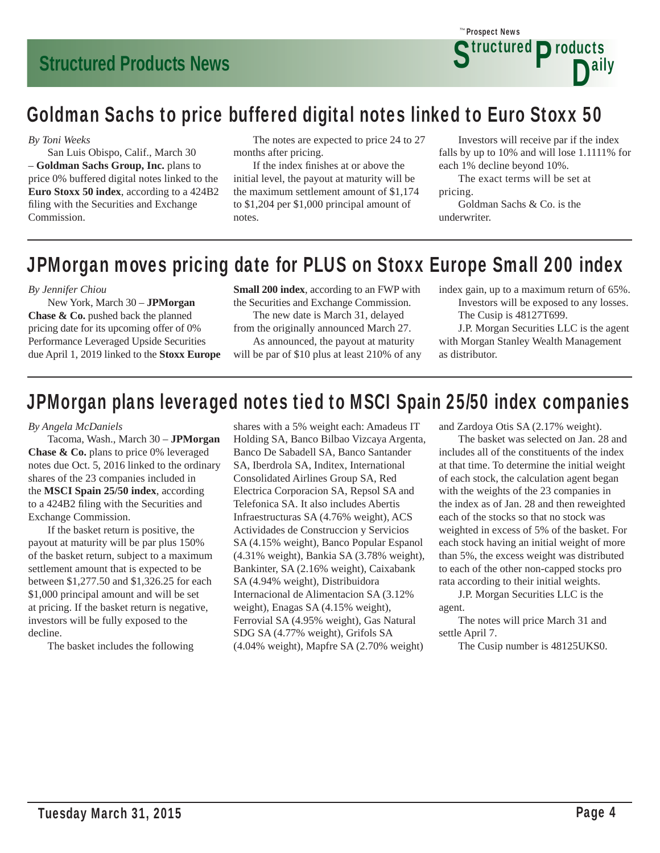

### Goldman Sachs to price buffered digital notes linked to Euro Stoxx 50

#### *By Toni Weeks*

 San Luis Obispo, Calif., March 30 – **Goldman Sachs Group, Inc.** plans to price 0% buffered digital notes linked to the **Euro Stoxx 50 index**, according to a 424B2 filing with the Securities and Exchange Commission.

 The notes are expected to price 24 to 27 months after pricing.

If the index finishes at or above the initial level, the payout at maturity will be the maximum settlement amount of \$1,174 to \$1,204 per \$1,000 principal amount of notes.

 Investors will receive par if the index falls by up to 10% and will lose 1.1111% for each 1% decline beyond 10%.

 The exact terms will be set at pricing.

 Goldman Sachs & Co. is the underwriter.

### JPMorgan moves pricing date for PLUS on Stoxx Europe Small 200 index

#### *By Jennifer Chiou*

 New York, March 30 – **JPMorgan Chase & Co.** pushed back the planned pricing date for its upcoming offer of 0% Performance Leveraged Upside Securities due April 1, 2019 linked to the **Stoxx Europe**  **Small 200 index**, according to an FWP with the Securities and Exchange Commission.

 The new date is March 31, delayed from the originally announced March 27. As announced, the payout at maturity

will be par of \$10 plus at least 210% of any

index gain, up to a maximum return of 65%. Investors will be exposed to any losses. The Cusip is 48127T699.

 J.P. Morgan Securities LLC is the agent with Morgan Stanley Wealth Management as distributor.

### JPMorgan plans leveraged notes tied to MSCI Spain 25/50 index companies

#### *By Angela McDaniels*

 Tacoma, Wash., March 30 – **JPMorgan Chase & Co.** plans to price 0% leveraged notes due Oct. 5, 2016 linked to the ordinary shares of the 23 companies included in the **MSCI Spain 25/50 index**, according to a 424B2 filing with the Securities and Exchange Commission.

 If the basket return is positive, the payout at maturity will be par plus 150% of the basket return, subject to a maximum settlement amount that is expected to be between \$1,277.50 and \$1,326.25 for each \$1,000 principal amount and will be set at pricing. If the basket return is negative, investors will be fully exposed to the decline.

The basket includes the following

shares with a 5% weight each: Amadeus IT Holding SA, Banco Bilbao Vizcaya Argenta, Banco De Sabadell SA, Banco Santander SA, Iberdrola SA, Inditex, International Consolidated Airlines Group SA, Red Electrica Corporacion SA, Repsol SA and Telefonica SA. It also includes Abertis Infraestructuras SA (4.76% weight), ACS Actividades de Construccion y Servicios SA (4.15% weight), Banco Popular Espanol (4.31% weight), Bankia SA (3.78% weight), Bankinter, SA (2.16% weight), Caixabank SA (4.94% weight), Distribuidora Internacional de Alimentacion SA (3.12% weight), Enagas SA (4.15% weight), Ferrovial SA (4.95% weight), Gas Natural SDG SA (4.77% weight), Grifols SA (4.04% weight), Mapfre SA (2.70% weight)

and Zardoya Otis SA (2.17% weight).

 The basket was selected on Jan. 28 and includes all of the constituents of the index at that time. To determine the initial weight of each stock, the calculation agent began with the weights of the 23 companies in the index as of Jan. 28 and then reweighted each of the stocks so that no stock was weighted in excess of 5% of the basket. For each stock having an initial weight of more than 5%, the excess weight was distributed to each of the other non-capped stocks pro rata according to their initial weights.

 J.P. Morgan Securities LLC is the agent.

 The notes will price March 31 and settle April 7.

The Cusip number is 48125UKS0.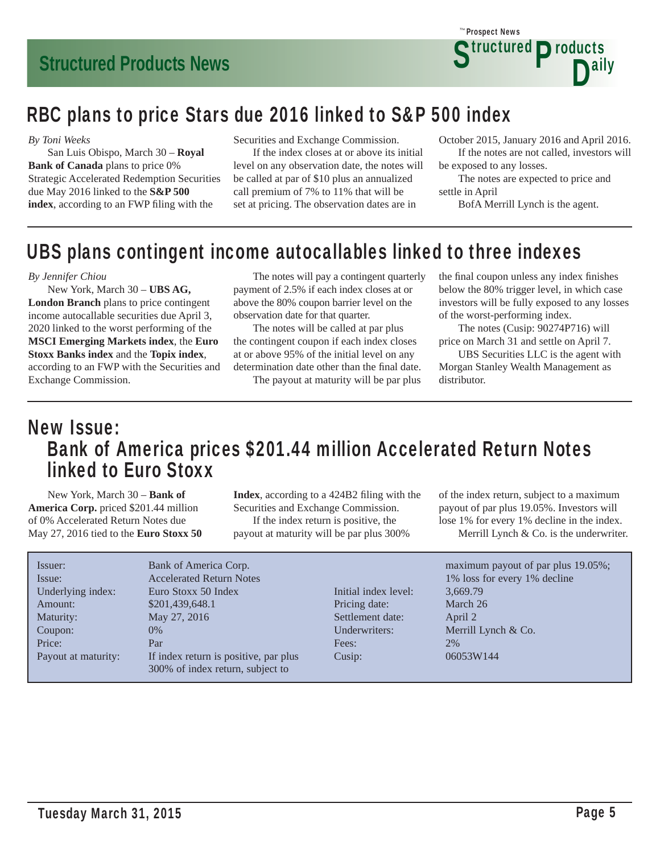

### RBC plans to price Stars due 2016 linked to S&P 500 index

#### *By Toni Weeks*

 San Luis Obispo, March 30 – **Royal Bank of Canada** plans to price 0% Strategic Accelerated Redemption Securities due May 2016 linked to the **S&P 500**  index, according to an FWP filing with the

Securities and Exchange Commission.

 If the index closes at or above its initial level on any observation date, the notes will be called at par of \$10 plus an annualized call premium of 7% to 11% that will be set at pricing. The observation dates are in

October 2015, January 2016 and April 2016. If the notes are not called, investors will be exposed to any losses.

 The notes are expected to price and settle in April

BofA Merrill Lynch is the agent.

### UBS plans contingent income autocallables linked to three indexes

#### *By Jennifer Chiou*

 New York, March 30 – **UBS AG, London Branch** plans to price contingent income autocallable securities due April 3, 2020 linked to the worst performing of the **MSCI Emerging Markets index**, the **Euro Stoxx Banks index** and the **Topix index**, according to an FWP with the Securities and Exchange Commission.

 The notes will pay a contingent quarterly payment of 2.5% if each index closes at or above the 80% coupon barrier level on the observation date for that quarter.

 The notes will be called at par plus the contingent coupon if each index closes at or above 95% of the initial level on any determination date other than the final date.

The payout at maturity will be par plus

the final coupon unless any index finishes below the 80% trigger level, in which case investors will be fully exposed to any losses of the worst-performing index.

 The notes (Cusip: 90274P716) will price on March 31 and settle on April 7.

 UBS Securities LLC is the agent with Morgan Stanley Wealth Management as distributor.

### New Issue: Bank of America prices \$201.44 million Accelerated Return Notes linked to Euro Stoxx

 New York, March 30 – **Bank of America Corp.** priced \$201.44 million of 0% Accelerated Return Notes due May 27, 2016 tied to the **Euro Stoxx 50**  **Index**, according to a 424B2 filing with the Securities and Exchange Commission. If the index return is positive, the payout at maturity will be par plus 300%

of the index return, subject to a maximum payout of par plus 19.05%. Investors will lose 1% for every 1% decline in the index. Merrill Lynch & Co. is the underwriter.

| Issuer:<br>Issue:   | Bank of America Corp.<br><b>Accelerated Return Notes</b> |                      | maximum payout of par plus 19.05%;<br>1% loss for every 1% decline |
|---------------------|----------------------------------------------------------|----------------------|--------------------------------------------------------------------|
| Underlying index:   | Euro Stoxx 50 Index                                      | Initial index level: | 3,669.79                                                           |
| Amount:             | \$201,439,648.1                                          | Pricing date:        | March 26                                                           |
| Maturity:           | May 27, 2016                                             | Settlement date:     | April 2                                                            |
| Coupon:             | $0\%$                                                    | Underwriters:        | Merrill Lynch $& Co.$                                              |
| Price:              | Par                                                      | Fees:                | 2%                                                                 |
| Payout at maturity: | If index return is positive, par plus                    | Cusip:               | 06053W144                                                          |
|                     | 300% of index return, subject to                         |                      |                                                                    |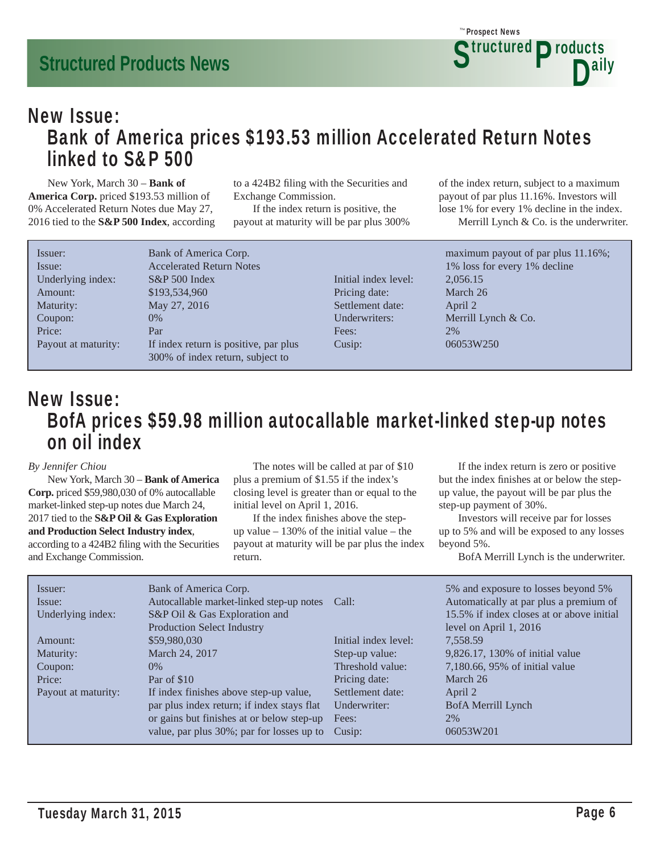### New Issue: Bank of America prices \$193.53 million Accelerated Return Notes linked to S&P 500

 New York, March 30 – **Bank of America Corp.** priced \$193.53 million of 0% Accelerated Return Notes due May 27, 2016 tied to the **S&P 500 Index**, according to a 424B2 filing with the Securities and Exchange Commission.

 If the index return is positive, the payout at maturity will be par plus 300% of the index return, subject to a maximum payout of par plus 11.16%. Investors will lose 1% for every 1% decline in the index. Merrill Lynch & Co. is the underwriter.

| Issuer:             | Bank of America Corp.                 |
|---------------------|---------------------------------------|
| Issue:              | <b>Accelerated Return Notes</b>       |
| Underlying index:   | $S\&P 500$ Index                      |
| Amount:             | \$193,534,960                         |
| Maturity:           | May 27, 2016                          |
| Coupon:             | $0\%$                                 |
| Price:              | Par                                   |
| Payout at maturity: | If index return is positive, par plus |
|                     | 300% of index return, subject to      |

Initial index level: 2,056.15 Pricing date: March 26 Settlement date: April 2 Underwriters: Merrill Lynch & Co. Fees: 2% Cusip: 06053W250

maximum payout of par plus 11.16%; 1% loss for every 1% decline

### New Issue: BofA prices \$59.98 million autocallable market-linked step-up notes on oil index

#### *By Jennifer Chiou*

 New York, March 30 – **Bank of America Corp.** priced \$59,980,030 of 0% autocallable market-linked step-up notes due March 24, 2017 tied to the **S&P Oil & Gas Exploration and Production Select Industry index**, according to a 424B2 filing with the Securities and Exchange Commission.

 The notes will be called at par of \$10 plus a premium of \$1.55 if the index's closing level is greater than or equal to the initial level on April 1, 2016.

If the index finishes above the stepup value  $-130\%$  of the initial value  $-$  the payout at maturity will be par plus the index return.

 If the index return is zero or positive but the index finishes at or below the stepup value, the payout will be par plus the step-up payment of 30%.

 Investors will receive par for losses up to 5% and will be exposed to any losses beyond 5%.

BofA Merrill Lynch is the underwriter.

| Issuer:<br>Issue:<br>Underlying index: | Bank of America Corp.<br>Autocallable market-linked step-up notes Call:<br>S&P Oil & Gas Exploration and<br><b>Production Select Industry</b> |                      | 5% and exposure to losses beyond 5%<br>Automatically at par plus a premium of<br>15.5% if index closes at or above initial<br>level on April $1, 2016$ |
|----------------------------------------|-----------------------------------------------------------------------------------------------------------------------------------------------|----------------------|--------------------------------------------------------------------------------------------------------------------------------------------------------|
| Amount:                                | \$59,980,030                                                                                                                                  | Initial index level: | 7,558.59                                                                                                                                               |
| Maturity:                              | March 24, 2017                                                                                                                                | Step-up value:       | 9,826.17, 130% of initial value                                                                                                                        |
| Coupon:                                | $0\%$                                                                                                                                         | Threshold value:     | 7,180.66, 95% of initial value                                                                                                                         |
| Price:                                 | Par of \$10                                                                                                                                   | Pricing date:        | March 26                                                                                                                                               |
| Payout at maturity:                    | If index finishes above step-up value,                                                                                                        | Settlement date:     | April 2                                                                                                                                                |
|                                        | par plus index return; if index stays flat                                                                                                    | Underwriter:         | BofA Merrill Lynch                                                                                                                                     |
|                                        | or gains but finishes at or below step-up                                                                                                     | Fees:                | 2%                                                                                                                                                     |
|                                        | value, par plus 30%; par for losses up to                                                                                                     | Cusip:               | 06053W201                                                                                                                                              |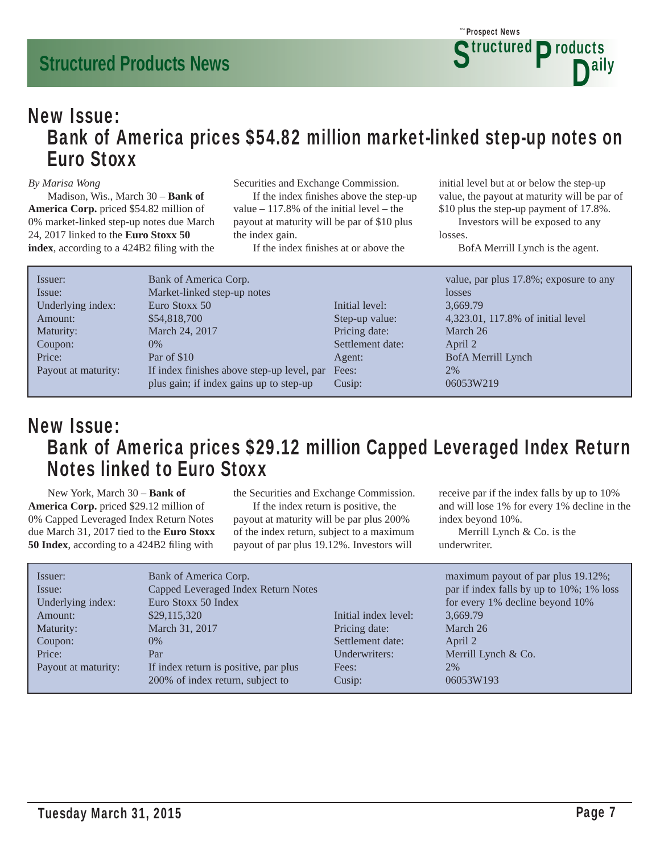### New Issue: Bank of America prices \$54.82 million market-linked step-up notes on Euro Stoxx

#### *By Marisa Wong*

 Madison, Wis., March 30 – **Bank of America Corp.** priced \$54.82 million of 0% market-linked step-up notes due March 24, 2017 linked to the **Euro Stoxx 50**  index, according to a 424B2 filing with the Securities and Exchange Commission.

If the index finishes above the step-up value  $-117.8\%$  of the initial level – the payout at maturity will be par of \$10 plus the index gain.

If the index finishes at or above the

initial level but at or below the step-up value, the payout at maturity will be par of \$10 plus the step-up payment of 17.8%.

 Investors will be exposed to any losses.

BofA Merrill Lynch is the agent.

| Issuer:             | Bank of America Corp.                      |                  | value, par plus 17.8%; exposure to any |
|---------------------|--------------------------------------------|------------------|----------------------------------------|
| Issue:              | Market-linked step-up notes                |                  | losses                                 |
| Underlying index:   | Euro Stoxx 50                              | Initial level:   | 3,669.79                               |
| Amount:             | \$54,818,700                               | Step-up value:   | 4,323.01, 117.8% of initial level      |
| Maturity:           | March 24, 2017                             | Pricing date:    | March 26                               |
| Coupon:             | $0\%$                                      | Settlement date: | April 2                                |
| Price:              | Par of \$10                                | Agent:           | BofA Merrill Lynch                     |
| Payout at maturity: | If index finishes above step-up level, par | Fees:            | 2%                                     |
|                     | plus gain; if index gains up to step-up    | Cusip:           | 06053W219                              |

### New Issue: Bank of America prices \$29.12 million Capped Leveraged Index Return Notes linked to Euro Stoxx

 New York, March 30 – **Bank of America Corp.** priced \$29.12 million of 0% Capped Leveraged Index Return Notes due March 31, 2017 tied to the **Euro Stoxx 50 Index**, according to a 424B2 filing with

the Securities and Exchange Commission.

 If the index return is positive, the payout at maturity will be par plus 200% of the index return, subject to a maximum payout of par plus 19.12%. Investors will

receive par if the index falls by up to 10% and will lose 1% for every 1% decline in the index beyond 10%.

 Merrill Lynch & Co. is the underwriter.

| Issuer:<br>Issue:<br>Underlying index:<br>Amount:<br>Maturity:<br>Coupon:<br>Price: | Bank of America Corp.<br>Capped Leveraged Index Return Notes<br>Euro Stoxx 50 Index<br>\$29,115,320<br>March 31, 2017<br>$0\%$<br>Par | Initial index level:<br>Pricing date:<br>Settlement date:<br>Underwriters: | maximum payout of par plus 19.12%;<br>par if index falls by up to 10%; 1% loss<br>for every 1% decline beyond 10%<br>3,669.79<br>March 26<br>April 2<br>Merrill Lynch & Co.<br>2% |
|-------------------------------------------------------------------------------------|---------------------------------------------------------------------------------------------------------------------------------------|----------------------------------------------------------------------------|-----------------------------------------------------------------------------------------------------------------------------------------------------------------------------------|
| Payout at maturity:                                                                 | If index return is positive, par plus<br>200% of index return, subject to                                                             | Fees:<br>Cusip:                                                            | 06053W193                                                                                                                                                                         |
|                                                                                     |                                                                                                                                       |                                                                            |                                                                                                                                                                                   |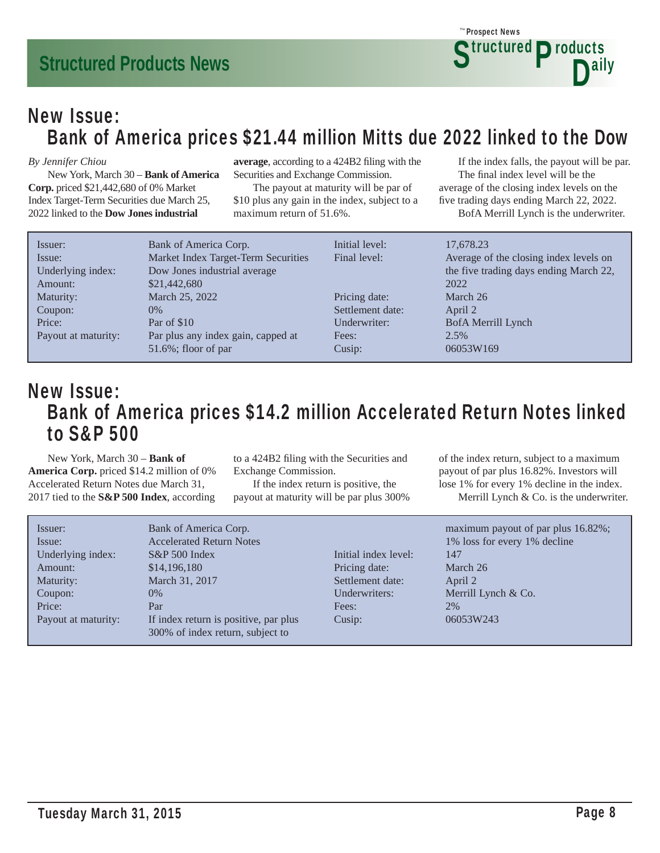### New Issue: Bank of America prices \$21.44 million Mitts due 2022 linked to the Dow

#### *By Jennifer Chiou*

 New York, March 30 – **Bank of America Corp.** priced \$21,442,680 of 0% Market Index Target-Term Securities due March 25, 2022 linked to the **Dow Jones industrial** 

average, according to a 424B2 filing with the Securities and Exchange Commission.

 The payout at maturity will be par of \$10 plus any gain in the index, subject to a maximum return of 51.6%.

 If the index falls, the payout will be par. The final index level will be the average of the closing index levels on the five trading days ending March 22, 2022.

BofA Merrill Lynch is the underwriter.

| Issuer:             | Bank of America Corp.               | Initial level:   | 17,678.23                              |
|---------------------|-------------------------------------|------------------|----------------------------------------|
| Issue:              | Market Index Target-Term Securities | Final level:     | Average of the closing index levels on |
| Underlying index:   | Dow Jones industrial average        |                  | the five trading days ending March 22, |
| Amount:             | \$21,442,680                        |                  | 2022                                   |
| Maturity:           | March 25, 2022                      | Pricing date:    | March 26                               |
| Coupon:             | $0\%$                               | Settlement date: | April 2                                |
| Price:              | Par of \$10                         | Underwriter:     | BofA Merrill Lynch                     |
| Payout at maturity: | Par plus any index gain, capped at  | Fees:            | 2.5%                                   |
|                     | $51.6\%$ ; floor of par             | Cusip:           | 06053W169                              |

### New Issue: Bank of America prices \$14.2 million Accelerated Return Notes linked to S&P 500

 New York, March 30 – **Bank of America Corp.** priced \$14.2 million of 0% Accelerated Return Notes due March 31, 2017 tied to the **S&P 500 Index**, according

to a 424B2 filing with the Securities and Exchange Commission.

 If the index return is positive, the payout at maturity will be par plus 300% of the index return, subject to a maximum payout of par plus 16.82%. Investors will lose 1% for every 1% decline in the index. Merrill Lynch & Co. is the underwriter.

| Issuer:             | Bank of America Corp.                 |                      | maximum payout of par plus 16.82%; |
|---------------------|---------------------------------------|----------------------|------------------------------------|
| Issue:              | <b>Accelerated Return Notes</b>       |                      | 1% loss for every 1% decline       |
| Underlying index:   | $S\&P 500$ Index                      | Initial index level: | 147                                |
| Amount:             | \$14,196,180                          | Pricing date:        | March 26                           |
| Maturity:           | March 31, 2017                        | Settlement date:     | April 2                            |
| Coupon:             | $0\%$                                 | Underwriters:        | Merrill Lynch & Co.                |
| Price:              | Par                                   | Fees:                | 2%                                 |
| Payout at maturity: | If index return is positive, par plus | Cusip:               | 06053W243                          |
|                     | 300% of index return, subject to      |                      |                                    |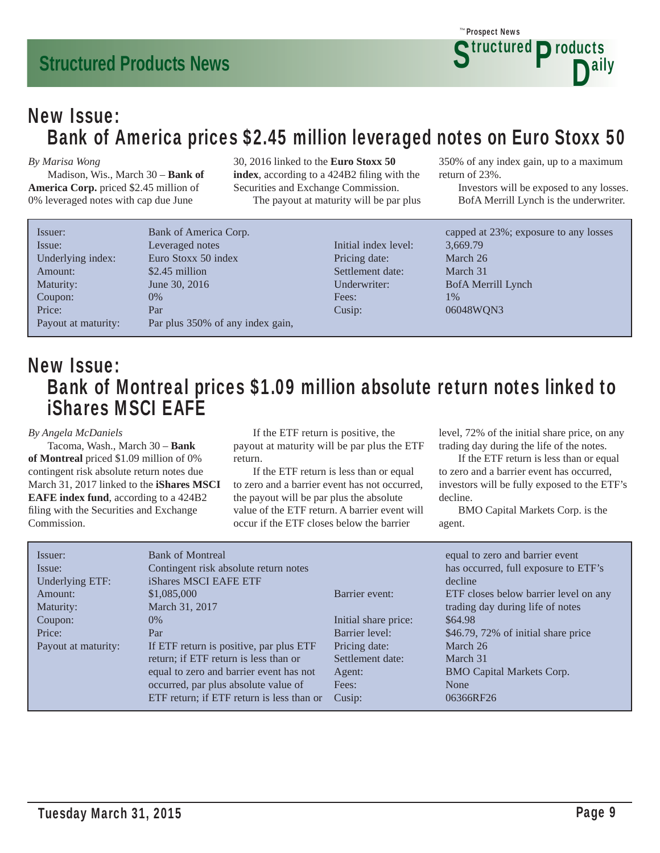### New Issue: Bank of America prices \$2.45 million leveraged notes on Euro Stoxx 50

#### *By Marisa Wong*

 Madison, Wis., March 30 – **Bank of America Corp.** priced \$2.45 million of 0% leveraged notes with cap due June

30, 2016 linked to the **Euro Stoxx 50 index**, according to a 424B2 filing with the Securities and Exchange Commission. The payout at maturity will be par plus 350% of any index gain, up to a maximum return of 23%.

 Investors will be exposed to any losses. BofA Merrill Lynch is the underwriter.

| Issuer:             | Bank of America Corp.            |                      | capped at 23%; exposure to any losses |
|---------------------|----------------------------------|----------------------|---------------------------------------|
| Issue:              | Leveraged notes                  | Initial index level: | 3,669.79                              |
| Underlying index:   | Euro Stoxx 50 index              | Pricing date:        | March 26                              |
| Amount:             | \$2.45 million                   | Settlement date:     | March 31                              |
| Maturity:           | June 30, 2016                    | Underwriter:         | BofA Merrill Lynch                    |
| Coupon:             | $0\%$                            | Fees:                | $1\%$                                 |
| Price:              | Par                              | Cusip:               | 06048WQN3                             |
| Payout at maturity: | Par plus 350% of any index gain, |                      |                                       |

### New Issue: Bank of Montreal prices \$1.09 million absolute return notes linked to iShares MSCI EAFE

#### *By Angela McDaniels*

 Tacoma, Wash., March 30 – **Bank of Montreal** priced \$1.09 million of 0% contingent risk absolute return notes due March 31, 2017 linked to the **iShares MSCI EAFE index fund**, according to a 424B2 filing with the Securities and Exchange Commission.

 If the ETF return is positive, the payout at maturity will be par plus the ETF return.

 If the ETF return is less than or equal to zero and a barrier event has not occurred, the payout will be par plus the absolute value of the ETF return. A barrier event will occur if the ETF closes below the barrier

level, 72% of the initial share price, on any trading day during the life of the notes.

 If the ETF return is less than or equal to zero and a barrier event has occurred, investors will be fully exposed to the ETF's decline.

| Issuer:             | <b>Bank of Montreal</b>                   |                      | equal to zero and barrier event       |
|---------------------|-------------------------------------------|----------------------|---------------------------------------|
| Issue:              | Contingent risk absolute return notes     |                      | has occurred, full exposure to ETF's  |
| Underlying ETF:     | iShares MSCI EAFE ETF                     |                      | decline                               |
| Amount:             | \$1,085,000                               | Barrier event:       | ETF closes below barrier level on any |
| Maturity:           | March 31, 2017                            |                      | trading day during life of notes      |
| Coupon:             | $0\%$                                     | Initial share price: | \$64.98                               |
| Price:              | Par                                       | Barrier level:       | \$46.79, 72% of initial share price   |
| Payout at maturity: | If ETF return is positive, par plus ETF   | Pricing date:        | March 26                              |
|                     | return; if ETF return is less than or     | Settlement date:     | March 31                              |
|                     | equal to zero and barrier event has not   | Agent:               | <b>BMO Capital Markets Corp.</b>      |
|                     | occurred, par plus absolute value of      | Fees:                | None                                  |
|                     | ETF return; if ETF return is less than or | Cusip:               | 06366RF26                             |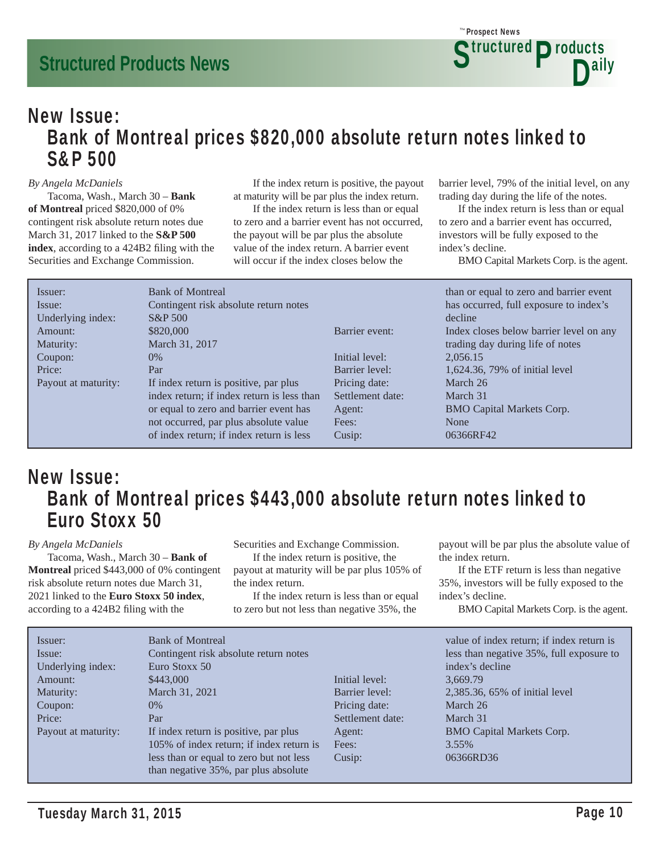### New Issue: Bank of Montreal prices \$820,000 absolute return notes linked to S&P 500

#### *By Angela McDaniels*

 Tacoma, Wash., March 30 – **Bank of Montreal** priced \$820,000 of 0% contingent risk absolute return notes due March 31, 2017 linked to the **S&P 500**  index, according to a 424B2 filing with the Securities and Exchange Commission.

 If the index return is positive, the payout at maturity will be par plus the index return.

 If the index return is less than or equal to zero and a barrier event has not occurred, the payout will be par plus the absolute value of the index return. A barrier event will occur if the index closes below the

barrier level, 79% of the initial level, on any trading day during the life of the notes.

 If the index return is less than or equal to zero and a barrier event has occurred, investors will be fully exposed to the index's decline.

BMO Capital Markets Corp. is the agent.

| Issuer:             | <b>Bank of Montreal</b>                    |                  | than or equal to zero and barrier event |
|---------------------|--------------------------------------------|------------------|-----------------------------------------|
| Issue:              | Contingent risk absolute return notes      |                  | has occurred, full exposure to index's  |
| Underlying index:   | <b>S&amp;P</b> 500                         |                  | decline                                 |
| Amount:             | \$820,000                                  | Barrier event:   | Index closes below barrier level on any |
| Maturity:           | March 31, 2017                             |                  | trading day during life of notes        |
| Coupon:             | $0\%$                                      | Initial level:   | 2.056.15                                |
| Price:              | Par                                        | Barrier level:   | 1,624.36, 79% of initial level          |
| Payout at maturity: | If index return is positive, par plus      | Pricing date:    | March 26                                |
|                     | index return; if index return is less than | Settlement date: | March 31                                |
|                     | or equal to zero and barrier event has     | Agent:           | <b>BMO Capital Markets Corp.</b>        |
|                     | not occurred, par plus absolute value      | Fees:            | None                                    |
|                     | of index return; if index return is less   | Cusip:           | 06366RF42                               |

### New Issue: Bank of Montreal prices \$443,000 absolute return notes linked to Euro Stoxx 50

#### *By Angela McDaniels*

 Tacoma, Wash., March 30 – **Bank of Montreal** priced \$443,000 of 0% contingent risk absolute return notes due March 31, 2021 linked to the **Euro Stoxx 50 index**, according to a 424B2 filing with the

Securities and Exchange Commission.

 If the index return is positive, the payout at maturity will be par plus 105% of the index return.

 If the index return is less than or equal to zero but not less than negative 35%, the

payout will be par plus the absolute value of the index return.

 If the ETF return is less than negative 35%, investors will be fully exposed to the index's decline.

| Issuer:             | <b>Bank of Montreal</b>                  |                  | value of index return; if index return is |
|---------------------|------------------------------------------|------------------|-------------------------------------------|
| Issue:              | Contingent risk absolute return notes    |                  | less than negative 35%, full exposure to  |
| Underlying index:   | Euro Stoxx 50                            |                  | index's decline                           |
| Amount:             | \$443,000                                | Initial level:   | 3,669.79                                  |
| Maturity:           | March 31, 2021                           | Barrier level:   | 2,385.36, 65% of initial level            |
| Coupon:             | 0%                                       | Pricing date:    | March 26                                  |
| Price:              | Par                                      | Settlement date: | March 31                                  |
| Payout at maturity: | If index return is positive, par plus    | Agent:           | <b>BMO Capital Markets Corp.</b>          |
|                     | 105% of index return; if index return is | Fees:            | 3.55%                                     |
|                     | less than or equal to zero but not less  | Cusip:           | 06366RD36                                 |
|                     | than negative 35%, par plus absolute     |                  |                                           |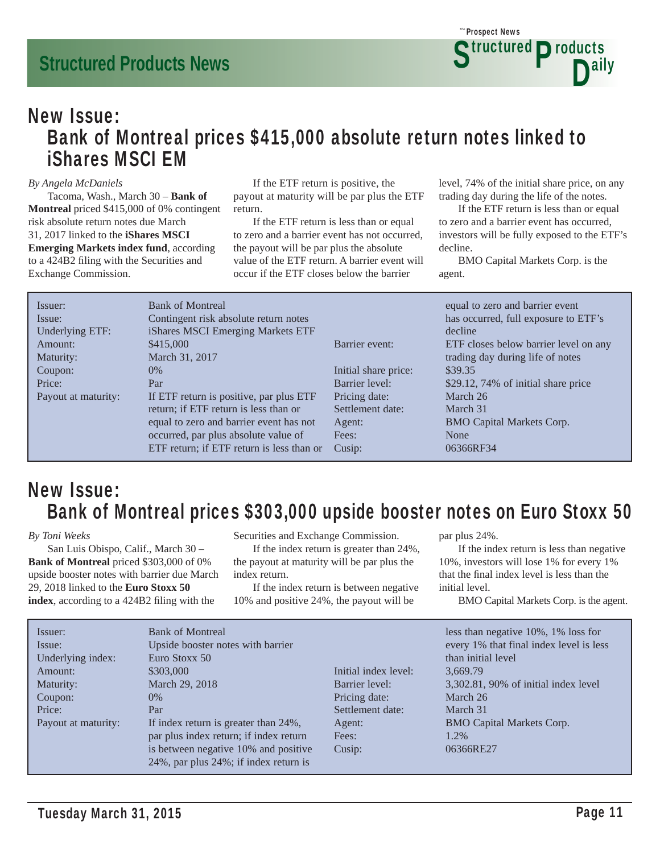### New Issue: Bank of Montreal prices \$415,000 absolute return notes linked to iShares MSCI EM

#### *By Angela McDaniels*

 Tacoma, Wash., March 30 – **Bank of Montreal** priced \$415,000 of 0% contingent risk absolute return notes due March 31, 2017 linked to the **iShares MSCI Emerging Markets index fund**, according to a 424B2 filing with the Securities and Exchange Commission.

 If the ETF return is positive, the payout at maturity will be par plus the ETF return.

 If the ETF return is less than or equal to zero and a barrier event has not occurred, the payout will be par plus the absolute value of the ETF return. A barrier event will occur if the ETF closes below the barrier

level, 74% of the initial share price, on any trading day during the life of the notes.

 If the ETF return is less than or equal to zero and a barrier event has occurred, investors will be fully exposed to the ETF's decline.

 BMO Capital Markets Corp. is the agent.

| Issuer:             | <b>Bank of Montreal</b>                   |                      | equal to zero and barrier event       |
|---------------------|-------------------------------------------|----------------------|---------------------------------------|
| Issue:              | Contingent risk absolute return notes     |                      | has occurred, full exposure to ETF's  |
| Underlying ETF:     | iShares MSCI Emerging Markets ETF         |                      | decline                               |
| Amount:             | \$415,000                                 | Barrier event:       | ETF closes below barrier level on any |
| Maturity:           | March 31, 2017                            |                      | trading day during life of notes      |
| Coupon:             | $0\%$                                     | Initial share price: | \$39.35                               |
| Price:              | Par                                       | Barrier level:       | \$29.12, 74% of initial share price   |
| Payout at maturity: | If ETF return is positive, par plus ETF   | Pricing date:        | March 26                              |
|                     | return; if ETF return is less than or     | Settlement date:     | March 31                              |
|                     | equal to zero and barrier event has not   | Agent:               | <b>BMO Capital Markets Corp.</b>      |
|                     | occurred, par plus absolute value of      | Fees:                | None                                  |
|                     | ETF return; if ETF return is less than or | Cusip:               | 06366RF34                             |

### New Issue: Bank of Montreal prices \$303,000 upside booster notes on Euro Stoxx 50

*By Toni Weeks*

 San Luis Obispo, Calif., March 30 – **Bank of Montreal** priced \$303,000 of 0% upside booster notes with barrier due March 29, 2018 linked to the **Euro Stoxx 50 index**, according to a 424B2 filing with the

Securities and Exchange Commission.

 If the index return is greater than 24%, the payout at maturity will be par plus the index return.

 If the index return is between negative 10% and positive 24%, the payout will be

par plus 24%.

 If the index return is less than negative 10%, investors will lose 1% for every 1% that the final index level is less than the initial level.

| Issuer:<br>Issue:<br>Underlying index:<br>Amount:<br>Maturity:<br>Coupon:<br>Price:<br>Payout at maturity: | <b>Bank of Montreal</b><br>Upside booster notes with barrier<br>Euro Stoxx 50<br>\$303,000<br>March 29, 2018<br>$0\%$<br>Par<br>If index return is greater than 24%,<br>par plus index return; if index return | Initial index level:<br>Barrier level:<br>Pricing date:<br>Settlement date:<br>Agent:<br>Fees: | less than negative 10%, 1% loss for<br>every 1% that final index level is less<br>than initial level<br>3,669.79<br>3,302.81, 90% of initial index level<br>March 26<br>March 31<br><b>BMO Capital Markets Corp.</b><br>1.2% |
|------------------------------------------------------------------------------------------------------------|----------------------------------------------------------------------------------------------------------------------------------------------------------------------------------------------------------------|------------------------------------------------------------------------------------------------|------------------------------------------------------------------------------------------------------------------------------------------------------------------------------------------------------------------------------|
|                                                                                                            | is between negative 10% and positive<br>24%, par plus 24%; if index return is                                                                                                                                  | Cusip:                                                                                         | 06366RE27                                                                                                                                                                                                                    |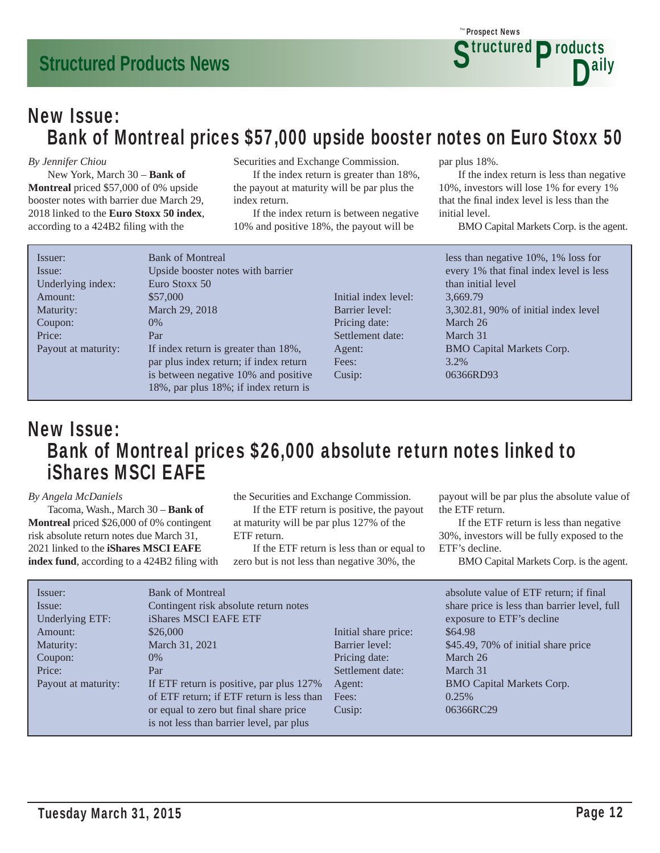### New Issue: Bank of Montreal prices \$57,000 upside booster notes on Euro Stoxx 50

#### *By Jennifer Chiou*

 New York, March 30 – **Bank of Montreal** priced \$57,000 of 0% upside booster notes with barrier due March 29, 2018 linked to the **Euro Stoxx 50 index**, according to a 424B2 filing with the

Securities and Exchange Commission.

 If the index return is greater than 18%, the payout at maturity will be par plus the index return.

 If the index return is between negative 10% and positive 18%, the payout will be

par plus 18%.

Prospect News *The*

 If the index return is less than negative 10%, investors will lose 1% for every 1% that the final index level is less than the initial level.

**Structured Products** 

D<sup>ally</sup>

BMO Capital Markets Corp. is the agent.

| Issuer:             | <b>Bank of Montreal</b>                |                      | less than negative 10%, 1% loss for     |
|---------------------|----------------------------------------|----------------------|-----------------------------------------|
| Issue:              | Upside booster notes with barrier      |                      | every 1% that final index level is less |
| Underlying index:   | Euro Stoxx 50                          |                      | than initial level                      |
| Amount:             | \$57,000                               | Initial index level: | 3,669.79                                |
| Maturity:           | March 29, 2018                         | Barrier level:       | 3,302.81, 90% of initial index level    |
| Coupon:             | 0%                                     | Pricing date:        | March 26                                |
| Price:              | Par                                    | Settlement date:     | March 31                                |
| Payout at maturity: | If index return is greater than 18%,   | Agent:               | <b>BMO Capital Markets Corp.</b>        |
|                     | par plus index return; if index return | Fees:                | 3.2%                                    |
|                     | is between negative 10% and positive   | Cusip:               | 06366RD93                               |
|                     | 18%, par plus 18%; if index return is  |                      |                                         |

### New Issue: Bank of Montreal prices \$26,000 absolute return notes linked to iShares MSCI EAFE

#### *By Angela McDaniels*

 Tacoma, Wash., March 30 – **Bank of Montreal** priced \$26,000 of 0% contingent risk absolute return notes due March 31, 2021 linked to the **iShares MSCI EAFE index fund**, according to a 424B2 filing with the Securities and Exchange Commission.

 If the ETF return is positive, the payout at maturity will be par plus 127% of the ETF return.

 If the ETF return is less than or equal to zero but is not less than negative 30%, the

payout will be par plus the absolute value of the ETF return.

 If the ETF return is less than negative 30%, investors will be fully exposed to the ETF's decline.

| <b>Bank of Montreal</b><br>Issuer:<br>Contingent risk absolute return notes<br>Issue:<br>iShares MSCI EAFE ETF<br>Underlying ETF:<br>\$26,000<br>Amount:<br>Maturity:<br>March 31, 2021<br>$0\%$<br>Coupon:<br>Price:<br>Par<br>If ETF return is positive, par plus 127%<br>Payout at maturity:<br>of ETF return; if ETF return is less than<br>or equal to zero but final share price<br>is not less than barrier level, par plus | Initial share price:<br>Barrier level:<br>Pricing date:<br>Settlement date:<br>Agent:<br>Fees:<br>Cusip: | absolute value of ETF return; if final<br>share price is less than barrier level, full<br>exposure to ETF's decline<br>\$64.98<br>\$45.49, 70% of initial share price<br>March 26<br>March 31<br><b>BMO Capital Markets Corp.</b><br>0.25%<br>06366RC29 |
|------------------------------------------------------------------------------------------------------------------------------------------------------------------------------------------------------------------------------------------------------------------------------------------------------------------------------------------------------------------------------------------------------------------------------------|----------------------------------------------------------------------------------------------------------|---------------------------------------------------------------------------------------------------------------------------------------------------------------------------------------------------------------------------------------------------------|
|------------------------------------------------------------------------------------------------------------------------------------------------------------------------------------------------------------------------------------------------------------------------------------------------------------------------------------------------------------------------------------------------------------------------------------|----------------------------------------------------------------------------------------------------------|---------------------------------------------------------------------------------------------------------------------------------------------------------------------------------------------------------------------------------------------------------|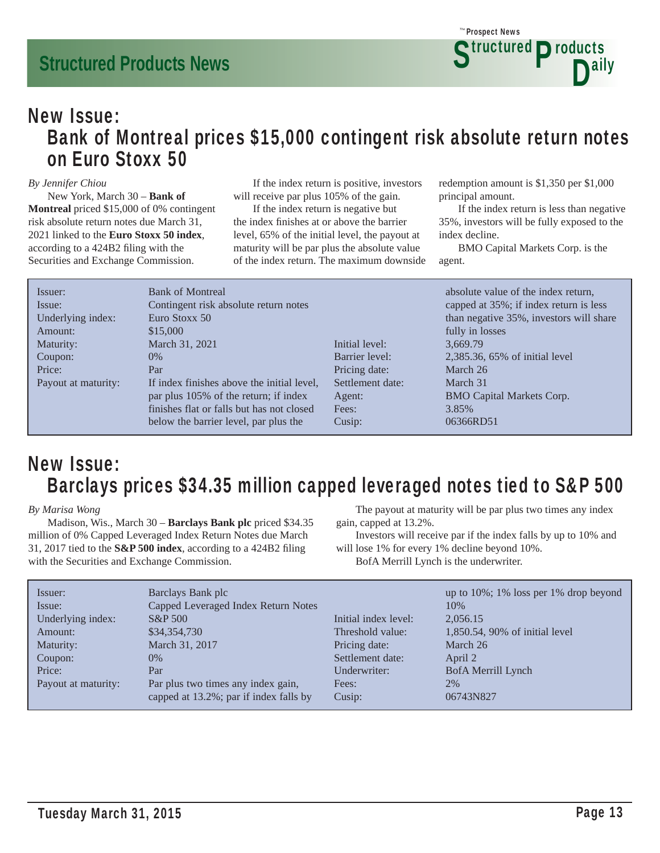### New Issue: Bank of Montreal prices \$15,000 contingent risk absolute return notes on Euro Stoxx 50

#### *By Jennifer Chiou*

 New York, March 30 – **Bank of Montreal** priced \$15,000 of 0% contingent risk absolute return notes due March 31, 2021 linked to the **Euro Stoxx 50 index**, according to a 424B2 filing with the Securities and Exchange Commission.

 If the index return is positive, investors will receive par plus 105% of the gain.

 If the index return is negative but the index finishes at or above the barrier level, 65% of the initial level, the payout at maturity will be par plus the absolute value of the index return. The maximum downside redemption amount is \$1,350 per \$1,000 principal amount.

 If the index return is less than negative 35%, investors will be fully exposed to the index decline.

 BMO Capital Markets Corp. is the agent.

| Issuer:<br>Issue:<br>Underlying index: | <b>Bank of Montreal</b><br>Contingent risk absolute return notes<br>Euro Stoxx 50 |                  | absolute value of the index return,<br>capped at 35%; if index return is less<br>than negative 35%, investors will share |
|----------------------------------------|-----------------------------------------------------------------------------------|------------------|--------------------------------------------------------------------------------------------------------------------------|
| Amount:<br>Maturity:                   | \$15,000<br>March 31, 2021                                                        | Initial level:   | fully in losses<br>3.669.79                                                                                              |
| Coupon:                                | $0\%$                                                                             | Barrier level:   | 2,385.36, 65% of initial level                                                                                           |
| Price:                                 | Par                                                                               | Pricing date:    | March 26                                                                                                                 |
| Payout at maturity:                    | If index finishes above the initial level,                                        | Settlement date: | March 31                                                                                                                 |
|                                        | par plus 105% of the return; if index                                             | Agent:           | <b>BMO Capital Markets Corp.</b>                                                                                         |
|                                        | finishes flat or falls but has not closed                                         | Fees:            | 3.85%                                                                                                                    |
|                                        | below the barrier level, par plus the                                             | Cusip:           | 06366RD51                                                                                                                |

### New Issue: Barclays prices \$34.35 million capped leveraged notes tied to S&P 500

#### *By Marisa Wong*

 Madison, Wis., March 30 – **Barclays Bank plc** priced \$34.35 million of 0% Capped Leveraged Index Return Notes due March 31, 2017 tied to the  $S\&P\,500$  index, according to a 424B2 filing with the Securities and Exchange Commission.

 The payout at maturity will be par plus two times any index gain, capped at 13.2%.

 Investors will receive par if the index falls by up to 10% and will lose 1% for every 1% decline beyond 10%.

BofA Merrill Lynch is the underwriter.

| Issuer:             | Barclays Bank plc                      |                      | up to 10%; 1% loss per 1% drop beyond |
|---------------------|----------------------------------------|----------------------|---------------------------------------|
| Issue:              | Capped Leveraged Index Return Notes    |                      | 10%                                   |
| Underlying index:   | S&P 500                                | Initial index level: | 2,056.15                              |
| Amount:             | \$34,354,730                           | Threshold value:     | 1,850.54, 90% of initial level        |
| Maturity:           | March 31, 2017                         | Pricing date:        | March 26                              |
| Coupon:             | $0\%$                                  | Settlement date:     | April 2                               |
| Price:              | Par                                    | Underwriter:         | BofA Merrill Lynch                    |
| Payout at maturity: | Par plus two times any index gain,     | Fees:                | 2%                                    |
|                     | capped at 13.2%; par if index falls by | Cusip:               | 06743N827                             |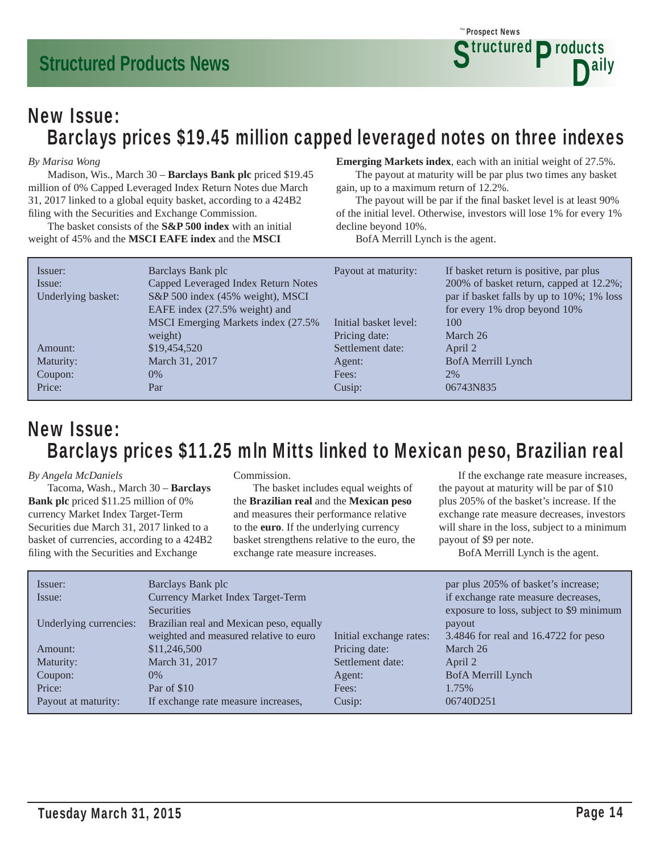### New Issue: Barclays prices \$19.45 million capped leveraged notes on three indexes

#### *By Marisa Wong*

 Madison, Wis., March 30 – **Barclays Bank plc** priced \$19.45 million of 0% Capped Leveraged Index Return Notes due March 31, 2017 linked to a global equity basket, according to a 424B2 filing with the Securities and Exchange Commission.

 The basket consists of the **S&P 500 index** with an initial weight of 45% and the **MSCI EAFE index** and the **MSCI** 

### **Emerging Markets index**, each with an initial weight of 27.5%.

 The payout at maturity will be par plus two times any basket gain, up to a maximum return of 12.2%.

The payout will be par if the final basket level is at least 90% of the initial level. Otherwise, investors will lose 1% for every 1% decline beyond 10%.

BofA Merrill Lynch is the agent.

| Issuer:<br>Issue:<br>Underlying basket: | Barclays Bank plc<br>Capped Leveraged Index Return Notes<br>S&P 500 index (45% weight), MSCI<br>EAFE index (27.5% weight) and | Payout at maturity:<br>Initial basket level: | If basket return is positive, par plus<br>200% of basket return, capped at 12.2%;<br>par if basket falls by up to 10%; 1% loss<br>for every 1% drop beyond 10%<br>100 |
|-----------------------------------------|-------------------------------------------------------------------------------------------------------------------------------|----------------------------------------------|-----------------------------------------------------------------------------------------------------------------------------------------------------------------------|
|                                         | MSCI Emerging Markets index (27.5%)                                                                                           |                                              |                                                                                                                                                                       |
|                                         | weight)                                                                                                                       | Pricing date:                                | March 26                                                                                                                                                              |
| Amount:                                 | \$19,454,520                                                                                                                  | Settlement date:                             | April 2                                                                                                                                                               |
| Maturity:                               | March 31, 2017                                                                                                                | Agent:                                       | BofA Merrill Lynch                                                                                                                                                    |
| Coupon:                                 | $0\%$                                                                                                                         | Fees:                                        | 2%                                                                                                                                                                    |
| Price:                                  | Par                                                                                                                           | Cusip:                                       | 06743N835                                                                                                                                                             |

### New Issue: Barclays prices \$11.25 mln Mitts linked to Mexican peso, Brazilian real

#### *By Angela McDaniels*

 Tacoma, Wash., March 30 – **Barclays Bank plc** priced \$11.25 million of 0% currency Market Index Target-Term Securities due March 31, 2017 linked to a basket of currencies, according to a 424B2 filing with the Securities and Exchange

#### Commission.

 The basket includes equal weights of the **Brazilian real** and the **Mexican peso** and measures their performance relative to the **euro**. If the underlying currency basket strengthens relative to the euro, the exchange rate measure increases.

 If the exchange rate measure increases, the payout at maturity will be par of \$10 plus 205% of the basket's increase. If the exchange rate measure decreases, investors will share in the loss, subject to a minimum payout of \$9 per note.

BofA Merrill Lynch is the agent.

| Issuer:                | Barclays Bank plc                        |                         | par plus 205% of basket's increase;      |
|------------------------|------------------------------------------|-------------------------|------------------------------------------|
| Issue:                 | Currency Market Index Target-Term        |                         | if exchange rate measure decreases,      |
|                        | <b>Securities</b>                        |                         | exposure to loss, subject to \$9 minimum |
| Underlying currencies: | Brazilian real and Mexican peso, equally |                         | payout                                   |
|                        | weighted and measured relative to euro   | Initial exchange rates: | 3.4846 for real and 16.4722 for peso     |
| Amount:                | \$11,246,500                             | Pricing date:           | March 26                                 |
| Maturity:              | March 31, 2017                           | Settlement date:        | April 2                                  |
| Coupon:                | $0\%$                                    | Agent:                  | <b>BofA Merrill Lynch</b>                |
| Price:                 | Par of \$10                              | Fees:                   | 1.75%                                    |
| Payout at maturity:    | If exchange rate measure increases,      | Cusip:                  | 06740D251                                |
|                        |                                          |                         |                                          |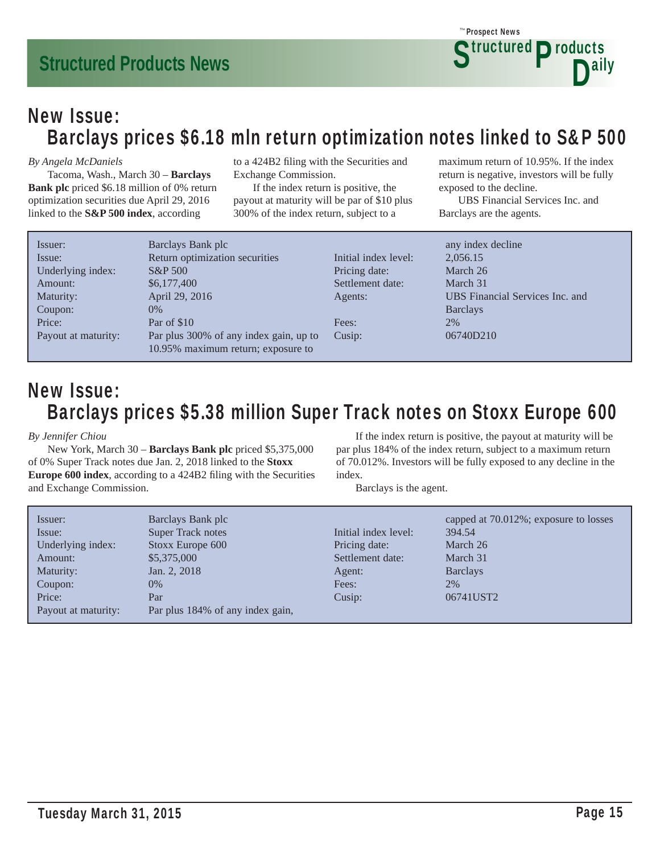### New Issue: Barclays prices \$6.18 mln return optimization notes linked to S&P 500

#### *By Angela McDaniels*

 Tacoma, Wash., March 30 – **Barclays Bank plc** priced \$6.18 million of 0% return optimization securities due April 29, 2016 linked to the **S&P 500 index**, according

to a 424B2 filing with the Securities and Exchange Commission.

 If the index return is positive, the payout at maturity will be par of \$10 plus 300% of the index return, subject to a

maximum return of 10.95%. If the index return is negative, investors will be fully exposed to the decline.

**Structured Products** 

D<sup>ally</sup>

 UBS Financial Services Inc. and Barclays are the agents.

Prospect News *The*

| Issuer:             | Barclays Bank plc                      |                      | any index decline               |
|---------------------|----------------------------------------|----------------------|---------------------------------|
| Issue:              | Return optimization securities         | Initial index level: | 2,056.15                        |
| Underlying index:   | S&P 500                                | Pricing date:        | March 26                        |
| Amount:             | \$6,177,400                            | Settlement date:     | March 31                        |
| Maturity:           | April 29, 2016                         | Agents:              | UBS Financial Services Inc. and |
| Coupon:             | $0\%$                                  |                      | <b>Barclays</b>                 |
| Price:              | Par of \$10                            | Fees:                | 2%                              |
| Payout at maturity: | Par plus 300% of any index gain, up to | Cusip:               | 06740D210                       |
|                     | 10.95% maximum return; exposure to     |                      |                                 |

### New Issue: Barclays prices \$5.38 million Super Track notes on Stoxx Europe 600

#### *By Jennifer Chiou*

 New York, March 30 – **Barclays Bank plc** priced \$5,375,000 of 0% Super Track notes due Jan. 2, 2018 linked to the **Stoxx Europe 600 index**, according to a 424B2 filing with the Securities and Exchange Commission.

 If the index return is positive, the payout at maturity will be par plus 184% of the index return, subject to a maximum return of 70.012%. Investors will be fully exposed to any decline in the index.

Barclays is the agent.

| Issuer:             | Barclays Bank plc                |                      | capped at 70.012%; exposure to losses |
|---------------------|----------------------------------|----------------------|---------------------------------------|
| Issue:              | <b>Super Track notes</b>         | Initial index level: | 394.54                                |
| Underlying index:   | Stoxx Europe 600                 | Pricing date:        | March 26                              |
| Amount:             | \$5,375,000                      | Settlement date:     | March 31                              |
| Maturity:           | Jan. 2, 2018                     | Agent:               | <b>Barclays</b>                       |
| Coupon:             | $0\%$                            | Fees:                | 2%                                    |
| Price:              | Par                              | Cusip:               | 06741UST2                             |
| Payout at maturity: | Par plus 184% of any index gain, |                      |                                       |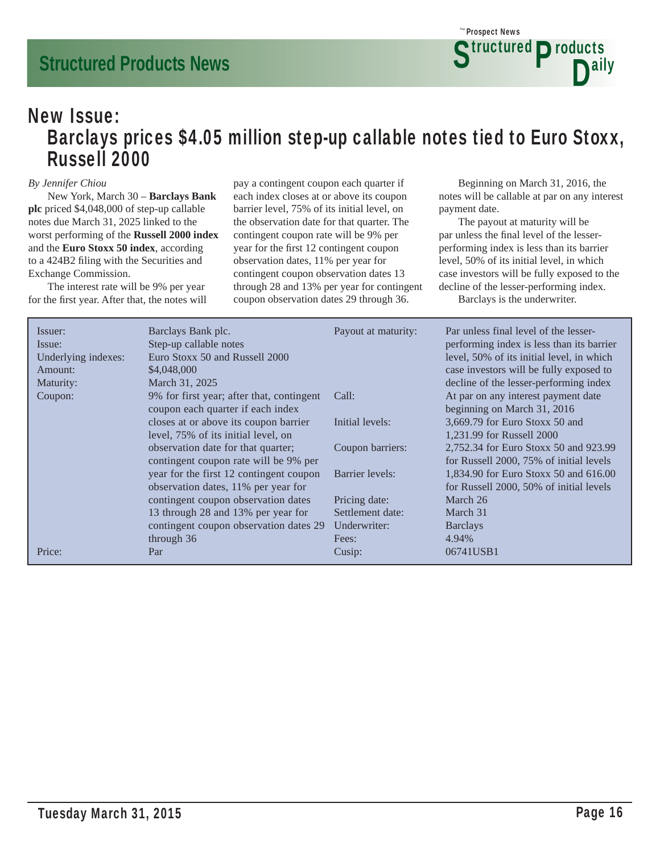### New Issue: Barclays prices \$4.05 million step-up callable notes tied to Euro Stoxx, Russell 2000

#### *By Jennifer Chiou*

 New York, March 30 – **Barclays Bank plc** priced \$4,048,000 of step-up callable notes due March 31, 2025 linked to the worst performing of the **Russell 2000 index** and the **Euro Stoxx 50 index**, according to a 424B2 filing with the Securities and Exchange Commission.

 The interest rate will be 9% per year for the first year. After that, the notes will pay a contingent coupon each quarter if each index closes at or above its coupon barrier level, 75% of its initial level, on the observation date for that quarter. The contingent coupon rate will be 9% per year for the first 12 contingent coupon observation dates, 11% per year for contingent coupon observation dates 13 through 28 and 13% per year for contingent coupon observation dates 29 through 36.

 Beginning on March 31, 2016, the notes will be callable at par on any interest payment date.

 The payout at maturity will be par unless the final level of the lesserperforming index is less than its barrier level, 50% of its initial level, in which case investors will be fully exposed to the decline of the lesser-performing index.

Barclays is the underwriter.

| level, 50% of its initial level, in which<br>case investors will be fully exposed to<br>decline of the lesser-performing index |
|--------------------------------------------------------------------------------------------------------------------------------|
| At par on any interest payment date<br>beginning on March 31, 2016                                                             |
| 3,669.79 for Euro Stoxx 50 and                                                                                                 |
| 2,752.34 for Euro Stoxx 50 and 923.99<br>for Russell 2000, 75% of initial levels                                               |
| 1,834.90 for Euro Stoxx 50 and 616.00<br>for Russell 2000, 50% of initial levels                                               |
|                                                                                                                                |
|                                                                                                                                |
|                                                                                                                                |
|                                                                                                                                |
|                                                                                                                                |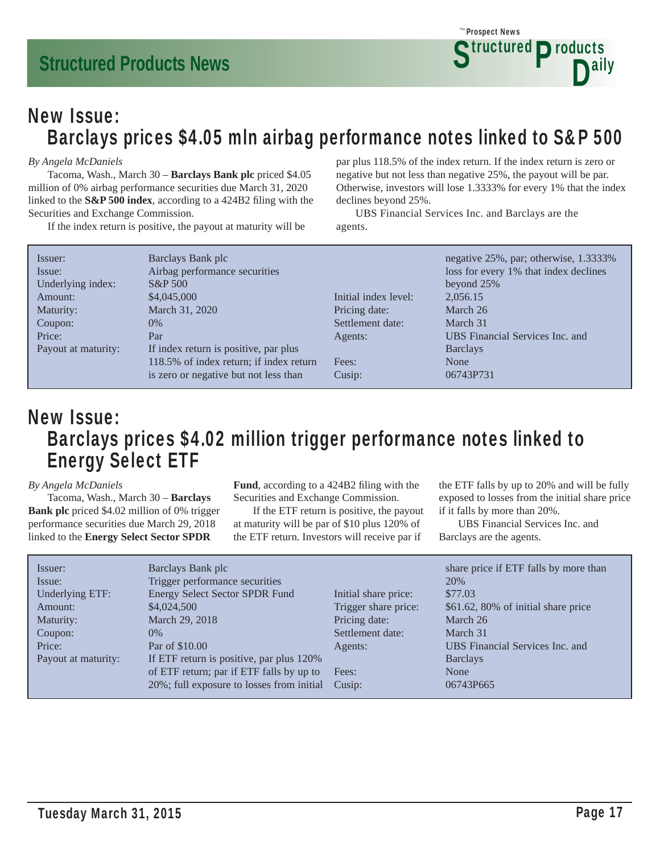

### New Issue: Barclays prices \$4.05 mln airbag performance notes linked to S&P 500

#### *By Angela McDaniels*

 Tacoma, Wash., March 30 – **Barclays Bank plc** priced \$4.05 million of 0% airbag performance securities due March 31, 2020 linked to the **S&P 500 index**, according to a 424B2 filing with the Securities and Exchange Commission.

If the index return is positive, the payout at maturity will be

par plus 118.5% of the index return. If the index return is zero or negative but not less than negative 25%, the payout will be par. Otherwise, investors will lose 1.3333% for every 1% that the index declines beyond 25%.

 UBS Financial Services Inc. and Barclays are the agents.

| Issuer:             | Barclays Bank plc                       |                      | negative 25%, par; otherwise, 1.3333% |
|---------------------|-----------------------------------------|----------------------|---------------------------------------|
| Issue:              | Airbag performance securities           |                      | loss for every 1% that index declines |
| Underlying index:   | <b>S&amp;P</b> 500                      |                      | beyond 25%                            |
| Amount:             | \$4,045,000                             | Initial index level: | 2,056.15                              |
| Maturity:           | March 31, 2020                          | Pricing date:        | March 26                              |
| Coupon:             | $0\%$                                   | Settlement date:     | March 31                              |
| Price:              | Par                                     | Agents:              | UBS Financial Services Inc. and       |
| Payout at maturity: | If index return is positive, par plus   |                      | <b>Barclays</b>                       |
|                     | 118.5% of index return; if index return | Fees:                | None                                  |
|                     | is zero or negative but not less than   | Cusip:               | 06743P731                             |

### New Issue: Barclays prices \$4.02 million trigger performance notes linked to Energy Select ETF

#### *By Angela McDaniels*

 Tacoma, Wash., March 30 – **Barclays Bank plc** priced \$4.02 million of 0% trigger performance securities due March 29, 2018 linked to the **Energy Select Sector SPDR** 

Fund, according to a 424B2 filing with the Securities and Exchange Commission.

 If the ETF return is positive, the payout at maturity will be par of \$10 plus 120% of the ETF return. Investors will receive par if

the ETF falls by up to 20% and will be fully exposed to losses from the initial share price if it falls by more than 20%.

 UBS Financial Services Inc. and Barclays are the agents.

| Issuer:             | Barclays Bank plc                         |                      | share price if ETF falls by more than |
|---------------------|-------------------------------------------|----------------------|---------------------------------------|
| Issue:              | Trigger performance securities            |                      | 20%                                   |
| Underlying ETF:     | <b>Energy Select Sector SPDR Fund</b>     | Initial share price: | \$77.03                               |
| Amount:             | \$4,024,500                               | Trigger share price: | \$61.62, 80% of initial share price   |
| Maturity:           | March 29, 2018                            | Pricing date:        | March 26                              |
| Coupon:             | $0\%$                                     | Settlement date:     | March 31                              |
| Price:              | Par of \$10.00                            | Agents:              | UBS Financial Services Inc. and       |
| Payout at maturity: | If ETF return is positive, par plus 120%  |                      | <b>Barclays</b>                       |
|                     | of ETF return; par if ETF falls by up to  | Fees:                | None                                  |
|                     | 20%; full exposure to losses from initial | Cusip:               | 06743P665                             |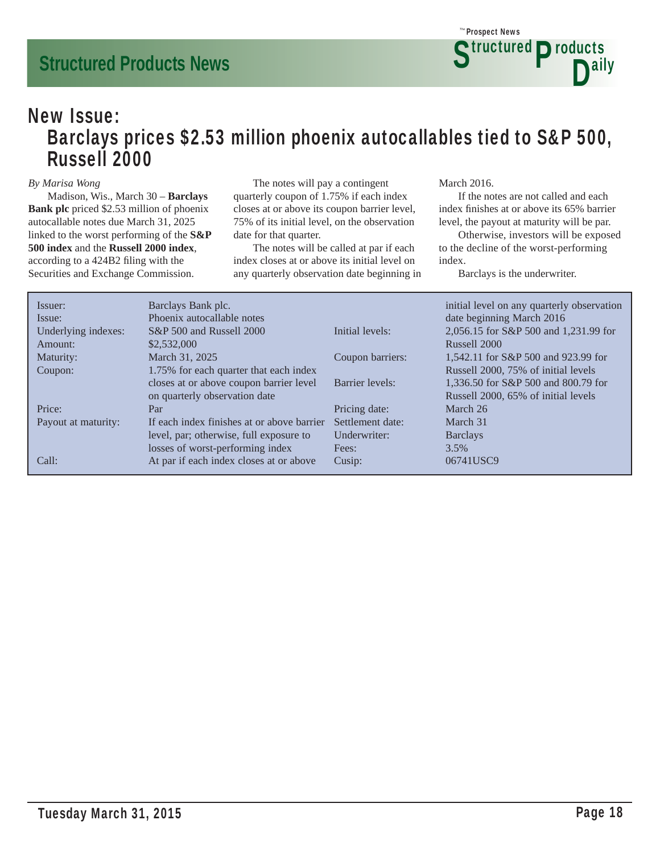### New Issue: Barclays prices \$2.53 million phoenix autocallables tied to S&P 500, Russell 2000

#### *By Marisa Wong*

 Madison, Wis., March 30 – **Barclays Bank plc** priced \$2.53 million of phoenix autocallable notes due March 31, 2025 linked to the worst performing of the **S&P 500 index** and the **Russell 2000 index**, according to a 424B2 filing with the Securities and Exchange Commission.

 The notes will pay a contingent quarterly coupon of 1.75% if each index closes at or above its coupon barrier level, 75% of its initial level, on the observation date for that quarter.

 The notes will be called at par if each index closes at or above its initial level on any quarterly observation date beginning in March 2016.

 If the notes are not called and each index finishes at or above its 65% barrier level, the payout at maturity will be par.

 Otherwise, investors will be exposed to the decline of the worst-performing index.

Barclays is the underwriter.

| Issuer:             | Barclays Bank plc.                         |                  | initial level on any quarterly observation |
|---------------------|--------------------------------------------|------------------|--------------------------------------------|
| Issue:              | Phoenix autocallable notes                 |                  | date beginning March 2016                  |
| Underlying indexes: | S&P 500 and Russell 2000                   | Initial levels:  | 2,056.15 for S&P 500 and 1,231.99 for      |
| Amount:             | \$2,532,000                                |                  | Russell 2000                               |
| Maturity:           | March 31, 2025                             | Coupon barriers: | 1,542.11 for S&P 500 and 923.99 for        |
| Coupon:             | 1.75% for each quarter that each index     |                  | Russell 2000, 75% of initial levels        |
|                     | closes at or above coupon barrier level    | Barrier levels:  | 1,336.50 for S&P 500 and 800.79 for        |
|                     | on quarterly observation date              |                  | Russell 2000, 65% of initial levels        |
| Price:              | Par                                        | Pricing date:    | March 26                                   |
| Payout at maturity: | If each index finishes at or above barrier | Settlement date: | March 31                                   |
|                     | level, par; otherwise, full exposure to    | Underwriter:     | <b>Barclays</b>                            |
|                     | losses of worst-performing index           | Fees:            | $3.5\%$                                    |
| Call:               | At par if each index closes at or above    | Cusip:           | 06741USC9                                  |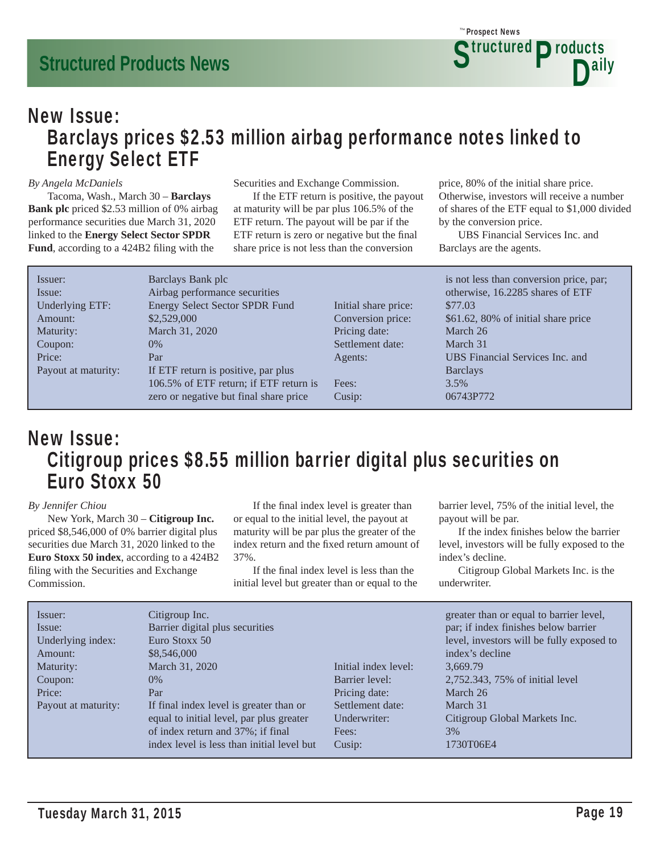### New Issue: Barclays prices \$2.53 million airbag performance notes linked to Energy Select ETF

#### *By Angela McDaniels*

 Tacoma, Wash., March 30 – **Barclays Bank plc** priced \$2.53 million of 0% airbag performance securities due March 31, 2020 linked to the **Energy Select Sector SPDR**  Fund, according to a 424B2 filing with the

Securities and Exchange Commission.

 If the ETF return is positive, the payout at maturity will be par plus 106.5% of the ETF return. The payout will be par if the ETF return is zero or negative but the final share price is not less than the conversion

price, 80% of the initial share price. Otherwise, investors will receive a number of shares of the ETF equal to \$1,000 divided by the conversion price.

 UBS Financial Services Inc. and Barclays are the agents.

| Issuer:             | Barclays Bank plc                      |                      | is not less than conversion price, par; |
|---------------------|----------------------------------------|----------------------|-----------------------------------------|
| Issue:              | Airbag performance securities          |                      | otherwise, 16.2285 shares of ETF        |
| Underlying ETF:     | Energy Select Sector SPDR Fund         | Initial share price: | \$77.03                                 |
| Amount:             | \$2,529,000                            | Conversion price:    | \$61.62, 80% of initial share price     |
| Maturity:           | March 31, 2020                         | Pricing date:        | March 26                                |
| Coupon:             | $0\%$                                  | Settlement date:     | March 31                                |
| Price:              | Par                                    | Agents:              | UBS Financial Services Inc. and         |
| Payout at maturity: | If ETF return is positive, par plus    |                      | <b>Barclays</b>                         |
|                     | 106.5% of ETF return; if ETF return is | Fees:                | $3.5\%$                                 |
|                     | zero or negative but final share price | Cusip:               | 06743P772                               |
|                     |                                        |                      |                                         |

### New Issue: Citigroup prices \$8.55 million barrier digital plus securities on Euro Stoxx 50

#### *By Jennifer Chiou*

 New York, March 30 – **Citigroup Inc.** priced \$8,546,000 of 0% barrier digital plus securities due March 31, 2020 linked to the **Euro Stoxx 50 index**, according to a 424B2 filing with the Securities and Exchange Commission.

If the final index level is greater than or equal to the initial level, the payout at maturity will be par plus the greater of the index return and the fixed return amount of 37%.

If the final index level is less than the initial level but greater than or equal to the barrier level, 75% of the initial level, the payout will be par.

If the index finishes below the barrier level, investors will be fully exposed to the index's decline.

 Citigroup Global Markets Inc. is the underwriter.

| Issuer:<br>Issue:<br>Underlying index:<br>Amount: | Citigroup Inc.<br>Barrier digital plus securities<br>Euro Stoxx 50<br>\$8,546,000 | Initial index level: | greater than or equal to barrier level,<br>par; if index finishes below barrier<br>level, investors will be fully exposed to<br>index's decline |
|---------------------------------------------------|-----------------------------------------------------------------------------------|----------------------|-------------------------------------------------------------------------------------------------------------------------------------------------|
| Maturity:                                         | March 31, 2020<br>$0\%$                                                           | Barrier level:       | 3,669.79                                                                                                                                        |
| Coupon:                                           |                                                                                   |                      | 2,752.343, 75% of initial level                                                                                                                 |
| Price:                                            | Par                                                                               | Pricing date:        | March 26                                                                                                                                        |
| Payout at maturity:                               | If final index level is greater than or                                           | Settlement date:     | March 31                                                                                                                                        |
|                                                   | equal to initial level, par plus greater                                          | Underwriter:         | Citigroup Global Markets Inc.                                                                                                                   |
|                                                   | of index return and 37%; if final                                                 | Fees:                | 3%                                                                                                                                              |
|                                                   | index level is less than initial level but                                        | Cusip:               | 1730T06E4                                                                                                                                       |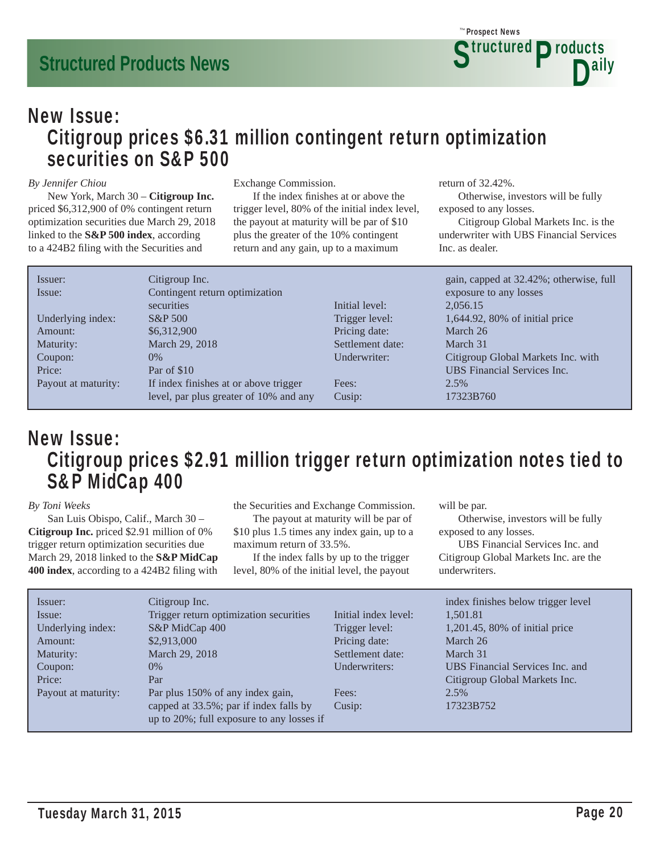

### New Issue: Citigroup prices \$6.31 million contingent return optimization securities on S&P 500

#### *By Jennifer Chiou*

 New York, March 30 – **Citigroup Inc.** priced \$6,312,900 of 0% contingent return optimization securities due March 29, 2018 linked to the **S&P 500 index**, according to a 424B2 filing with the Securities and

#### Exchange Commission.

If the index finishes at or above the trigger level, 80% of the initial index level, the payout at maturity will be par of \$10 plus the greater of the 10% contingent return and any gain, up to a maximum

return of 32.42%.

 Otherwise, investors will be fully exposed to any losses.

 Citigroup Global Markets Inc. is the underwriter with UBS Financial Services Inc. as dealer.

| Issuer:             | Citigroup Inc.                         |                  | gain, capped at 32.42%; otherwise, full |
|---------------------|----------------------------------------|------------------|-----------------------------------------|
| Issue:              | Contingent return optimization         |                  | exposure to any losses                  |
|                     | securities                             | Initial level:   | 2,056.15                                |
| Underlying index:   | $S\&P 500$                             | Trigger level:   | 1,644.92, 80% of initial price          |
| Amount:             | \$6,312,900                            | Pricing date:    | March 26                                |
| Maturity:           | March 29, 2018                         | Settlement date: | March 31                                |
| Coupon:             | $0\%$                                  | Underwriter:     | Citigroup Global Markets Inc. with      |
| Price:              | Par of \$10                            |                  | <b>UBS</b> Financial Services Inc.      |
| Payout at maturity: | If index finishes at or above trigger  | Fees:            | 2.5%                                    |
|                     | level, par plus greater of 10% and any | Cusip:           | 17323B760                               |

### New Issue: Citigroup prices \$2.91 million trigger return optimization notes tied to S&P MidCap 400

#### *By Toni Weeks*

 San Luis Obispo, Calif., March 30 – **Citigroup Inc.** priced \$2.91 million of 0% trigger return optimization securities due March 29, 2018 linked to the **S&P MidCap 400 index**, according to a 424B2 filing with

the Securities and Exchange Commission.

 The payout at maturity will be par of \$10 plus 1.5 times any index gain, up to a maximum return of 33.5%.

 If the index falls by up to the trigger level, 80% of the initial level, the payout

will be par.

 Otherwise, investors will be fully exposed to any losses.

 UBS Financial Services Inc. and Citigroup Global Markets Inc. are the underwriters.

| Issuer:             | Citigroup Inc.                            |                      | index finishes below trigger level |
|---------------------|-------------------------------------------|----------------------|------------------------------------|
| Issue:              | Trigger return optimization securities    | Initial index level: | 1.501.81                           |
| Underlying index:   | S&P MidCap 400                            | Trigger level:       | 1,201.45, 80% of initial price     |
| Amount:             | \$2,913,000                               | Pricing date:        | March 26                           |
| Maturity:           | March 29, 2018                            | Settlement date:     | March 31                           |
| Coupon:             | $0\%$                                     | Underwriters:        | UBS Financial Services Inc. and    |
| Price:              | Par                                       |                      | Citigroup Global Markets Inc.      |
| Payout at maturity: | Par plus 150% of any index gain,          | Fees:                | 2.5%                               |
|                     | capped at 33.5%; par if index falls by    | Cusip:               | 17323B752                          |
|                     | up to 20%; full exposure to any losses if |                      |                                    |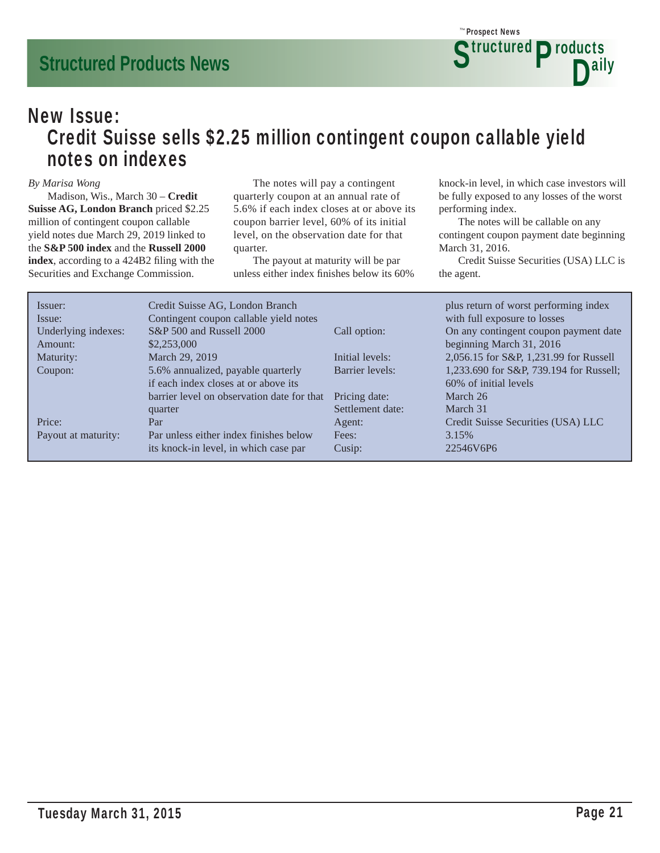### New Issue: Credit Suisse sells \$2.25 million contingent coupon callable yield notes on indexes

#### *By Marisa Wong*

 Madison, Wis., March 30 – **Credit Suisse AG, London Branch** priced \$2.25 million of contingent coupon callable yield notes due March 29, 2019 linked to the **S&P 500 index** and the **Russell 2000**  index, according to a 424B2 filing with the Securities and Exchange Commission.

 The notes will pay a contingent quarterly coupon at an annual rate of 5.6% if each index closes at or above its coupon barrier level, 60% of its initial level, on the observation date for that quarter.

 The payout at maturity will be par unless either index finishes below its 60% knock-in level, in which case investors will be fully exposed to any losses of the worst performing index.

 The notes will be callable on any contingent coupon payment date beginning March 31, 2016.

 Credit Suisse Securities (USA) LLC is the agent.

| Issuer:             | Credit Suisse AG, London Branch            |                  | plus return of worst performing index   |
|---------------------|--------------------------------------------|------------------|-----------------------------------------|
| Issue:              | Contingent coupon callable yield notes     |                  | with full exposure to losses            |
| Underlying indexes: | S&P 500 and Russell 2000                   | Call option:     | On any contingent coupon payment date   |
| Amount:             | \$2,253,000                                |                  | beginning March 31, 2016                |
| Maturity:           | March 29, 2019                             | Initial levels:  | 2,056.15 for S&P, 1,231.99 for Russell  |
| Coupon:             | 5.6% annualized, payable quarterly         | Barrier levels:  | 1,233.690 for S&P, 739.194 for Russell; |
|                     | if each index closes at or above its       |                  | 60% of initial levels                   |
|                     | barrier level on observation date for that | Pricing date:    | March 26                                |
|                     | quarter                                    | Settlement date: | March 31                                |
| Price:              | Par                                        | Agent:           | Credit Suisse Securities (USA) LLC      |
| Payout at maturity: | Par unless either index finishes below     | Fees:            | 3.15%                                   |
|                     | its knock-in level, in which case par      | Cusip:           | 22546V6P6                               |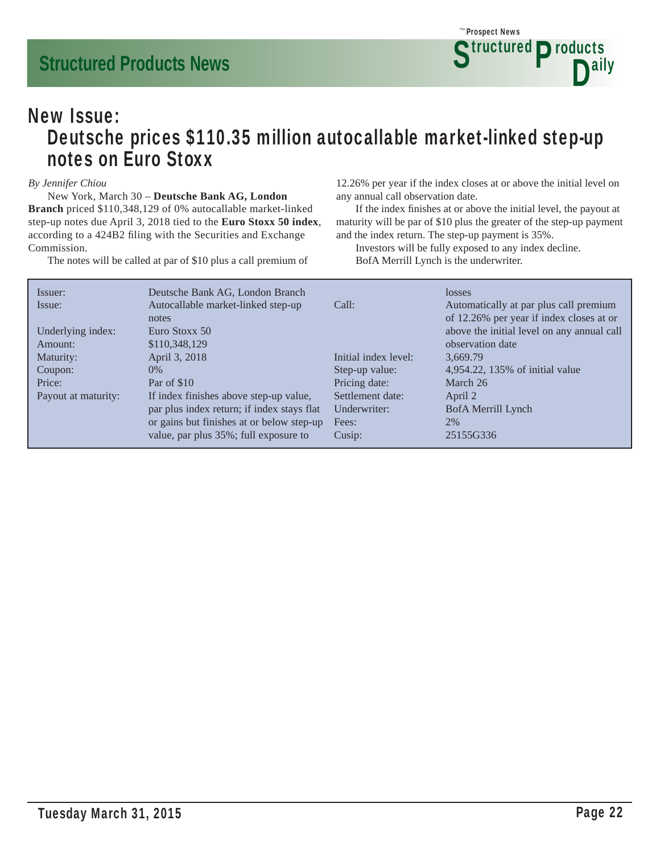

### New Issue: Deutsche prices \$110.35 million autocallable market-linked step-up notes on Euro Stoxx

#### *By Jennifer Chiou*

 New York, March 30 – **Deutsche Bank AG, London Branch** priced \$110,348,129 of 0% autocallable market-linked step-up notes due April 3, 2018 tied to the **Euro Stoxx 50 index**, according to a 424B2 filing with the Securities and Exchange Commission.

The notes will be called at par of \$10 plus a call premium of

12.26% per year if the index closes at or above the initial level on any annual call observation date.

If the index finishes at or above the initial level, the payout at maturity will be par of \$10 plus the greater of the step-up payment and the index return. The step-up payment is 35%.

 Investors will be fully exposed to any index decline. BofA Merrill Lynch is the underwriter.

| Issuer:             | Deutsche Bank AG, London Branch            |                      | losses                                     |
|---------------------|--------------------------------------------|----------------------|--------------------------------------------|
| Issue:              | Autocallable market-linked step-up         | Call:                | Automatically at par plus call premium     |
|                     | notes                                      |                      | of 12.26% per year if index closes at or   |
| Underlying index:   | Euro Stoxx 50                              |                      | above the initial level on any annual call |
| Amount:             | \$110,348,129                              |                      | observation date                           |
| Maturity:           | April 3, 2018                              | Initial index level: | 3.669.79                                   |
| Coupon:             | $0\%$                                      | Step-up value:       | 4,954.22, 135% of initial value            |
| Price:              | Par of \$10                                | Pricing date:        | March 26                                   |
| Payout at maturity: | If index finishes above step-up value,     | Settlement date:     | April 2                                    |
|                     | par plus index return; if index stays flat | Underwriter:         | BofA Merrill Lynch                         |
|                     | or gains but finishes at or below step-up  | Fees:                | 2%                                         |
|                     | value, par plus 35%; full exposure to      | Cusip:               | 25155G336                                  |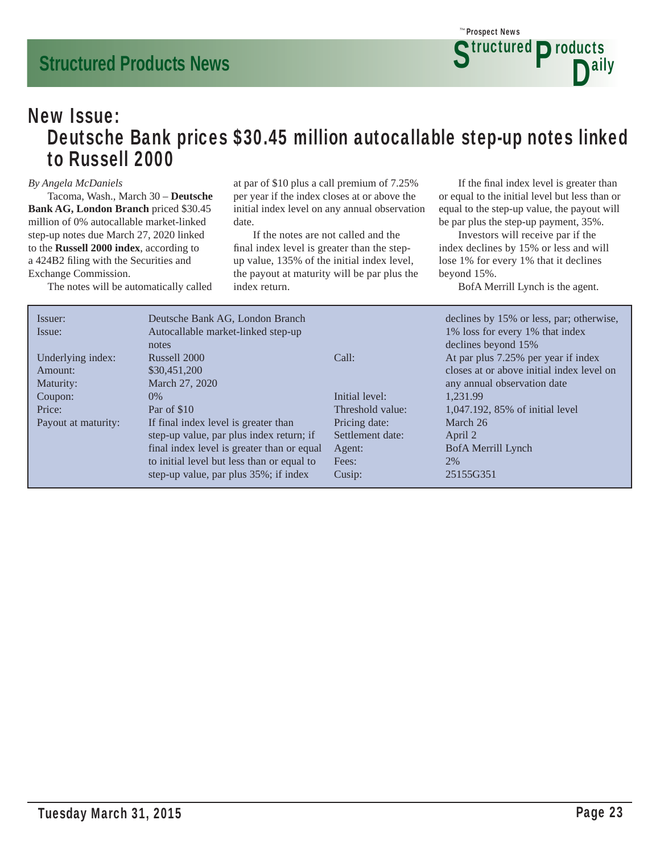### New Issue: Deutsche Bank prices \$30.45 million autocallable step-up notes linked to Russell 2000

#### *By Angela McDaniels*

 Tacoma, Wash., March 30 – **Deutsche Bank AG, London Branch** priced \$30.45 million of 0% autocallable market-linked step-up notes due March 27, 2020 linked to the **Russell 2000 index**, according to a 424B2 filing with the Securities and Exchange Commission.

The notes will be automatically called

at par of \$10 plus a call premium of 7.25% per year if the index closes at or above the initial index level on any annual observation date.

 If the notes are not called and the final index level is greater than the stepup value, 135% of the initial index level, the payout at maturity will be par plus the index return.

If the final index level is greater than or equal to the initial level but less than or equal to the step-up value, the payout will be par plus the step-up payment, 35%.

 Investors will receive par if the index declines by 15% or less and will lose 1% for every 1% that it declines beyond 15%.

BofA Merrill Lynch is the agent.

| Issuer:<br>Issue:             | Deutsche Bank AG, London Branch<br>Autocallable market-linked step-up<br>notes         |                                                       | declines by 15% or less, par; otherwise,<br>1% loss for every 1% that index<br>declines beyond 15% |
|-------------------------------|----------------------------------------------------------------------------------------|-------------------------------------------------------|----------------------------------------------------------------------------------------------------|
| Underlying index:<br>Amount:  | Russell 2000<br>\$30,451,200<br>March 27, 2020                                         | Call:                                                 | At par plus 7.25% per year if index<br>closes at or above initial index level on                   |
| Maturity:<br>Coupon:          | $0\%$                                                                                  | Initial level:                                        | any annual observation date<br>1.231.99                                                            |
| Price:<br>Payout at maturity: | Par of \$10<br>If final index level is greater than                                    | Threshold value:<br>Pricing date:<br>Settlement date: | 1,047.192, 85% of initial level<br>March 26                                                        |
|                               | step-up value, par plus index return; if<br>final index level is greater than or equal | Agent:                                                | April 2<br>BofA Merrill Lynch                                                                      |
|                               | to initial level but less than or equal to<br>step-up value, par plus 35%; if index    | Fees:<br>Cusip:                                       | 2%<br>25155G351                                                                                    |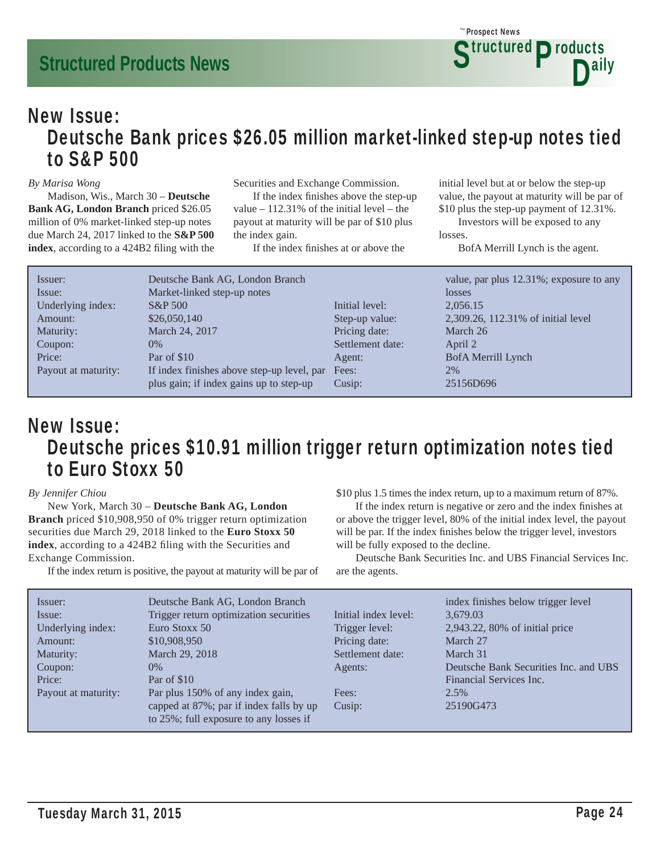### New Issue: Deutsche Bank prices \$26.05 million market-linked step-up notes tied to S&P 500

#### *By Marisa Wong*

 Madison, Wis., March 30 – **Deutsche Bank AG, London Branch** priced \$26.05 million of 0% market-linked step-up notes due March 24, 2017 linked to the **S&P 500**  index, according to a 424B2 filing with the Securities and Exchange Commission.

If the index finishes above the step-up value  $-112.31\%$  of the initial level – the payout at maturity will be par of \$10 plus the index gain.

If the index finishes at or above the

initial level but at or below the step-up value, the payout at maturity will be par of \$10 plus the step-up payment of 12.31%.

 Investors will be exposed to any losses.

BofA Merrill Lynch is the agent.

| Issuer:             | Deutsche Bank AG, London Branch            |                  | value, par plus 12.31%; exposure to any |
|---------------------|--------------------------------------------|------------------|-----------------------------------------|
| Issue:              | Market-linked step-up notes                |                  | losses                                  |
| Underlying index:   | <b>S&amp;P</b> 500                         | Initial level:   | 2,056.15                                |
| Amount:             | \$26,050,140                               | Step-up value:   | 2,309.26, 112.31% of initial level      |
| Maturity:           | March 24, 2017                             | Pricing date:    | March 26                                |
| Coupon:             | $0\%$                                      | Settlement date: | April 2                                 |
| Price:              | Par of \$10                                | Agent:           | BofA Merrill Lynch                      |
| Payout at maturity: | If index finishes above step-up level, par | Fees:            | 2%                                      |
|                     | plus gain; if index gains up to step-up    | Cusip:           | 25156D696                               |

### New Issue: Deutsche prices \$10.91 million trigger return optimization notes tied to Euro Stoxx 50

#### *By Jennifer Chiou*

 New York, March 30 – **Deutsche Bank AG, London Branch** priced \$10,908,950 of 0% trigger return optimization securities due March 29, 2018 linked to the **Euro Stoxx 50**  index, according to a 424B2 filing with the Securities and Exchange Commission.

If the index return is positive, the payout at maturity will be par of

\$10 plus 1.5 times the index return, up to a maximum return of 87%.

If the index return is negative or zero and the index finishes at or above the trigger level, 80% of the initial index level, the payout will be par. If the index finishes below the trigger level, investors will be fully exposed to the decline.

 Deutsche Bank Securities Inc. and UBS Financial Services Inc. are the agents.

| Issuer:<br>Issue:<br>Underlying index:<br>Amount:<br>Maturity:<br>Coupon:<br>Price:<br>Payout at maturity: | Deutsche Bank AG, London Branch<br>Trigger return optimization securities<br>Euro Stoxx 50<br>\$10,908,950<br>March 29, 2018<br>$0\%$<br>Par of \$10<br>Par plus 150% of any index gain,<br>capped at 87%; par if index falls by up | Initial index level:<br>Trigger level:<br>Pricing date:<br>Settlement date:<br>Agents:<br>Fees:<br>Cusip: | index finishes below trigger level<br>3,679.03<br>2,943.22, 80% of initial price<br>March 27<br>March 31<br>Deutsche Bank Securities Inc. and UBS<br>Financial Services Inc.<br>2.5%<br>25190G473 |
|------------------------------------------------------------------------------------------------------------|-------------------------------------------------------------------------------------------------------------------------------------------------------------------------------------------------------------------------------------|-----------------------------------------------------------------------------------------------------------|---------------------------------------------------------------------------------------------------------------------------------------------------------------------------------------------------|
|                                                                                                            | to 25%; full exposure to any losses if                                                                                                                                                                                              |                                                                                                           |                                                                                                                                                                                                   |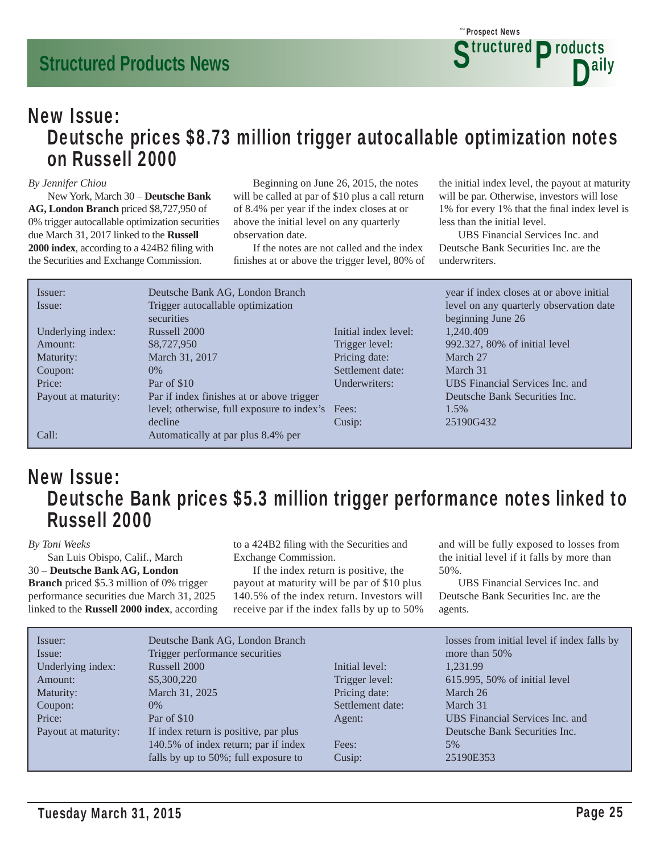### New Issue: Deutsche prices \$8.73 million trigger autocallable optimization notes on Russell 2000

#### *By Jennifer Chiou*

 New York, March 30 – **Deutsche Bank AG, London Branch** priced \$8,727,950 of 0% trigger autocallable optimization securities due March 31, 2017 linked to the **Russell**  2000 index, according to a 424B2 filing with the Securities and Exchange Commission.

 Beginning on June 26, 2015, the notes will be called at par of \$10 plus a call return of 8.4% per year if the index closes at or above the initial level on any quarterly observation date.

 If the notes are not called and the index finishes at or above the trigger level, 80% of the initial index level, the payout at maturity will be par. Otherwise, investors will lose 1% for every 1% that the final index level is less than the initial level.

 UBS Financial Services Inc. and Deutsche Bank Securities Inc. are the underwriters.

| Issuer:             | Deutsche Bank AG, London Branch                  |                      | year if index closes at or above initial |
|---------------------|--------------------------------------------------|----------------------|------------------------------------------|
| Issue:              | Trigger autocallable optimization                |                      | level on any quarterly observation date  |
|                     | securities                                       |                      | beginning June 26                        |
| Underlying index:   | Russell 2000                                     | Initial index level: | 1,240.409                                |
| Amount:             | \$8,727,950                                      | Trigger level:       | 992.327, 80% of initial level            |
| Maturity:           | March 31, 2017                                   | Pricing date:        | March 27                                 |
| Coupon:             | $0\%$                                            | Settlement date:     | March 31                                 |
| Price:              | Par of \$10                                      | Underwriters:        | <b>UBS</b> Financial Services Inc. and   |
| Payout at maturity: | Par if index finishes at or above trigger        |                      | Deutsche Bank Securities Inc.            |
|                     | level; otherwise, full exposure to index's Fees: |                      | $1.5\%$                                  |
|                     | decline                                          | Cusip:               | 25190G432                                |
| Call:               | Automatically at par plus 8.4% per               |                      |                                          |

### New Issue: Deutsche Bank prices \$5.3 million trigger performance notes linked to Russell 2000

#### *By Toni Weeks*

 San Luis Obispo, Calif., March 30 – **Deutsche Bank AG, London Branch** priced \$5.3 million of 0% trigger performance securities due March 31, 2025 linked to the **Russell 2000 index**, according to a 424B2 filing with the Securities and Exchange Commission.

 If the index return is positive, the payout at maturity will be par of \$10 plus 140.5% of the index return. Investors will receive par if the index falls by up to 50% and will be fully exposed to losses from the initial level if it falls by more than 50%.

 UBS Financial Services Inc. and Deutsche Bank Securities Inc. are the agents.

| Issuer:             | Deutsche Bank AG, London Branch       |                  | losses from initial level if index falls by |
|---------------------|---------------------------------------|------------------|---------------------------------------------|
| Issue:              | Trigger performance securities        |                  | more than $50\%$                            |
| Underlying index:   | Russell 2000                          | Initial level:   | 1.231.99                                    |
| Amount:             | \$5,300,220                           | Trigger level:   | 615.995, 50% of initial level               |
| Maturity:           | March 31, 2025                        | Pricing date:    | March 26                                    |
| Coupon:             | $0\%$                                 | Settlement date: | March 31                                    |
| Price:              | Par of \$10                           | Agent:           | UBS Financial Services Inc. and             |
| Payout at maturity: | If index return is positive, par plus |                  | Deutsche Bank Securities Inc.               |
|                     | 140.5% of index return; par if index  | Fees:            | 5%                                          |
|                     | falls by up to 50%; full exposure to  | Cusip:           | 25190E353                                   |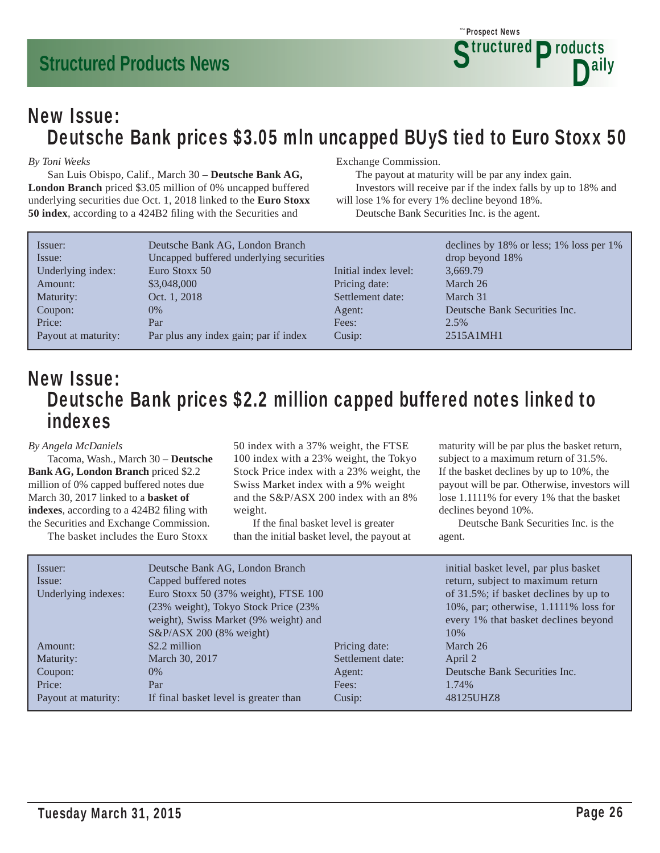### New Issue: Deutsche Bank prices \$3.05 mln uncapped BUyS tied to Euro Stoxx 50

#### *By Toni Weeks*

 San Luis Obispo, Calif., March 30 – **Deutsche Bank AG, London Branch** priced \$3.05 million of 0% uncapped buffered underlying securities due Oct. 1, 2018 linked to the **Euro Stoxx 50 index**, according to a 424B2 filing with the Securities and

#### Exchange Commission.

 The payout at maturity will be par any index gain. Investors will receive par if the index falls by up to 18% and will lose 1% for every 1% decline beyond 18%.

Deutsche Bank Securities Inc. is the agent.

| Issuer:             | Deutsche Bank AG, London Branch         |                      | declines by $18\%$ or less; $1\%$ loss per $1\%$ |
|---------------------|-----------------------------------------|----------------------|--------------------------------------------------|
| Issue:              | Uncapped buffered underlying securities |                      | drop beyond 18%                                  |
| Underlying index:   | Euro Stoxx 50                           | Initial index level: | 3,669.79                                         |
| Amount:             | \$3,048,000                             | Pricing date:        | March 26                                         |
| Maturity:           | Oct. 1, 2018                            | Settlement date:     | March 31                                         |
| Coupon:             | $0\%$                                   | Agent:               | Deutsche Bank Securities Inc.                    |
| Price:              | Par                                     | Fees:                | 2.5%                                             |
| Payout at maturity: | Par plus any index gain; par if index   | Cusip:               | 2515A1MH1                                        |

### New Issue: Deutsche Bank prices \$2.2 million capped buffered notes linked to indexes

#### *By Angela McDaniels*

 Tacoma, Wash., March 30 – **Deutsche Bank AG, London Branch** priced \$2.2 million of 0% capped buffered notes due March 30, 2017 linked to a **basket of indexes**, according to a 424B2 filing with the Securities and Exchange Commission.

The basket includes the Euro Stoxx

50 index with a 37% weight, the FTSE 100 index with a 23% weight, the Tokyo Stock Price index with a 23% weight, the Swiss Market index with a 9% weight and the S&P/ASX 200 index with an 8% weight.

If the final basket level is greater than the initial basket level, the payout at maturity will be par plus the basket return, subject to a maximum return of 31.5%. If the basket declines by up to 10%, the payout will be par. Otherwise, investors will lose 1.1111% for every 1% that the basket declines beyond 10%.

 Deutsche Bank Securities Inc. is the agent.

| Issuer:<br>Issue:<br>Underlying indexes: | Deutsche Bank AG, London Branch<br>Capped buffered notes<br>Euro Stoxx 50 (37% weight), FTSE 100<br>(23% weight), Tokyo Stock Price (23%)<br>weight), Swiss Market (9% weight) and<br>$S&P/ASX$ 200 (8% weight) |                  | initial basket level, par plus basket<br>return, subject to maximum return<br>of 31.5%; if basket declines by up to<br>10%, par; otherwise, 1.1111% loss for<br>every 1% that basket declines beyond<br>10\% |
|------------------------------------------|-----------------------------------------------------------------------------------------------------------------------------------------------------------------------------------------------------------------|------------------|--------------------------------------------------------------------------------------------------------------------------------------------------------------------------------------------------------------|
| Amount:                                  | \$2.2 million                                                                                                                                                                                                   | Pricing date:    | March 26                                                                                                                                                                                                     |
| Maturity:                                | March 30, 2017                                                                                                                                                                                                  | Settlement date: | April 2                                                                                                                                                                                                      |
| Coupon:                                  | $0\%$                                                                                                                                                                                                           | Agent:           | Deutsche Bank Securities Inc.                                                                                                                                                                                |
| Price:                                   | Par                                                                                                                                                                                                             | Fees:            | 1.74%                                                                                                                                                                                                        |
| Payout at maturity:                      | If final basket level is greater than                                                                                                                                                                           | Cusip:           | 48125UHZ8                                                                                                                                                                                                    |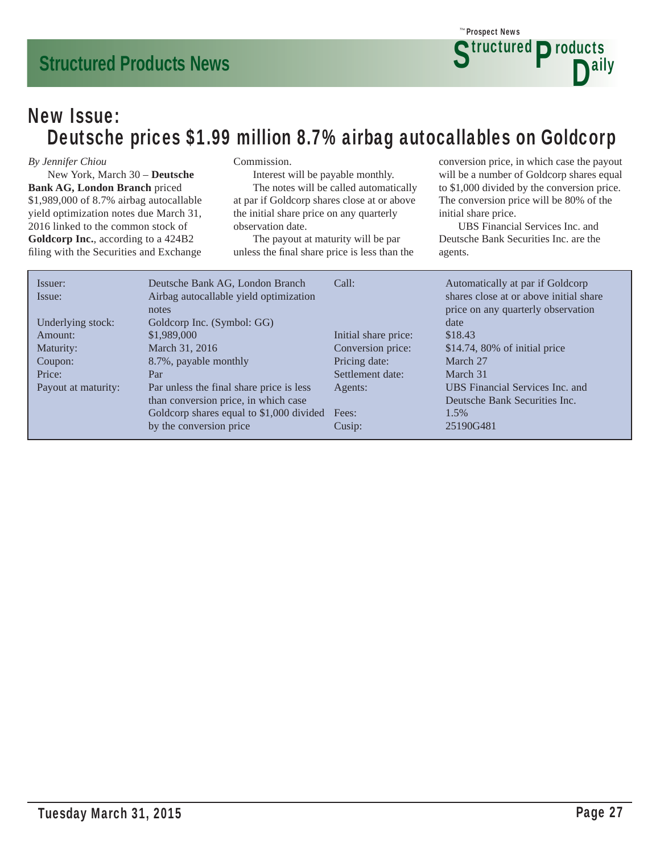### New Issue: Deutsche prices \$1.99 million 8.7% airbag autocallables on Goldcorp

#### *By Jennifer Chiou*

 New York, March 30 – **Deutsche Bank AG, London Branch** priced \$1,989,000 of 8.7% airbag autocallable yield optimization notes due March 31, 2016 linked to the common stock of **Goldcorp Inc.**, according to a 424B2 filing with the Securities and Exchange

#### Commission.

Interest will be payable monthly.

 The notes will be called automatically at par if Goldcorp shares close at or above the initial share price on any quarterly observation date.

 The payout at maturity will be par unless the final share price is less than the conversion price, in which case the payout will be a number of Goldcorp shares equal to \$1,000 divided by the conversion price. The conversion price will be 80% of the initial share price.

 UBS Financial Services Inc. and Deutsche Bank Securities Inc. are the agents.

| Issuer:<br>Issue:   | Deutsche Bank AG, London Branch<br>Airbag autocallable yield optimization | Call:                | Automatically at par if Goldcorp<br>shares close at or above initial share |
|---------------------|---------------------------------------------------------------------------|----------------------|----------------------------------------------------------------------------|
|                     | notes                                                                     |                      | price on any quarterly observation                                         |
| Underlying stock:   | Goldcorp Inc. (Symbol: GG)                                                |                      | date                                                                       |
| Amount:             | \$1,989,000                                                               | Initial share price: | \$18.43                                                                    |
| Maturity:           | March 31, 2016                                                            | Conversion price:    | $$14.74, 80\%$ of initial price                                            |
| Coupon:             | 8.7%, payable monthly                                                     | Pricing date:        | March 27                                                                   |
| Price:              | Par                                                                       | Settlement date:     | March 31                                                                   |
| Payout at maturity: | Par unless the final share price is less                                  | Agents:              | UBS Financial Services Inc. and                                            |
|                     | than conversion price, in which case                                      |                      | Deutsche Bank Securities Inc.                                              |
|                     | Goldcorp shares equal to \$1,000 divided                                  | Fees:                | 1.5%                                                                       |
|                     | by the conversion price                                                   | Cusip:               | 25190G481                                                                  |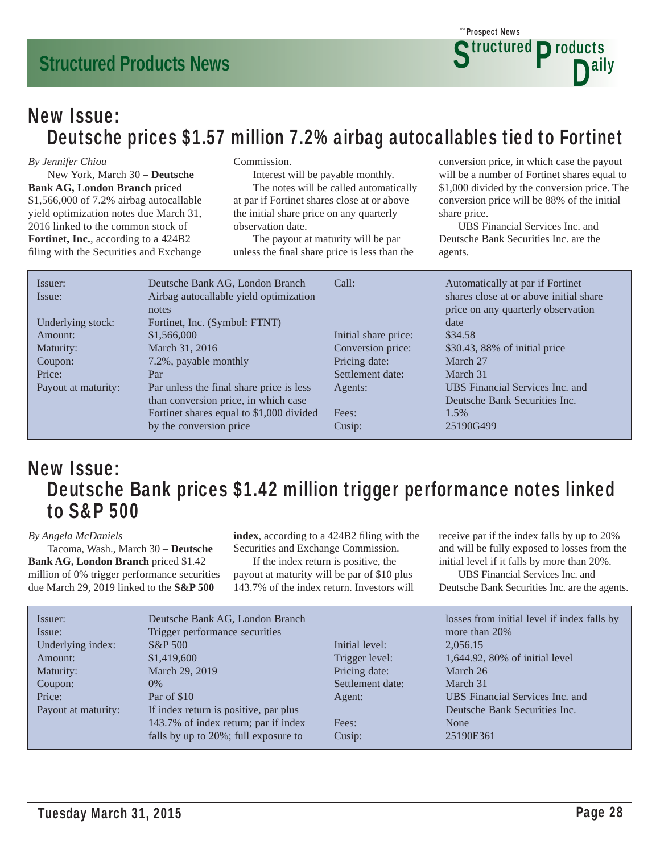### Prospect News *The* **Structured Products** D<sup>ally</sup>

### New Issue: Deutsche prices \$1.57 million 7.2% airbag autocallables tied to Fortinet

#### *By Jennifer Chiou*

 New York, March 30 – **Deutsche Bank AG, London Branch** priced \$1,566,000 of 7.2% airbag autocallable yield optimization notes due March 31, 2016 linked to the common stock of **Fortinet, Inc.**, according to a 424B2 filing with the Securities and Exchange

#### Commission.

Interest will be payable monthly.

 The notes will be called automatically at par if Fortinet shares close at or above the initial share price on any quarterly observation date.

 The payout at maturity will be par unless the final share price is less than the conversion price, in which case the payout will be a number of Fortinet shares equal to \$1,000 divided by the conversion price. The conversion price will be 88% of the initial share price.

 UBS Financial Services Inc. and Deutsche Bank Securities Inc. are the agents.

| Issuer:<br>Issue:   | Deutsche Bank AG, London Branch<br>Airbag autocallable yield optimization<br>notes | Call:                | Automatically at par if Fortinet<br>shares close at or above initial share<br>price on any quarterly observation |
|---------------------|------------------------------------------------------------------------------------|----------------------|------------------------------------------------------------------------------------------------------------------|
| Underlying stock:   | Fortinet, Inc. (Symbol: FTNT)                                                      |                      | date                                                                                                             |
| Amount:             | \$1,566,000                                                                        | Initial share price: | \$34.58                                                                                                          |
| Maturity:           | March 31, 2016                                                                     | Conversion price:    | \$30.43, 88% of initial price                                                                                    |
| Coupon:             | 7.2%, payable monthly                                                              | Pricing date:        | March 27                                                                                                         |
| Price:              | Par                                                                                | Settlement date:     | March 31                                                                                                         |
| Payout at maturity: | Par unless the final share price is less                                           | Agents:              | UBS Financial Services Inc. and                                                                                  |
|                     | than conversion price, in which case                                               |                      | Deutsche Bank Securities Inc.                                                                                    |
|                     | Fortinet shares equal to \$1,000 divided                                           | Fees:                | 1.5%                                                                                                             |
|                     | by the conversion price                                                            | Cusip:               | 25190G499                                                                                                        |

### New Issue: Deutsche Bank prices \$1.42 million trigger performance notes linked to S&P 500

#### *By Angela McDaniels*

 Tacoma, Wash., March 30 – **Deutsche Bank AG, London Branch** priced \$1.42 million of 0% trigger performance securities due March 29, 2019 linked to the **S&P 500** 

index, according to a 424B2 filing with the Securities and Exchange Commission.

 If the index return is positive, the payout at maturity will be par of \$10 plus 143.7% of the index return. Investors will receive par if the index falls by up to 20% and will be fully exposed to losses from the initial level if it falls by more than 20%. UBS Financial Services Inc. and

| Deutsche Bank Securities Inc. are the agents. |
|-----------------------------------------------|
|-----------------------------------------------|

| Issuer:             | Deutsche Bank AG, London Branch       |                  | losses from initial level if index falls by |
|---------------------|---------------------------------------|------------------|---------------------------------------------|
| Issue:              | Trigger performance securities        |                  | more than 20%                               |
| Underlying index:   | $S\&P 500$                            | Initial level:   | 2,056.15                                    |
| Amount:             | \$1,419,600                           | Trigger level:   | 1,644.92, 80% of initial level              |
| Maturity:           | March 29, 2019                        | Pricing date:    | March 26                                    |
| Coupon:             | $0\%$                                 | Settlement date: | March 31                                    |
| Price:              | Par of \$10                           | Agent:           | UBS Financial Services Inc. and             |
| Payout at maturity: | If index return is positive, par plus |                  | Deutsche Bank Securities Inc.               |
|                     | 143.7% of index return; par if index  | Fees:            | None                                        |
|                     | falls by up to 20%; full exposure to  | Cusip:           | 25190E361                                   |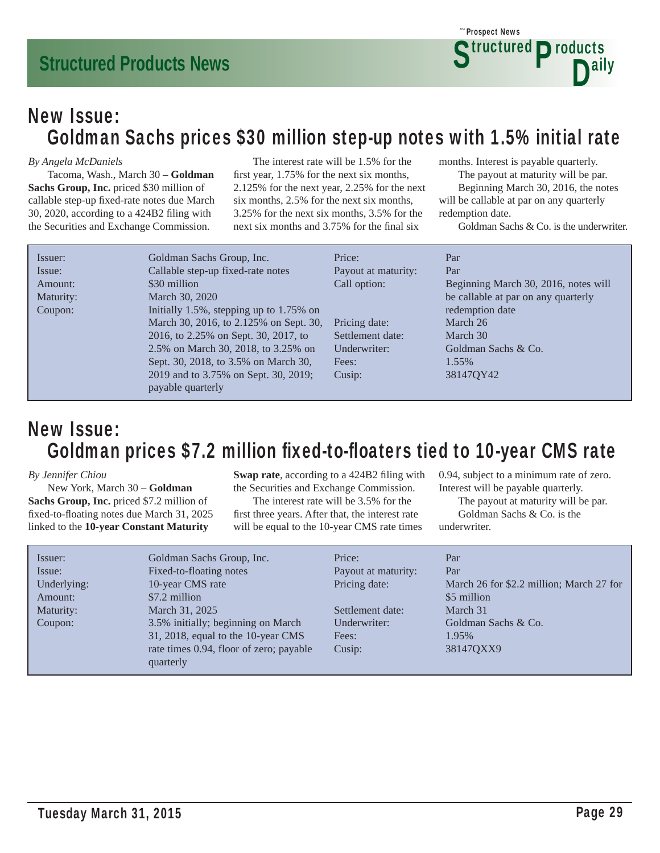### New Issue: Goldman Sachs prices \$30 million step-up notes with 1.5% initial rate

#### *By Angela McDaniels*

 Tacoma, Wash., March 30 – **Goldman Sachs Group, Inc.** priced \$30 million of callable step-up fixed-rate notes due March 30, 2020, according to a 424B2 filing with the Securities and Exchange Commission.

 The interest rate will be 1.5% for the first year, 1.75% for the next six months, 2.125% for the next year, 2.25% for the next six months, 2.5% for the next six months, 3.25% for the next six months, 3.5% for the next six months and 3.75% for the final six

months. Interest is payable quarterly.

Prospect News *The*

 The payout at maturity will be par. Beginning March 30, 2016, the notes will be callable at par on any quarterly redemption date.

**Structured Products** 

D<sup>ally</sup>

Goldman Sachs & Co. is the underwriter.

| Issuer:   | Goldman Sachs Group, Inc.               | Price:              | Par                                  |
|-----------|-----------------------------------------|---------------------|--------------------------------------|
| Issue:    | Callable step-up fixed-rate notes       | Payout at maturity: | Par                                  |
| Amount:   | \$30 million                            | Call option:        | Beginning March 30, 2016, notes will |
| Maturity: | March 30, 2020                          |                     | be callable at par on any quarterly  |
| Coupon:   | Initially 1.5%, stepping up to 1.75% on |                     | redemption date                      |
|           | March 30, 2016, to 2.125% on Sept. 30,  | Pricing date:       | March 26                             |
|           | 2016, to 2.25% on Sept. 30, 2017, to    | Settlement date:    | March 30                             |
|           | 2.5% on March 30, 2018, to 3.25% on     | Underwriter:        | Goldman Sachs & Co.                  |
|           | Sept. 30, 2018, to 3.5% on March 30,    | Fees:               | 1.55%                                |
|           | 2019 and to 3.75% on Sept. 30, 2019;    | Cusip:              | 38147QY42                            |
|           | payable quarterly                       |                     |                                      |

### New Issue: Goldman prices \$7.2 million fixed-to-floaters tied to 10-year CMS rate

#### *By Jennifer Chiou*

 New York, March 30 – **Goldman Sachs Group, Inc.** priced \$7.2 million of fixed-to-floating notes due March 31, 2025 linked to the **10-year Constant Maturity** 

**Swap rate**, according to a 424B2 filing with the Securities and Exchange Commission.

 The interest rate will be 3.5% for the first three years. After that, the interest rate will be equal to the 10-year CMS rate times 0.94, subject to a minimum rate of zero. Interest will be payable quarterly. The payout at maturity will be par.

 Goldman Sachs & Co. is the underwriter.

| Issuer:<br>Issue:<br>Underlying:<br>Amount:<br>Maturity:<br>Coupon: | Goldman Sachs Group, Inc.<br>Fixed-to-floating notes<br>10-year CMS rate<br>\$7.2 million<br>March 31, 2025<br>3.5% initially; beginning on March | Price:<br>Payout at maturity:<br>Pricing date:<br>Settlement date:<br>Underwriter: | Par<br>Par<br>March 26 for \$2.2 million; March 27 for<br>\$5 million<br>March 31<br>Goldman Sachs & Co. |
|---------------------------------------------------------------------|---------------------------------------------------------------------------------------------------------------------------------------------------|------------------------------------------------------------------------------------|----------------------------------------------------------------------------------------------------------|
|                                                                     |                                                                                                                                                   |                                                                                    |                                                                                                          |
|                                                                     |                                                                                                                                                   |                                                                                    |                                                                                                          |
|                                                                     |                                                                                                                                                   |                                                                                    |                                                                                                          |
|                                                                     | 31, 2018, equal to the 10-year CMS                                                                                                                | Fees:                                                                              | 1.95%                                                                                                    |
|                                                                     | rate times 0.94, floor of zero; payable<br>quarterly                                                                                              | Cusip:                                                                             | 38147QXX9                                                                                                |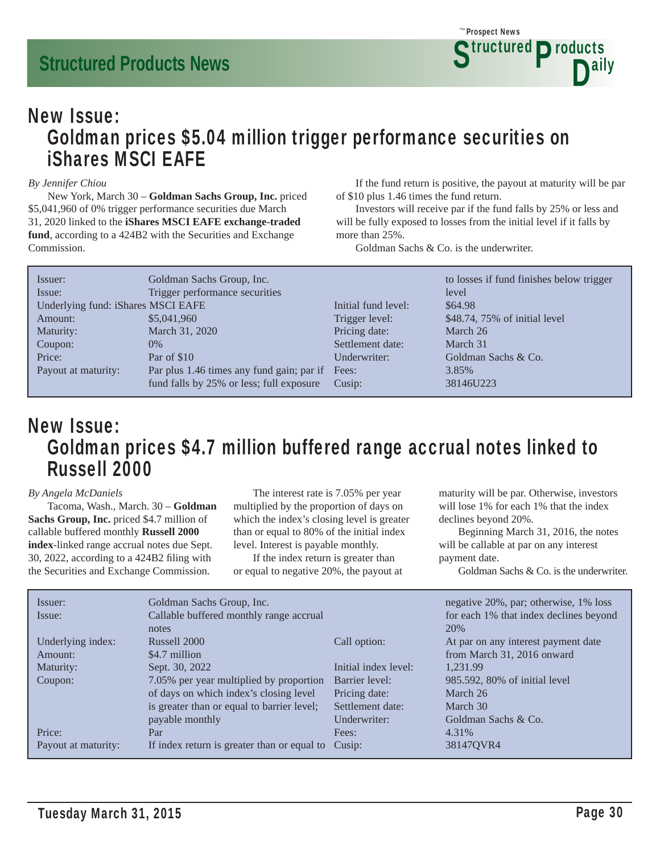Prospect News *The* **Structured Products** D<sup>ally</sup>

### New Issue: Goldman prices \$5.04 million trigger performance securities on iShares MSCI EAFE

#### *By Jennifer Chiou*

 New York, March 30 – **Goldman Sachs Group, Inc.** priced \$5,041,960 of 0% trigger performance securities due March 31, 2020 linked to the **iShares MSCI EAFE exchange-traded fund**, according to a 424B2 with the Securities and Exchange Commission.

 If the fund return is positive, the payout at maturity will be par of \$10 plus 1.46 times the fund return.

 Investors will receive par if the fund falls by 25% or less and will be fully exposed to losses from the initial level if it falls by more than 25%.

Goldman Sachs & Co. is the underwriter.

| Issuer:                            | Goldman Sachs Group, Inc.                       |                     | to losses if fund finishes below trigger |
|------------------------------------|-------------------------------------------------|---------------------|------------------------------------------|
| Issue:                             | Trigger performance securities                  |                     | level                                    |
| Underlying fund: iShares MSCI EAFE |                                                 | Initial fund level: | \$64.98                                  |
| Amount:                            | \$5,041,960                                     | Trigger level:      | \$48.74, 75% of initial level            |
| Maturity:                          | March 31, 2020                                  | Pricing date:       | March 26                                 |
| Coupon:                            | $0\%$                                           | Settlement date:    | March 31                                 |
| Price:                             | Par of \$10                                     | Underwriter:        | Goldman Sachs & Co.                      |
| Payout at maturity:                | Par plus 1.46 times any fund gain; par if Fees: |                     | 3.85%                                    |
|                                    | fund falls by 25% or less; full exposure        | Cusip:              | 38146U223                                |

### New Issue: Goldman prices \$4.7 million buffered range accrual notes linked to Russell 2000

#### *By Angela McDaniels*

 Tacoma, Wash., March. 30 – **Goldman Sachs Group, Inc.** priced \$4.7 million of callable buffered monthly **Russell 2000 index**-linked range accrual notes due Sept.  $30$ ,  $2022$ , according to a  $424B2$  filing with the Securities and Exchange Commission.

 The interest rate is 7.05% per year multiplied by the proportion of days on which the index's closing level is greater than or equal to 80% of the initial index level. Interest is payable monthly.

 If the index return is greater than or equal to negative 20%, the payout at

maturity will be par. Otherwise, investors will lose 1% for each 1% that the index declines beyond 20%.

 Beginning March 31, 2016, the notes will be callable at par on any interest payment date.

Goldman Sachs & Co. is the underwriter.

| Issuer:             | Goldman Sachs Group, Inc.                   |                      | negative 20%, par; otherwise, 1% loss  |
|---------------------|---------------------------------------------|----------------------|----------------------------------------|
| Issue:              | Callable buffered monthly range accrual     |                      | for each 1% that index declines beyond |
|                     | notes                                       |                      | 20%                                    |
| Underlying index:   | Russell 2000                                | Call option:         | At par on any interest payment date    |
| Amount:             | \$4.7 million                               |                      | from March 31, 2016 onward             |
| Maturity:           | Sept. 30, 2022                              | Initial index level: | 1.231.99                               |
| Coupon:             | 7.05% per year multiplied by proportion     | Barrier level:       | 985.592, 80% of initial level          |
|                     | of days on which index's closing level      | Pricing date:        | March 26                               |
|                     | is greater than or equal to barrier level;  | Settlement date:     | March 30                               |
|                     | payable monthly                             | Underwriter:         | Goldman Sachs & Co.                    |
| Price:              | Par                                         | Fees:                | 4.31%                                  |
| Payout at maturity: | If index return is greater than or equal to | Cusip:               | 38147QVR4                              |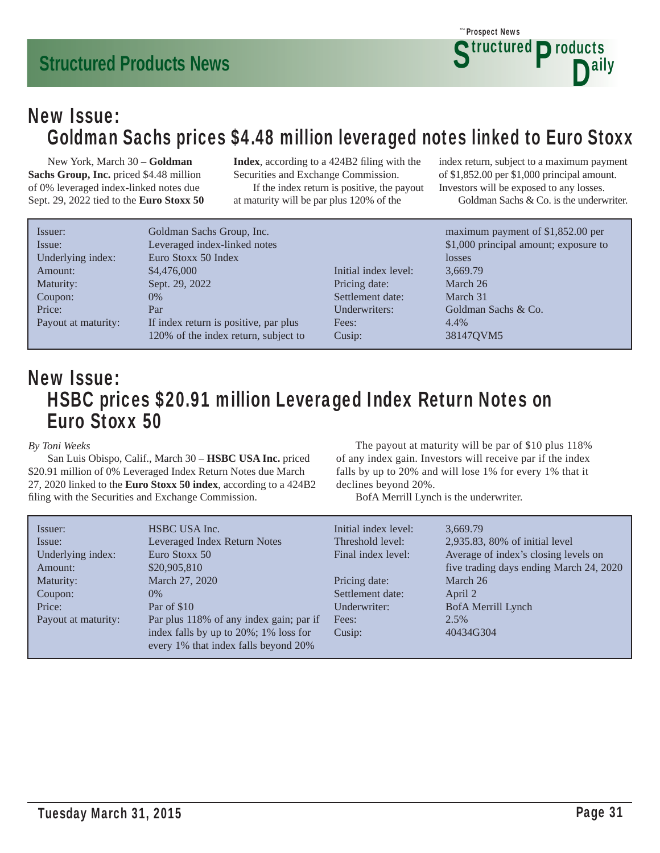### New Issue: Goldman Sachs prices \$4.48 million leveraged notes linked to Euro Stoxx

 New York, March 30 – **Goldman Sachs Group, Inc.** priced \$4.48 million of 0% leveraged index-linked notes due Sept. 29, 2022 tied to the **Euro Stoxx 50**  **Index**, according to a 424B2 filing with the Securities and Exchange Commission. If the index return is positive, the payout

at maturity will be par plus 120% of the

index return, subject to a maximum payment of \$1,852.00 per \$1,000 principal amount. Investors will be exposed to any losses.

**Structured Products** 

D<sup>ally</sup>

Prospect News *The*

Goldman Sachs & Co. is the underwriter.

| Issuer:             | Goldman Sachs Group, Inc.             |                      | maximum payment of \$1,852.00 per     |
|---------------------|---------------------------------------|----------------------|---------------------------------------|
| Issue:              | Leveraged index-linked notes          |                      | \$1,000 principal amount; exposure to |
| Underlying index:   | Euro Stoxx 50 Index                   |                      | losses                                |
| Amount:             | \$4,476,000                           | Initial index level: | 3.669.79                              |
| Maturity:           | Sept. 29, 2022                        | Pricing date:        | March 26                              |
| Coupon:             | $0\%$                                 | Settlement date:     | March 31                              |
| Price:              | Par                                   | Underwriters:        | Goldman Sachs & Co.                   |
| Payout at maturity: | If index return is positive, par plus | Fees:                | 4.4%                                  |
|                     | 120% of the index return, subject to  | Cusip:               | 38147QVM5                             |

### New Issue: HSBC prices \$20.91 million Leveraged Index Return Notes on Euro Stoxx 50

*By Toni Weeks*

 San Luis Obispo, Calif., March 30 – **HSBC USA Inc.** priced \$20.91 million of 0% Leveraged Index Return Notes due March 27, 2020 linked to the **Euro Stoxx 50 index**, according to a 424B2 filing with the Securities and Exchange Commission.

 The payout at maturity will be par of \$10 plus 118% of any index gain. Investors will receive par if the index falls by up to 20% and will lose 1% for every 1% that it declines beyond 20%.

BofA Merrill Lynch is the underwriter.

| Issuer:<br>Issue:<br>Underlying index:<br>Amount: | HSBC USA Inc.<br>Leveraged Index Return Notes<br>Euro Stoxx 50<br>\$20,905,810 | Initial index level:<br>Threshold level:<br>Final index level: | 3.669.79<br>2,935.83, 80% of initial level<br>Average of index's closing levels on<br>five trading days ending March 24, 2020 |
|---------------------------------------------------|--------------------------------------------------------------------------------|----------------------------------------------------------------|-------------------------------------------------------------------------------------------------------------------------------|
| Maturity:                                         | March 27, 2020                                                                 | Pricing date:                                                  | March 26                                                                                                                      |
| Coupon:                                           | $0\%$                                                                          | Settlement date:                                               | April 2                                                                                                                       |
| Price:                                            | Par of \$10                                                                    | Underwriter:                                                   | BofA Merrill Lynch                                                                                                            |
| Payout at maturity:                               | Par plus 118% of any index gain; par if                                        | Fees:                                                          | 2.5%                                                                                                                          |
|                                                   | index falls by up to 20%; 1% loss for<br>every 1% that index falls beyond 20%  | Cusip:                                                         | 40434G304                                                                                                                     |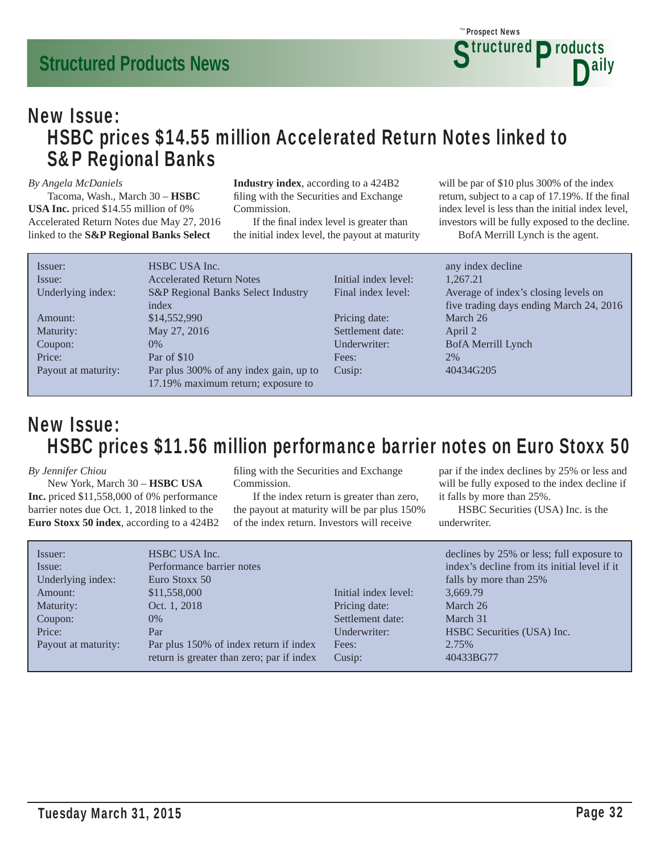### New Issue: HSBC prices \$14.55 million Accelerated Return Notes linked to S&P Regional Banks

#### *By Angela McDaniels*

 Tacoma, Wash., March 30 – **HSBC USA Inc.** priced \$14.55 million of 0% Accelerated Return Notes due May 27, 2016 linked to the **S&P Regional Banks Select** 

**Industry index**, according to a 424B2 filing with the Securities and Exchange Commission.

If the final index level is greater than the initial index level, the payout at maturity

will be par of \$10 plus 300% of the index return, subject to a cap of 17.19%. If the final index level is less than the initial index level, investors will be fully exposed to the decline.

BofA Merrill Lynch is the agent.

| Issuer:             | HSBC USA Inc.                          |                      | any index decline                       |
|---------------------|----------------------------------------|----------------------|-----------------------------------------|
| Issue:              | <b>Accelerated Return Notes</b>        | Initial index level: | 1.267.21                                |
| Underlying index:   | S&P Regional Banks Select Industry     | Final index level:   | Average of index's closing levels on    |
|                     | index                                  |                      | five trading days ending March 24, 2016 |
| Amount:             | \$14,552,990                           | Pricing date:        | March 26                                |
| Maturity:           | May 27, 2016                           | Settlement date:     | April 2                                 |
| Coupon:             | $0\%$                                  | Underwriter:         | BofA Merrill Lynch                      |
| Price:              | Par of \$10                            | Fees:                | 2%                                      |
| Payout at maturity: | Par plus 300% of any index gain, up to | Cusip:               | 40434G205                               |
|                     | 17.19% maximum return; exposure to     |                      |                                         |
|                     |                                        |                      |                                         |

### New Issue: HSBC prices \$11.56 million performance barrier notes on Euro Stoxx 50

#### *By Jennifer Chiou*

 New York, March 30 – **HSBC USA Inc.** priced \$11,558,000 of 0% performance barrier notes due Oct. 1, 2018 linked to the **Euro Stoxx 50 index**, according to a 424B2 filing with the Securities and Exchange Commission.

 If the index return is greater than zero, the payout at maturity will be par plus 150% of the index return. Investors will receive

par if the index declines by 25% or less and will be fully exposed to the index decline if it falls by more than 25%.

 HSBC Securities (USA) Inc. is the underwriter.

| Issuer:<br>Issue:   | HSBC USA Inc.<br>Performance barrier notes |                      | declines by 25% or less; full exposure to<br>index's decline from its initial level if it |
|---------------------|--------------------------------------------|----------------------|-------------------------------------------------------------------------------------------|
| Underlying index:   | Euro Stoxx 50                              |                      | falls by more than 25%                                                                    |
| Amount:             | \$11,558,000                               | Initial index level: | 3,669.79                                                                                  |
| Maturity:           | Oct. 1, 2018                               | Pricing date:        | March 26                                                                                  |
| Coupon:             | $0\%$                                      | Settlement date:     | March 31                                                                                  |
| Price:              | Par                                        | Underwriter:         | HSBC Securities (USA) Inc.                                                                |
| Payout at maturity: | Par plus 150% of index return if index     | Fees:                | 2.75%                                                                                     |
|                     | return is greater than zero; par if index  | Cusip:               | 40433BG77                                                                                 |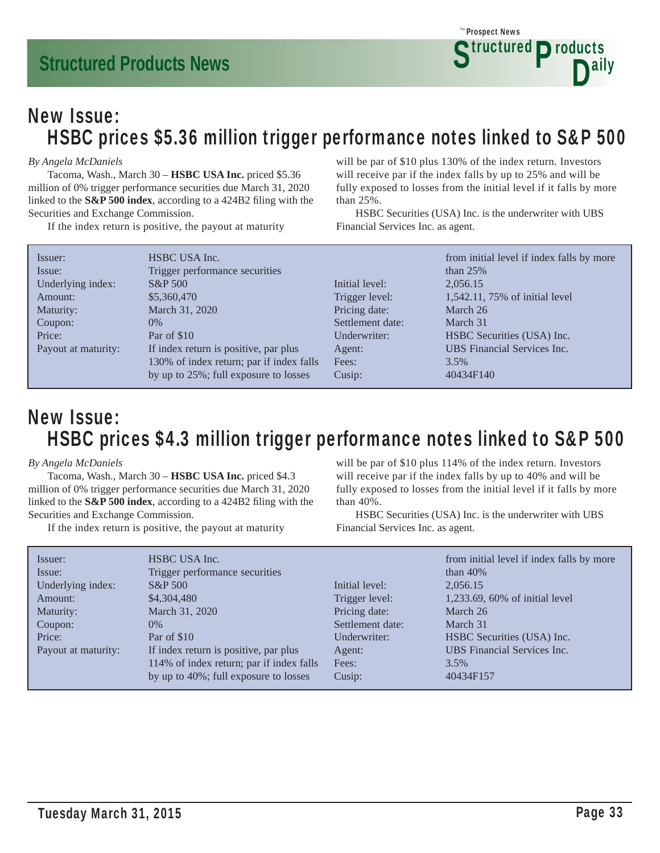

### New Issue: HSBC prices \$5.36 million trigger performance notes linked to S&P 500

#### *By Angela McDaniels*

 Tacoma, Wash., March 30 – **HSBC USA Inc.** priced \$5.36 million of 0% trigger performance securities due March 31, 2020 linked to the **S&P 500 index**, according to a 424B2 filing with the Securities and Exchange Commission.

If the index return is positive, the payout at maturity

will be par of \$10 plus 130% of the index return. Investors will receive par if the index falls by up to 25% and will be fully exposed to losses from the initial level if it falls by more than 25%.

 HSBC Securities (USA) Inc. is the underwriter with UBS Financial Services Inc. as agent.

| Issuer:             | HSBC USA Inc.                            |                  | from initial level if index falls by more |
|---------------------|------------------------------------------|------------------|-------------------------------------------|
| Issue:              | Trigger performance securities           |                  | than $25%$                                |
| Underlying index:   | $S\&P 500$                               | Initial level:   | 2,056.15                                  |
| Amount:             | \$5,360,470                              | Trigger level:   | 1,542.11, 75% of initial level            |
| Maturity:           | March 31, 2020                           | Pricing date:    | March 26                                  |
| Coupon:             | $0\%$                                    | Settlement date: | March 31                                  |
| Price:              | Par of \$10                              | Underwriter:     | HSBC Securities (USA) Inc.                |
| Payout at maturity: | If index return is positive, par plus    | Agent:           | <b>UBS</b> Financial Services Inc.        |
|                     | 130% of index return; par if index falls | Fees:            | 3.5%                                      |
|                     | by up to 25%; full exposure to losses    | Cusip:           | 40434F140                                 |

### New Issue: HSBC prices \$4.3 million trigger performance notes linked to S&P 500

#### *By Angela McDaniels*

 Tacoma, Wash., March 30 – **HSBC USA Inc.** priced \$4.3 million of 0% trigger performance securities due March 31, 2020 linked to the **S&P 500 index**, according to a 424B2 filing with the Securities and Exchange Commission.

If the index return is positive, the payout at maturity

will be par of \$10 plus 114% of the index return. Investors will receive par if the index falls by up to 40% and will be fully exposed to losses from the initial level if it falls by more than 40%.

 HSBC Securities (USA) Inc. is the underwriter with UBS Financial Services Inc. as agent.

| Issuer:             | HSBC USA Inc.                            |                  | from initial level if index falls by more |
|---------------------|------------------------------------------|------------------|-------------------------------------------|
| Issue:              | Trigger performance securities           |                  | than $40\%$                               |
| Underlying index:   | $S\&P 500$                               | Initial level:   | 2,056.15                                  |
| Amount:             | \$4,304,480                              | Trigger level:   | 1,233.69, 60% of initial level            |
| Maturity:           | March 31, 2020                           | Pricing date:    | March 26                                  |
| Coupon:             | $0\%$                                    | Settlement date: | March 31                                  |
| Price:              | Par of \$10                              | Underwriter:     | HSBC Securities (USA) Inc.                |
| Payout at maturity: | If index return is positive, par plus    | Agent:           | <b>UBS</b> Financial Services Inc.        |
|                     | 114% of index return; par if index falls | Fees:            | 3.5%                                      |
|                     | by up to 40%; full exposure to losses    | Cusip:           | 40434F157                                 |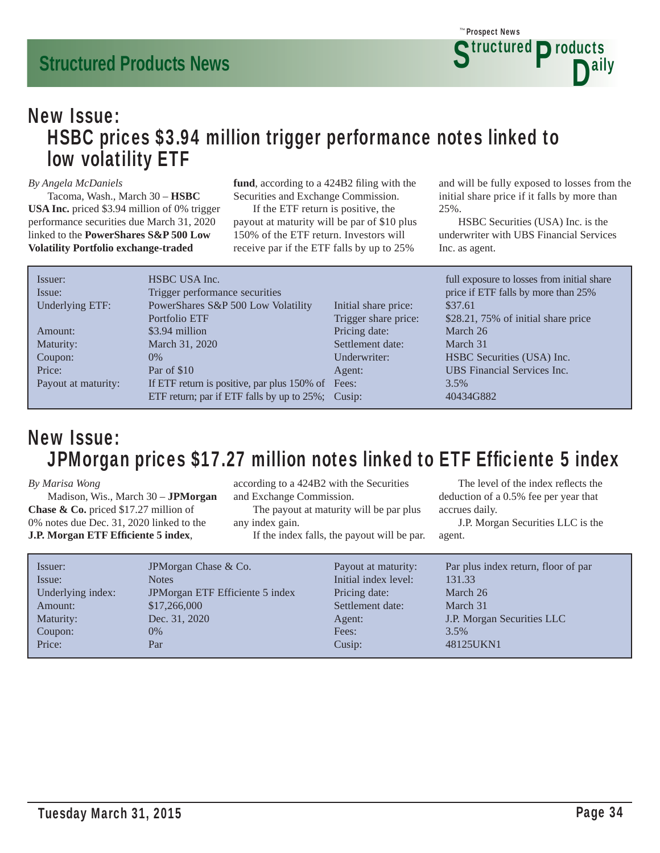### New Issue: HSBC prices \$3.94 million trigger performance notes linked to low volatility ETF

#### *By Angela McDaniels*

 Tacoma, Wash., March 30 – **HSBC USA Inc.** priced \$3.94 million of 0% trigger performance securities due March 31, 2020 linked to the **PowerShares S&P 500 Low Volatility Portfolio exchange-traded** 

fund, according to a 424B2 filing with the Securities and Exchange Commission.

 If the ETF return is positive, the payout at maturity will be par of \$10 plus 150% of the ETF return. Investors will receive par if the ETF falls by up to 25%

and will be fully exposed to losses from the initial share price if it falls by more than 25%.

 HSBC Securities (USA) Inc. is the underwriter with UBS Financial Services Inc. as agent.

| Issuer:             | HSBC USA Inc.                                     |                      | full exposure to losses from initial share |
|---------------------|---------------------------------------------------|----------------------|--------------------------------------------|
| Issue:              | Trigger performance securities                    |                      | price if ETF falls by more than 25%        |
| Underlying ETF:     | PowerShares S&P 500 Low Volatility                | Initial share price: | \$37.61                                    |
|                     | Portfolio ETF                                     | Trigger share price: | \$28.21, 75% of initial share price        |
| Amount:             | \$3.94 million                                    | Pricing date:        | March 26                                   |
| Maturity:           | March 31, 2020                                    | Settlement date:     | March 31                                   |
| Coupon:             | $0\%$                                             | Underwriter:         | HSBC Securities (USA) Inc.                 |
| Price:              | Par of \$10                                       | Agent:               | <b>UBS</b> Financial Services Inc.         |
| Payout at maturity: | If ETF return is positive, par plus 150% of Fees: |                      | 3.5%                                       |
|                     | ETF return; par if ETF falls by up to 25%; Cusip: |                      | 40434G882                                  |
|                     |                                                   |                      |                                            |

### New Issue: JPMorgan prices \$17.27 million notes linked to ETF Efficiente 5 index

*By Marisa Wong*

 Madison, Wis., March 30 – **JPMorgan Chase & Co.** priced \$17.27 million of 0% notes due Dec. 31, 2020 linked to the **J.P. Morgan ETF Effi ciente 5 index**,

according to a 424B2 with the Securities and Exchange Commission.

 The payout at maturity will be par plus any index gain.

If the index falls, the payout will be par.

The level of the index reflects the deduction of a 0.5% fee per year that accrues daily.

| Issuer:<br>Issue:<br>Underlying index:<br>Amount:<br>Maturity:<br>Coupon: | JPM organ Chase & Co.<br><b>Notes</b><br>JPMorgan ETF Efficiente 5 index<br>\$17,266,000<br>Dec. 31, 2020<br>$0\%$ | Payout at maturity:<br>Initial index level:<br>Pricing date:<br>Settlement date:<br>Agent:<br>Fees: | Par plus index return, floor of par<br>131.33<br>March 26<br>March 31<br>J.P. Morgan Securities LLC<br>3.5% |
|---------------------------------------------------------------------------|--------------------------------------------------------------------------------------------------------------------|-----------------------------------------------------------------------------------------------------|-------------------------------------------------------------------------------------------------------------|
| Price:                                                                    | Par                                                                                                                | Cusip:                                                                                              | 48125UKN1                                                                                                   |
|                                                                           |                                                                                                                    |                                                                                                     |                                                                                                             |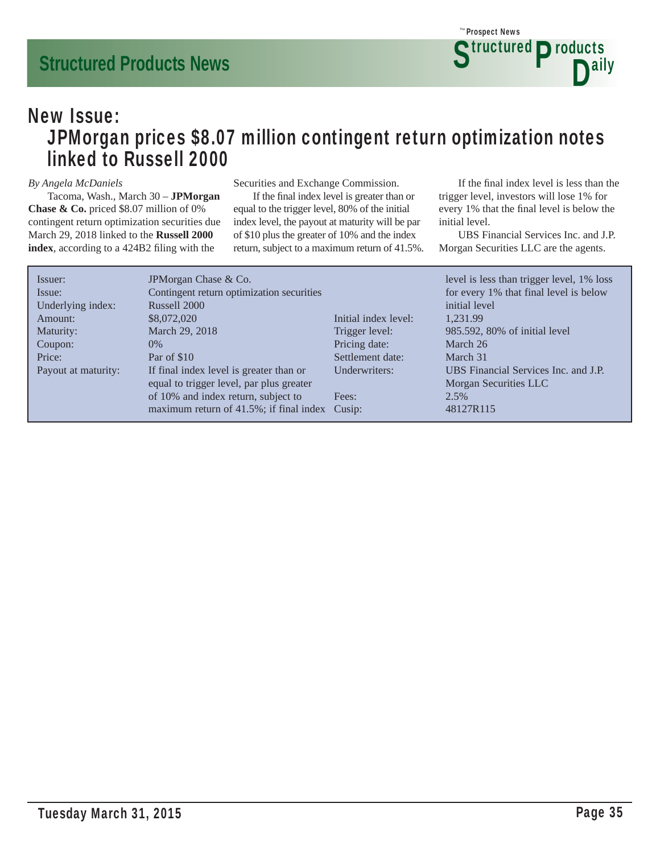### New Issue: JPMorgan prices \$8.07 million contingent return optimization notes linked to Russell 2000

#### *By Angela McDaniels*

 Tacoma, Wash., March 30 – **JPMorgan Chase & Co.** priced \$8.07 million of 0% contingent return optimization securities due March 29, 2018 linked to the **Russell 2000**  index, according to a 424B2 filing with the

Securities and Exchange Commission.

If the final index level is greater than or equal to the trigger level, 80% of the initial index level, the payout at maturity will be par of \$10 plus the greater of 10% and the index return, subject to a maximum return of 41.5%.

If the final index level is less than the trigger level, investors will lose 1% for every 1% that the final level is below the initial level.

 UBS Financial Services Inc. and J.P. Morgan Securities LLC are the agents.

| Issuer:             | JPM organ Chase & Co.                          |                      | level is less than trigger level, 1% loss |
|---------------------|------------------------------------------------|----------------------|-------------------------------------------|
| Issue:              | Contingent return optimization securities      |                      | for every 1% that final level is below    |
| Underlying index:   | Russell 2000                                   |                      | initial level                             |
| Amount:             | \$8,072,020                                    | Initial index level: | 1.231.99                                  |
| Maturity:           | March 29, 2018                                 | Trigger level:       | 985.592, 80% of initial level             |
| Coupon:             | $0\%$                                          | Pricing date:        | March 26                                  |
| Price:              | Par of \$10                                    | Settlement date:     | March 31                                  |
| Payout at maturity: | If final index level is greater than or        | Underwriters:        | UBS Financial Services Inc. and J.P.      |
|                     | equal to trigger level, par plus greater       |                      | Morgan Securities LLC                     |
|                     | of 10% and index return, subject to            | Fees:                | 2.5%                                      |
|                     | maximum return of 41.5%; if final index Cusip: |                      | 48127R115                                 |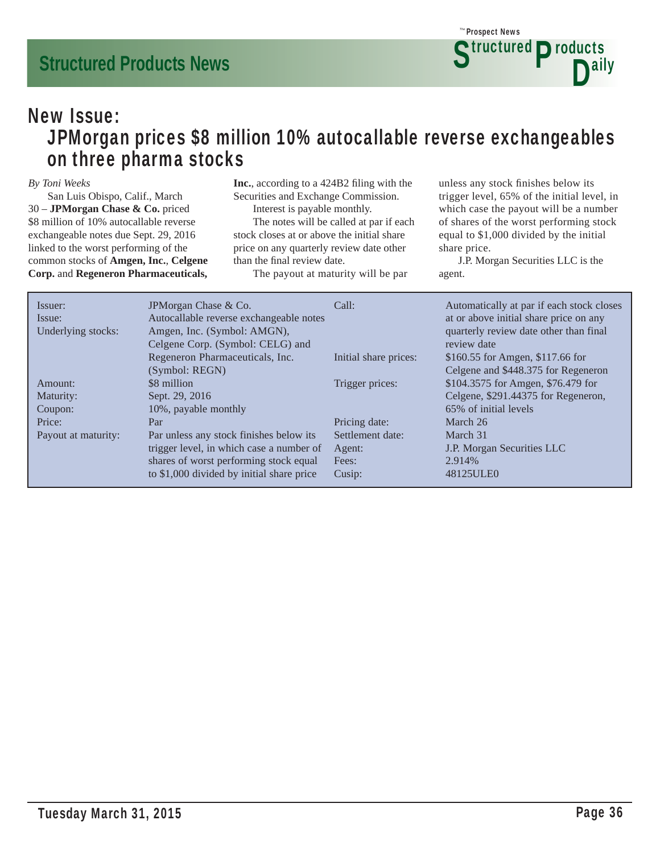### New Issue: JPMorgan prices \$8 million 10% autocallable reverse exchangeables on three pharma stocks

#### *By Toni Weeks*

 San Luis Obispo, Calif., March 30 – **JPMorgan Chase & Co.** priced \$8 million of 10% autocallable reverse exchangeable notes due Sept. 29, 2016 linked to the worst performing of the common stocks of **Amgen, Inc.**, **Celgene Corp.** and **Regeneron Pharmaceuticals,**  **Inc.**, according to a 424B2 filing with the Securities and Exchange Commission.

Interest is payable monthly.

 The notes will be called at par if each stock closes at or above the initial share price on any quarterly review date other than the final review date.

The payout at maturity will be par

unless any stock finishes below its trigger level, 65% of the initial level, in which case the payout will be a number of shares of the worst performing stock equal to \$1,000 divided by the initial share price.

| Issuer:<br>Issue:<br>Underlying stocks: | JPMorgan Chase & Co.<br>Autocallable reverse exchangeable notes<br>Amgen, Inc. (Symbol: AMGN), | Call:                 | Automatically at par if each stock closes<br>at or above initial share price on any<br>quarterly review date other than final<br>review date |
|-----------------------------------------|------------------------------------------------------------------------------------------------|-----------------------|----------------------------------------------------------------------------------------------------------------------------------------------|
|                                         | Celgene Corp. (Symbol: CELG) and<br>Regeneron Pharmaceuticals, Inc.<br>(Symbol: REGN)          | Initial share prices: | \$160.55 for Amgen, \$117.66 for<br>Celgene and \$448.375 for Regeneron                                                                      |
| Amount:                                 | \$8 million                                                                                    | Trigger prices:       | \$104.3575 for Amgen, \$76.479 for                                                                                                           |
| Maturity:<br>Coupon:                    | Sept. 29, 2016<br>10%, payable monthly                                                         |                       | Celgene, \$291.44375 for Regeneron,<br>65% of initial levels                                                                                 |
| Price:                                  | Par                                                                                            | Pricing date:         | March 26                                                                                                                                     |
| Payout at maturity:                     | Par unless any stock finishes below its                                                        | Settlement date:      | March 31                                                                                                                                     |
|                                         | trigger level, in which case a number of                                                       | Agent:                | J.P. Morgan Securities LLC                                                                                                                   |
|                                         | shares of worst performing stock equal                                                         | Fees:                 | 2.914\%                                                                                                                                      |
|                                         | to \$1,000 divided by initial share price                                                      | Cusip:                | 48125ULE0                                                                                                                                    |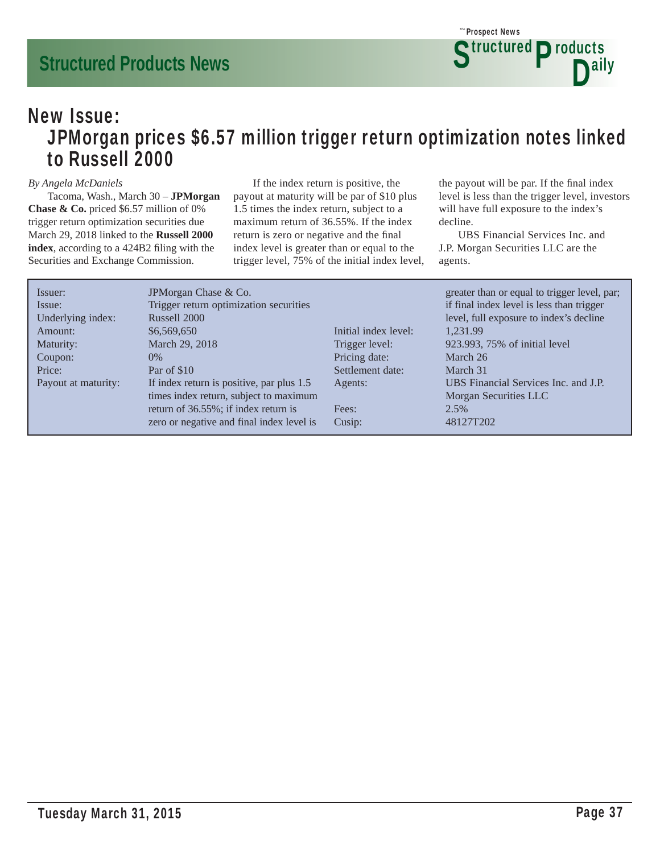### New Issue: JPMorgan prices \$6.57 million trigger return optimization notes linked to Russell 2000

#### *By Angela McDaniels*

 Tacoma, Wash., March 30 – **JPMorgan Chase & Co.** priced \$6.57 million of 0% trigger return optimization securities due March 29, 2018 linked to the **Russell 2000**  index, according to a 424B2 filing with the Securities and Exchange Commission.

 If the index return is positive, the payout at maturity will be par of \$10 plus 1.5 times the index return, subject to a maximum return of 36.55%. If the index return is zero or negative and the final index level is greater than or equal to the trigger level, 75% of the initial index level, the payout will be par. If the final index level is less than the trigger level, investors will have full exposure to the index's decline.

 UBS Financial Services Inc. and J.P. Morgan Securities LLC are the agents.

| Issuer:             | JPMorgan Chase & Co.                      |                      | greater than or equal to trigger level, par; |
|---------------------|-------------------------------------------|----------------------|----------------------------------------------|
| Issue:              | Trigger return optimization securities    |                      | if final index level is less than trigger    |
| Underlying index:   | Russell 2000                              |                      | level, full exposure to index's decline      |
| Amount:             | \$6,569,650                               | Initial index level: | 1.231.99                                     |
| Maturity:           | March 29, 2018                            | Trigger level:       | 923.993, 75% of initial level                |
| Coupon:             | $0\%$                                     | Pricing date:        | March 26                                     |
| Price:              | Par of \$10                               | Settlement date:     | March 31                                     |
| Payout at maturity: | If index return is positive, par plus 1.5 | Agents:              | UBS Financial Services Inc. and J.P.         |
|                     | times index return, subject to maximum    |                      | Morgan Securities LLC                        |
|                     | return of 36.55%; if index return is      | Fees:                | 2.5%                                         |
|                     | zero or negative and final index level is | Cusip:               | 48127T202                                    |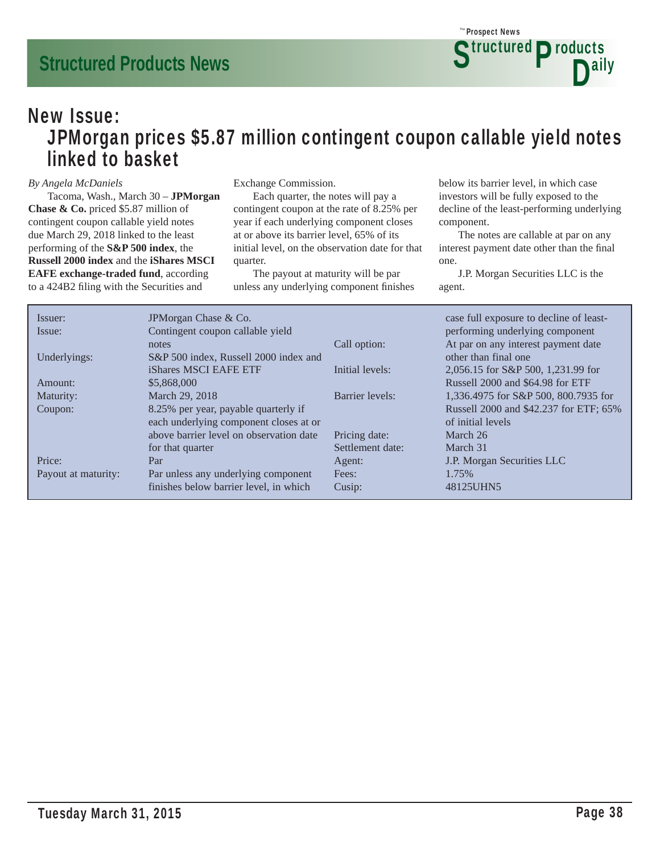### New Issue: JPMorgan prices \$5.87 million contingent coupon callable yield notes linked to basket

#### *By Angela McDaniels*

 Tacoma, Wash., March 30 – **JPMorgan Chase & Co.** priced \$5.87 million of contingent coupon callable yield notes due March 29, 2018 linked to the least performing of the **S&P 500 index**, the **Russell 2000 index** and the **iShares MSCI EAFE exchange-traded fund**, according to a 424B2 filing with the Securities and

Exchange Commission.

 Each quarter, the notes will pay a contingent coupon at the rate of 8.25% per year if each underlying component closes at or above its barrier level, 65% of its initial level, on the observation date for that quarter.

 The payout at maturity will be par unless any underlying component finishes below its barrier level, in which case investors will be fully exposed to the decline of the least-performing underlying component.

 The notes are callable at par on any interest payment date other than the final one.

| Issuer:             | JPM organ Chase & Co.                   |                  | case full exposure to decline of least- |
|---------------------|-----------------------------------------|------------------|-----------------------------------------|
| Issue:              | Contingent coupon callable yield        |                  | performing underlying component         |
|                     | notes                                   | Call option:     | At par on any interest payment date     |
| Underlyings:        | S&P 500 index, Russell 2000 index and   |                  | other than final one                    |
|                     | iShares MSCI EAFE ETF                   | Initial levels:  | 2,056.15 for S&P 500, 1,231.99 for      |
| Amount:             | \$5,868,000                             |                  | Russell 2000 and \$64.98 for ETF        |
| Maturity:           | March 29, 2018                          | Barrier levels:  | 1,336.4975 for S&P 500, 800.7935 for    |
| Coupon:             | 8.25% per year, payable quarterly if    |                  | Russell 2000 and \$42.237 for ETF; 65%  |
|                     | each underlying component closes at or  |                  | of initial levels                       |
|                     | above barrier level on observation date | Pricing date:    | March 26                                |
|                     | for that quarter                        | Settlement date: | March 31                                |
| Price:              | Par                                     | Agent:           | J.P. Morgan Securities LLC              |
| Payout at maturity: | Par unless any underlying component     | Fees:            | 1.75%                                   |
|                     | finishes below barrier level, in which  | Cusip:           | 48125UHN5                               |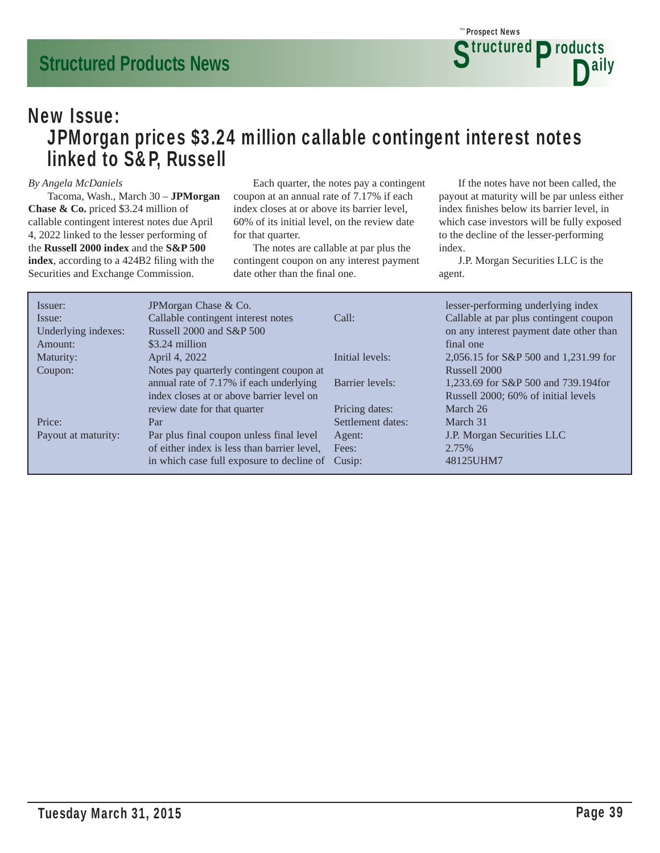

### New Issue: JPMorgan prices \$3.24 million callable contingent interest notes linked to S&P, Russell

#### *By Angela McDaniels*

 Tacoma, Wash., March 30 – **JPMorgan Chase & Co.** priced \$3.24 million of callable contingent interest notes due April 4, 2022 linked to the lesser performing of the **Russell 2000 index** and the **S&P 500**  index, according to a 424B2 filing with the Securities and Exchange Commission.

 Each quarter, the notes pay a contingent coupon at an annual rate of 7.17% if each index closes at or above its barrier level, 60% of its initial level, on the review date for that quarter.

 The notes are callable at par plus the contingent coupon on any interest payment date other than the final one.

 If the notes have not been called, the payout at maturity will be par unless either index finishes below its barrier level, in which case investors will be fully exposed to the decline of the lesser-performing index.

| Issuer:<br>Issue:<br>Underlying indexes:<br>Amount: | JPM organ Chase & Co.<br>Callable contingent interest notes<br>Russell $2000$ and $S\&P 500$<br>$$3.24$ million | Call:             | lesser-performing underlying index<br>Callable at par plus contingent coupon<br>on any interest payment date other than<br>final one |
|-----------------------------------------------------|-----------------------------------------------------------------------------------------------------------------|-------------------|--------------------------------------------------------------------------------------------------------------------------------------|
| Maturity:                                           | April 4, 2022                                                                                                   | Initial levels:   | 2,056.15 for S&P 500 and 1,231.99 for                                                                                                |
| Coupon:                                             | Notes pay quarterly contingent coupon at                                                                        |                   | Russell 2000                                                                                                                         |
|                                                     | annual rate of 7.17% if each underlying                                                                         | Barrier levels:   | 1,233.69 for S&P 500 and 739.194for                                                                                                  |
|                                                     | index closes at or above barrier level on                                                                       |                   | Russell 2000; 60% of initial levels                                                                                                  |
|                                                     | review date for that quarter                                                                                    | Pricing dates:    | March 26                                                                                                                             |
| Price:                                              | Par                                                                                                             | Settlement dates: | March 31                                                                                                                             |
| Payout at maturity:                                 | Par plus final coupon unless final level                                                                        | Agent:            | J.P. Morgan Securities LLC                                                                                                           |
|                                                     | of either index is less than barrier level,                                                                     | Fees:             | 2.75%                                                                                                                                |
|                                                     | in which case full exposure to decline of                                                                       | Cusip:            | 48125UHM7                                                                                                                            |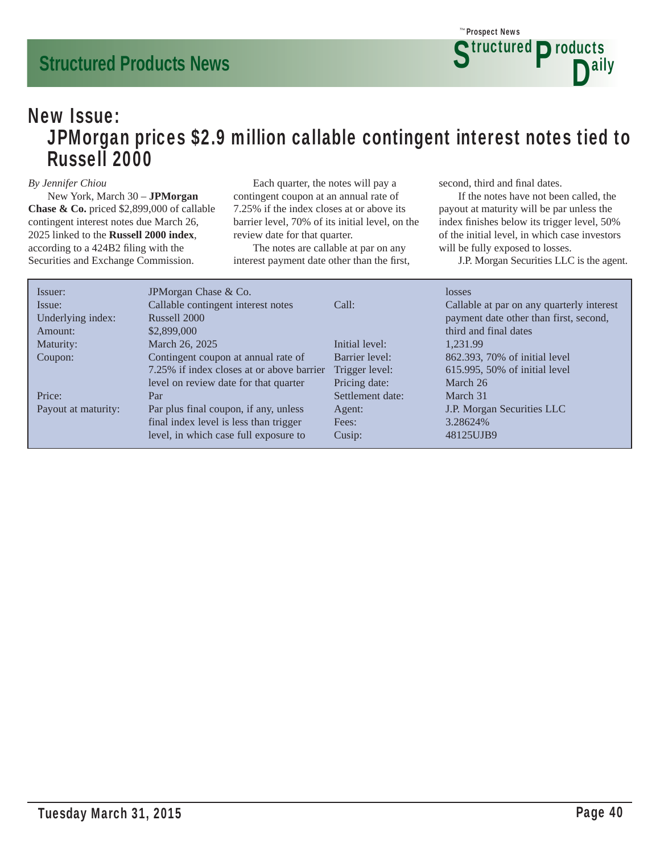### New Issue: JPMorgan prices \$2.9 million callable contingent interest notes tied to Russell 2000

#### *By Jennifer Chiou*

 New York, March 30 – **JPMorgan Chase & Co.** priced \$2,899,000 of callable contingent interest notes due March 26, 2025 linked to the **Russell 2000 index**, according to a 424B2 filing with the Securities and Exchange Commission.

 Each quarter, the notes will pay a contingent coupon at an annual rate of 7.25% if the index closes at or above its barrier level, 70% of its initial level, on the review date for that quarter.

 The notes are callable at par on any interest payment date other than the first, second, third and final dates.

 If the notes have not been called, the payout at maturity will be par unless the index finishes below its trigger level,  $50\%$ of the initial level, in which case investors will be fully exposed to losses.

| Issuer:             | JPM organ Chase & Co.                     |                  | losses                                    |
|---------------------|-------------------------------------------|------------------|-------------------------------------------|
| Issue:              | Callable contingent interest notes        | Call:            | Callable at par on any quarterly interest |
| Underlying index:   | Russell 2000                              |                  | payment date other than first, second,    |
| Amount:             | \$2,899,000                               |                  | third and final dates                     |
| Maturity:           | March 26, 2025                            | Initial level:   | 1.231.99                                  |
| Coupon:             | Contingent coupon at annual rate of       | Barrier level:   | 862.393, 70% of initial level             |
|                     | 7.25% if index closes at or above barrier | Trigger level:   | 615.995, 50% of initial level             |
|                     | level on review date for that quarter     | Pricing date:    | March 26                                  |
| Price:              | Par                                       | Settlement date: | March 31                                  |
| Payout at maturity: | Par plus final coupon, if any, unless     | Agent:           | J.P. Morgan Securities LLC                |
|                     | final index level is less than trigger    | Fees:            | 3.28624%                                  |
|                     | level, in which case full exposure to     | Cusip:           | 48125UJB9                                 |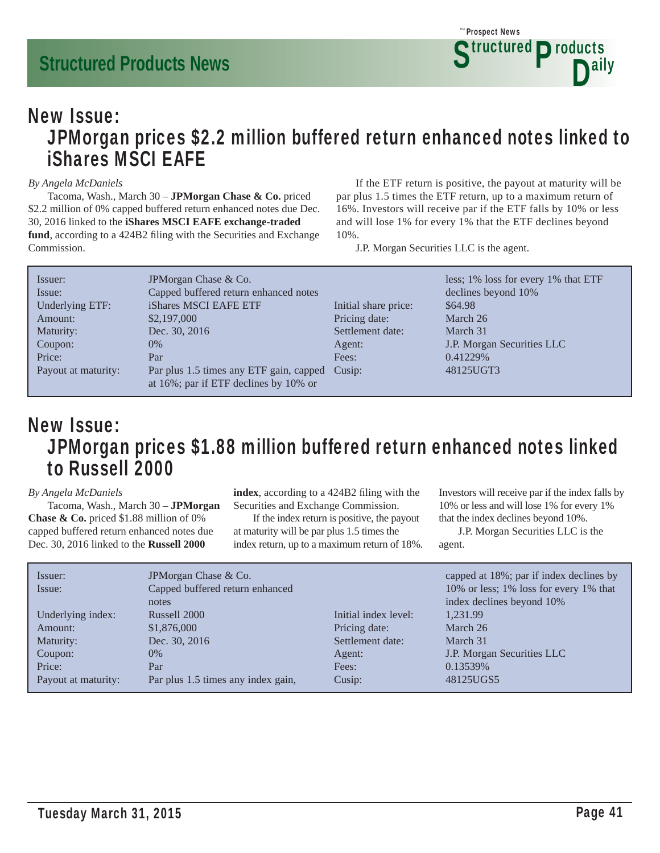### New Issue: JPMorgan prices \$2.2 million buffered return enhanced notes linked to iShares MSCI EAFE

#### *By Angela McDaniels*

 Tacoma, Wash., March 30 – **JPMorgan Chase & Co.** priced \$2.2 million of 0% capped buffered return enhanced notes due Dec. 30, 2016 linked to the **iShares MSCI EAFE exchange-traded**  fund, according to a 424B2 filing with the Securities and Exchange Commission.

 If the ETF return is positive, the payout at maturity will be par plus 1.5 times the ETF return, up to a maximum return of 16%. Investors will receive par if the ETF falls by 10% or less and will lose 1% for every 1% that the ETF declines beyond 10%.

J.P. Morgan Securities LLC is the agent.

| Issuer:<br>Issue:   | JPM organ Chase & Co.<br>Capped buffered return enhanced notes                          |                      | less; 1% loss for every 1% that ETF<br>declines beyond 10% |
|---------------------|-----------------------------------------------------------------------------------------|----------------------|------------------------------------------------------------|
| Underlying ETF:     | iShares MSCI EAFE ETF                                                                   | Initial share price: | \$64.98                                                    |
| Amount:             | \$2,197,000                                                                             | Pricing date:        | March 26                                                   |
| Maturity:           | Dec. 30, 2016                                                                           | Settlement date:     | March 31                                                   |
| Coupon:             | $0\%$                                                                                   | Agent:               | J.P. Morgan Securities LLC                                 |
| Price:              | Par                                                                                     | Fees:                | 0.41229\%                                                  |
| Payout at maturity: | Par plus 1.5 times any ETF gain, capped Cusip:<br>at 16%; par if ETF declines by 10% or |                      | 48125UGT3                                                  |

### New Issue: JPMorgan prices \$1.88 million buffered return enhanced notes linked to Russell 2000

#### *By Angela McDaniels*

 Tacoma, Wash., March 30 – **JPMorgan Chase & Co.** priced \$1.88 million of 0% capped buffered return enhanced notes due Dec. 30, 2016 linked to the **Russell 2000** 

index, according to a 424B2 filing with the Securities and Exchange Commission.

 If the index return is positive, the payout at maturity will be par plus 1.5 times the index return, up to a maximum return of 18%. Investors will receive par if the index falls by 10% or less and will lose 1% for every 1% that the index declines beyond 10%.

| Issuer:<br>Issue:   | JPM organ Chase & Co.<br>Capped buffered return enhanced<br>notes |                      | capped at 18%; par if index declines by<br>10% or less; 1% loss for every 1% that<br>index declines beyond 10% |
|---------------------|-------------------------------------------------------------------|----------------------|----------------------------------------------------------------------------------------------------------------|
| Underlying index:   | Russell 2000                                                      | Initial index level: | 1,231.99                                                                                                       |
| Amount:             | \$1,876,000                                                       | Pricing date:        | March 26                                                                                                       |
| Maturity:           | Dec. 30, 2016                                                     | Settlement date:     | March 31                                                                                                       |
| Coupon:             | $0\%$                                                             | Agent:               | J.P. Morgan Securities LLC                                                                                     |
| Price:              | Par                                                               | Fees:                | 0.13539\%                                                                                                      |
| Payout at maturity: | Par plus 1.5 times any index gain,                                | Cusip:               | 48125UGS5                                                                                                      |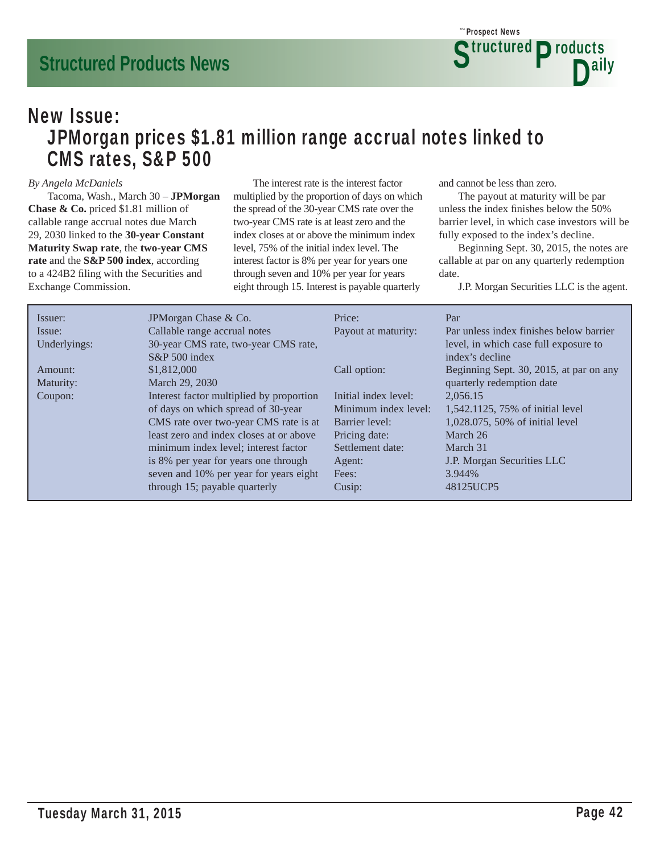

### New Issue: JPMorgan prices \$1.81 million range accrual notes linked to CMS rates, S&P 500

#### *By Angela McDaniels*

 Tacoma, Wash., March 30 – **JPMorgan Chase & Co.** priced \$1.81 million of callable range accrual notes due March 29, 2030 linked to the **30-year Constant Maturity Swap rate**, the **two-year CMS rate** and the **S&P 500 index**, according to a 424B2 filing with the Securities and Exchange Commission.

 The interest rate is the interest factor multiplied by the proportion of days on which the spread of the 30-year CMS rate over the two-year CMS rate is at least zero and the index closes at or above the minimum index level, 75% of the initial index level. The interest factor is 8% per year for years one through seven and 10% per year for years eight through 15. Interest is payable quarterly

and cannot be less than zero.

 The payout at maturity will be par unless the index finishes below the 50% barrier level, in which case investors will be fully exposed to the index's decline.

 Beginning Sept. 30, 2015, the notes are callable at par on any quarterly redemption date.

| Issuer:      | JPM organ Chase & Co.                    | Price:               | Par                                     |
|--------------|------------------------------------------|----------------------|-----------------------------------------|
| Issue:       | Callable range accrual notes             | Payout at maturity:  | Par unless index finishes below barrier |
| Underlyings: | 30-year CMS rate, two-year CMS rate,     |                      | level, in which case full exposure to   |
|              | $S\&P 500$ index                         |                      | index's decline                         |
| Amount:      | \$1,812,000                              | Call option:         | Beginning Sept. 30, 2015, at par on any |
| Maturity:    | March 29, 2030                           |                      | quarterly redemption date               |
| Coupon:      | Interest factor multiplied by proportion | Initial index level: | 2.056.15                                |
|              | of days on which spread of 30-year       | Minimum index level: | 1,542.1125, 75% of initial level        |
|              | CMS rate over two-year CMS rate is at    | Barrier level:       | 1,028.075, 50% of initial level         |
|              | least zero and index closes at or above  | Pricing date:        | March 26                                |
|              | minimum index level; interest factor     | Settlement date:     | March 31                                |
|              | is 8% per year for years one through     | Agent:               | J.P. Morgan Securities LLC              |
|              | seven and 10% per year for years eight   | Fees:                | 3.944%                                  |
|              | through 15; payable quarterly            | Cusip:               | 48125UCP5                               |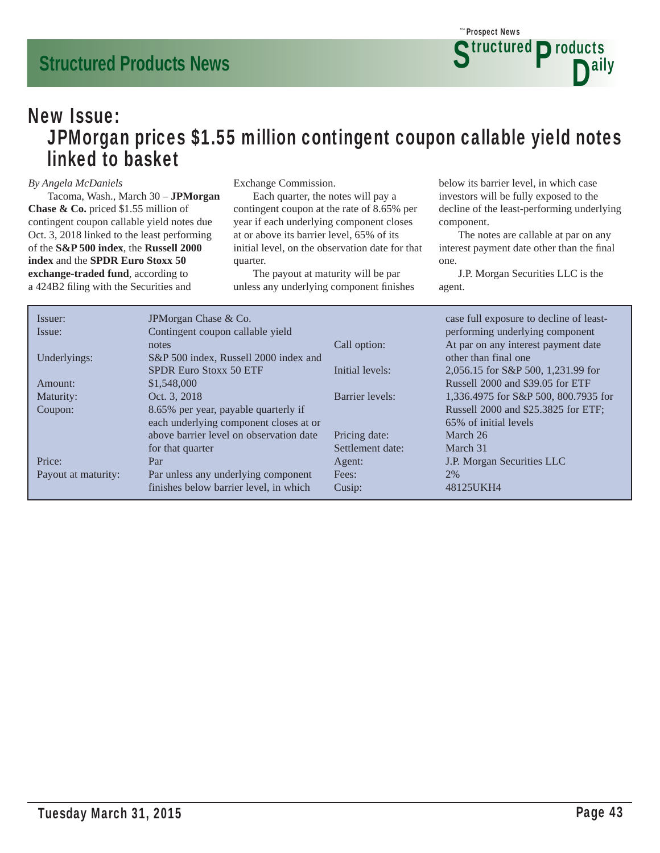### New Issue: JPMorgan prices \$1.55 million contingent coupon callable yield notes linked to basket

#### *By Angela McDaniels*

 Tacoma, Wash., March 30 – **JPMorgan Chase & Co.** priced \$1.55 million of contingent coupon callable yield notes due Oct. 3, 2018 linked to the least performing of the **S&P 500 index**, the **Russell 2000 index** and the **SPDR Euro Stoxx 50 exchange-traded fund**, according to a 424B2 filing with the Securities and

Exchange Commission.

 Each quarter, the notes will pay a contingent coupon at the rate of 8.65% per year if each underlying component closes at or above its barrier level, 65% of its initial level, on the observation date for that quarter.

 The payout at maturity will be par unless any underlying component finishes below its barrier level, in which case investors will be fully exposed to the decline of the least-performing underlying component.

 The notes are callable at par on any interest payment date other than the final one.

| Issuer:             | JPM organ Chase & Co.                   |                  | case full exposure to decline of least- |
|---------------------|-----------------------------------------|------------------|-----------------------------------------|
| Issue:              | Contingent coupon callable yield        |                  | performing underlying component         |
|                     | notes                                   | Call option:     | At par on any interest payment date     |
| Underlyings:        | S&P 500 index, Russell 2000 index and   |                  | other than final one                    |
|                     | SPDR Euro Stoxx 50 ETF                  | Initial levels:  | 2,056.15 for S&P 500, 1,231.99 for      |
| $A$ mount:          | \$1,548,000                             |                  | Russell 2000 and \$39.05 for ETF        |
| Maturity:           | Oct. 3, 2018                            | Barrier levels:  | 1,336.4975 for S&P 500, 800.7935 for    |
| Coupon:             | 8.65% per year, payable quarterly if    |                  | Russell 2000 and \$25.3825 for ETF;     |
|                     | each underlying component closes at or  |                  | 65% of initial levels                   |
|                     | above barrier level on observation date | Pricing date:    | March 26                                |
|                     | for that quarter                        | Settlement date: | March 31                                |
| Price:              | Par                                     | Agent:           | J.P. Morgan Securities LLC              |
| Payout at maturity: | Par unless any underlying component     | Fees:            | 2%                                      |
|                     | finishes below barrier level, in which  | Cusip:           | 48125UKH4                               |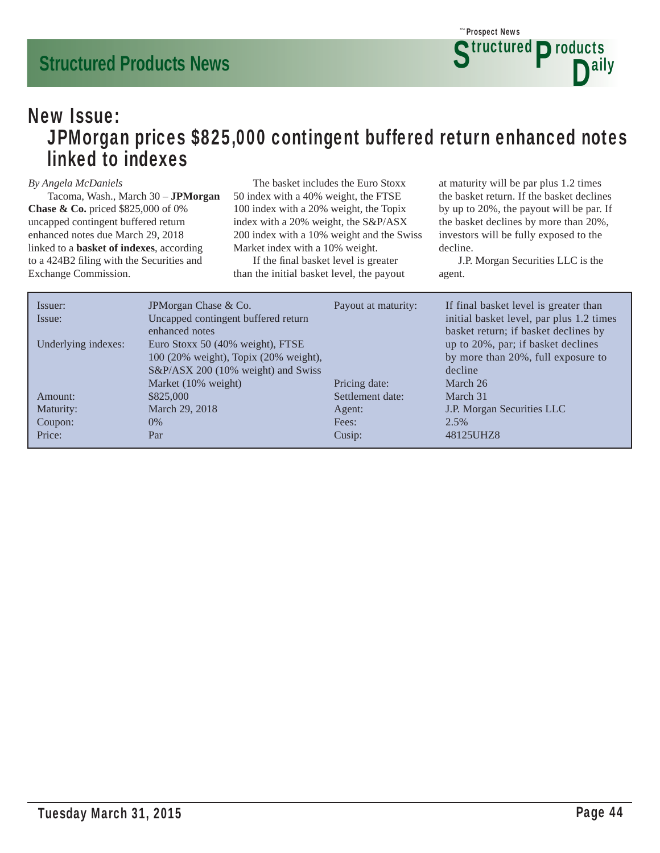### New Issue: JPMorgan prices \$825,000 contingent buffered return enhanced notes linked to indexes

#### *By Angela McDaniels*

 Tacoma, Wash., March 30 – **JPMorgan Chase & Co.** priced \$825,000 of 0% uncapped contingent buffered return enhanced notes due March 29, 2018 linked to a **basket of indexes**, according to a 424B2 filing with the Securities and Exchange Commission.

 The basket includes the Euro Stoxx 50 index with a 40% weight, the FTSE 100 index with a 20% weight, the Topix index with a 20% weight, the S&P/ASX 200 index with a 10% weight and the Swiss Market index with a 10% weight.

If the final basket level is greater than the initial basket level, the payout at maturity will be par plus 1.2 times the basket return. If the basket declines by up to 20%, the payout will be par. If the basket declines by more than 20%, investors will be fully exposed to the decline.

| Issuer:<br>Issue:   | JPM organ Chase & Co.<br>Uncapped contingent buffered return<br>enhanced notes                                  | Payout at maturity: | If final basket level is greater than<br>initial basket level, par plus 1.2 times<br>basket return; if basket declines by |
|---------------------|-----------------------------------------------------------------------------------------------------------------|---------------------|---------------------------------------------------------------------------------------------------------------------------|
| Underlying indexes: | Euro Stoxx 50 (40% weight), FTSE<br>100 (20% weight), Topix (20% weight),<br>S&P/ASX 200 (10% weight) and Swiss |                     | up to 20%, par; if basket declines<br>by more than 20%, full exposure to<br>decline                                       |
|                     | Market (10% weight)                                                                                             | Pricing date:       | March 26                                                                                                                  |
| Amount:             | \$825,000                                                                                                       | Settlement date:    | March 31                                                                                                                  |
| Maturity:           | March 29, 2018                                                                                                  | Agent:              | J.P. Morgan Securities LLC                                                                                                |
| Coupon:             | $0\%$                                                                                                           | Fees:               | 2.5%                                                                                                                      |
| Price:              | Par                                                                                                             | Cusip:              | 48125UHZ8                                                                                                                 |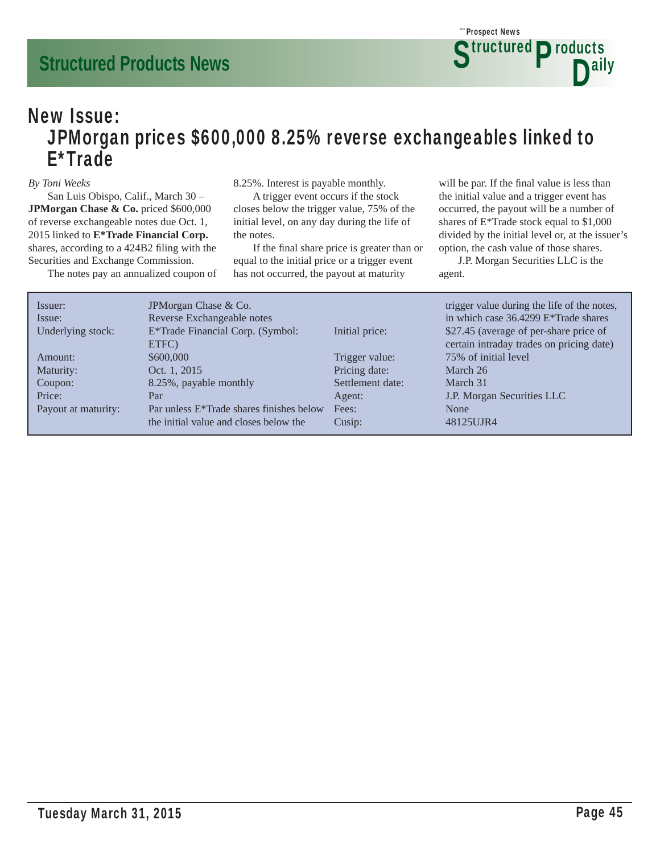### New Issue: JPMorgan prices \$600,000 8.25% reverse exchangeables linked to E\*Trade

#### *By Toni Weeks*

 San Luis Obispo, Calif., March 30 – **JPMorgan Chase & Co.** priced \$600,000 of reverse exchangeable notes due Oct. 1, 2015 linked to **E\*Trade Financial Corp.** shares, according to a 424B2 filing with the Securities and Exchange Commission.

The notes pay an annualized coupon of

8.25%. Interest is payable monthly.

 A trigger event occurs if the stock closes below the trigger value, 75% of the initial level, on any day during the life of the notes.

If the final share price is greater than or equal to the initial price or a trigger event has not occurred, the payout at maturity

will be par. If the final value is less than the initial value and a trigger event has occurred, the payout will be a number of shares of E\*Trade stock equal to \$1,000 divided by the initial level or, at the issuer's option, the cash value of those shares.

| Issuer:<br>Issue:   | JPMorgan Chase & Co.<br>Reverse Exchangeable notes    |                  | trigger value during the life of the notes,<br>in which case 36.4299 E*Trade shares |
|---------------------|-------------------------------------------------------|------------------|-------------------------------------------------------------------------------------|
| Underlying stock:   | E*Trade Financial Corp. (Symbol:                      | Initial price:   | \$27.45 (average of per-share price of                                              |
|                     | ETFC)                                                 |                  | certain intraday trades on pricing date)                                            |
| Amount:             | \$600,000                                             | Trigger value:   | 75% of initial level                                                                |
| Maturity:           | Oct. 1, 2015                                          | Pricing date:    | March 26                                                                            |
| Coupon:             | 8.25%, payable monthly                                | Settlement date: | March 31                                                                            |
| Price:              | Par                                                   | Agent:           | J.P. Morgan Securities LLC                                                          |
| Payout at maturity: | Par unless E <sup>*</sup> Trade shares finishes below | Fees:            | None                                                                                |
|                     | the initial value and closes below the                | Cusip:           | 48125UJR4                                                                           |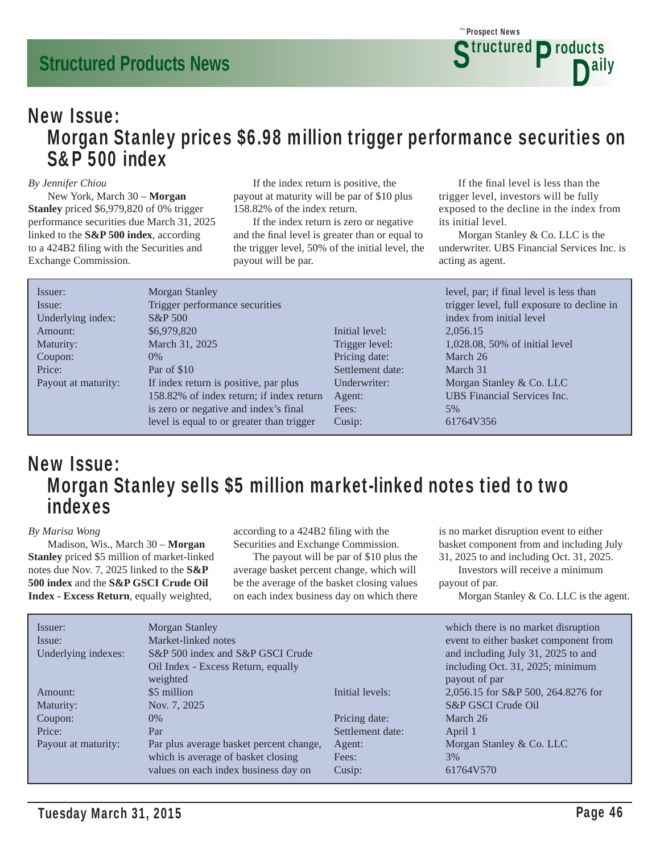### New Issue: Morgan Stanley prices \$6.98 million trigger performance securities on S&P 500 index

#### *By Jennifer Chiou*

 New York, March 30 – **Morgan Stanley** priced \$6,979,820 of 0% trigger performance securities due March 31, 2025 linked to the **S&P 500 index**, according to a 424B2 filing with the Securities and Exchange Commission.

 If the index return is positive, the payout at maturity will be par of \$10 plus 158.82% of the index return.

 If the index return is zero or negative and the final level is greater than or equal to the trigger level, 50% of the initial level, the payout will be par.

If the final level is less than the trigger level, investors will be fully exposed to the decline in the index from its initial level.

 Morgan Stanley & Co. LLC is the underwriter. UBS Financial Services Inc. is acting as agent.

| Issuer:             | Morgan Stanley                            |                  | level, par; if final level is less than    |
|---------------------|-------------------------------------------|------------------|--------------------------------------------|
| Issue:              | Trigger performance securities            |                  | trigger level, full exposure to decline in |
| Underlying index:   | <b>S&amp;P</b> 500                        |                  | index from initial level                   |
| Amount:             | \$6,979,820                               | Initial level:   | 2,056.15                                   |
| Maturity:           | March 31, 2025                            | Trigger level:   | 1,028.08, 50% of initial level             |
| Coupon:             | $0\%$                                     | Pricing date:    | March 26                                   |
| Price:              | Par of \$10                               | Settlement date: | March 31                                   |
| Payout at maturity: | If index return is positive, par plus     | Underwriter:     | Morgan Stanley & Co. LLC                   |
|                     | 158.82% of index return; if index return  | Agent:           | <b>UBS</b> Financial Services Inc.         |
|                     | is zero or negative and index's final     | Fees:            | 5%                                         |
|                     | level is equal to or greater than trigger | Cusip:           | 61764V356                                  |

### New Issue: Morgan Stanley sells \$5 million market-linked notes tied to two indexes

#### *By Marisa Wong*

 Madison, Wis., March 30 – **Morgan Stanley** priced \$5 million of market-linked notes due Nov. 7, 2025 linked to the **S&P 500 index** and the **S&P GSCI Crude Oil Index - Excess Return**, equally weighted,

according to a 424B2 filing with the Securities and Exchange Commission.

 The payout will be par of \$10 plus the average basket percent change, which will be the average of the basket closing values on each index business day on which there is no market disruption event to either basket component from and including July 31, 2025 to and including Oct. 31, 2025.

 Investors will receive a minimum payout of par.

Morgan Stanley & Co. LLC is the agent.

| Morgan Stanley<br>Market-linked notes   |                  | which there is no market disruption<br>event to either basket component from |
|-----------------------------------------|------------------|------------------------------------------------------------------------------|
| S&P 500 index and S&P GSCI Crude        |                  | and including July 31, 2025 to and                                           |
| Oil Index - Excess Return, equally      |                  | including Oct. 31, 2025; minimum                                             |
|                                         |                  | payout of par                                                                |
| \$5 million                             | Initial levels:  | 2,056.15 for S&P 500, 264.8276 for                                           |
| Nov. 7, 2025                            |                  | S&P GSCI Crude Oil                                                           |
| $0\%$                                   | Pricing date:    | March 26                                                                     |
| Par                                     | Settlement date: | April 1                                                                      |
| Par plus average basket percent change, | Agent:           | Morgan Stanley & Co. LLC                                                     |
| which is average of basket closing      | Fees:            | 3%                                                                           |
| values on each index business day on    | Cusip:           | 61764V570                                                                    |
|                                         | weighted         |                                                                              |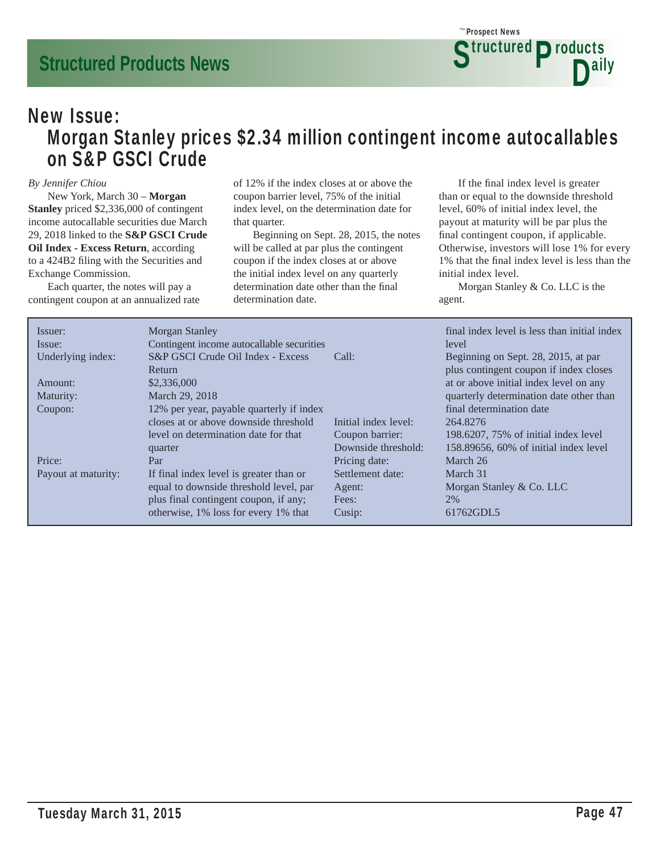### New Issue: Morgan Stanley prices \$2.34 million contingent income autocallables on S&P GSCI Crude

#### *By Jennifer Chiou*

 New York, March 30 – **Morgan Stanley** priced \$2,336,000 of contingent income autocallable securities due March 29, 2018 linked to the **S&P GSCI Crude Oil Index - Excess Return**, according to a 424B2 filing with the Securities and Exchange Commission.

 Each quarter, the notes will pay a contingent coupon at an annualized rate of 12% if the index closes at or above the coupon barrier level, 75% of the initial index level, on the determination date for that quarter.

 Beginning on Sept. 28, 2015, the notes will be called at par plus the contingent coupon if the index closes at or above the initial index level on any quarterly determination date other than the final determination date.

If the final index level is greater than or equal to the downside threshold level, 60% of initial index level, the payout at maturity will be par plus the final contingent coupon, if applicable. Otherwise, investors will lose 1% for every 1% that the final index level is less than the initial index level.

 Morgan Stanley & Co. LLC is the agent.

| Issuer:             | Morgan Stanley                            |                      | final index level is less than initial index |
|---------------------|-------------------------------------------|----------------------|----------------------------------------------|
| Issue:              | Contingent income autocallable securities |                      | level                                        |
| Underlying index:   | S&P GSCI Crude Oil Index - Excess         | Call:                | Beginning on Sept. 28, 2015, at par          |
|                     | Return                                    |                      | plus contingent coupon if index closes       |
| Amount:             | \$2,336,000                               |                      | at or above initial index level on any       |
| Maturity:           | March 29, 2018                            |                      | quarterly determination date other than      |
| Coupon:             | 12% per year, payable quarterly if index  |                      | final determination date                     |
|                     | closes at or above downside threshold     | Initial index level: | 264.8276                                     |
|                     | level on determination date for that      | Coupon barrier:      | 198.6207, 75% of initial index level         |
|                     | quarter                                   | Downside threshold:  | $158.89656$ , $60\%$ of initial index level  |
| Price:              | Par                                       | Pricing date:        | March 26                                     |
| Payout at maturity: | If final index level is greater than or   | Settlement date:     | March 31                                     |
|                     | equal to downside threshold level, par    | Agent:               | Morgan Stanley & Co. LLC                     |
|                     | plus final contingent coupon, if any;     | Fees:                | 2%                                           |
|                     | otherwise, 1% loss for every 1% that      | Cusip:               | 61762GDL5                                    |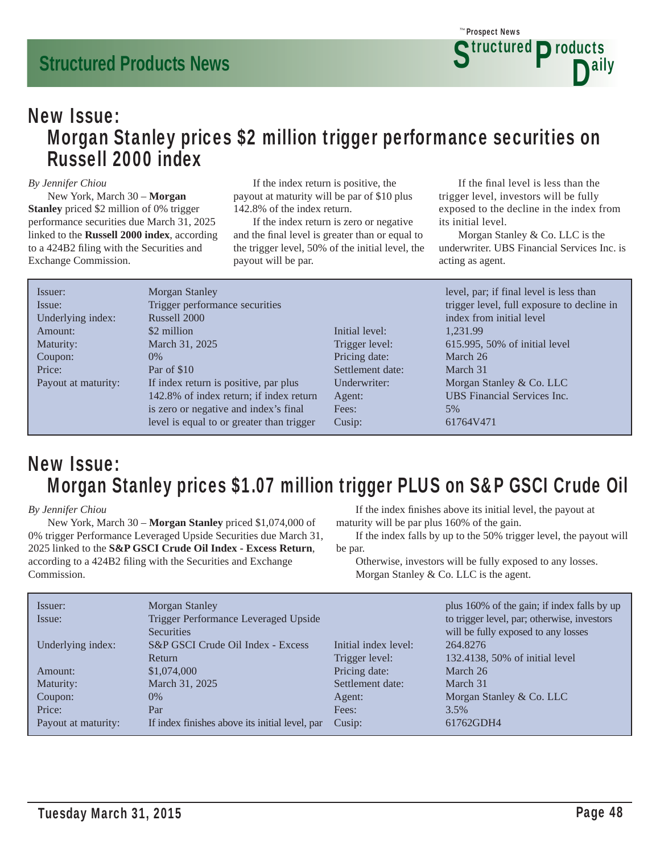### New Issue: Morgan Stanley prices \$2 million trigger performance securities on Russell 2000 index

#### *By Jennifer Chiou*

 New York, March 30 – **Morgan Stanley** priced \$2 million of 0% trigger performance securities due March 31, 2025 linked to the **Russell 2000 index**, according to a 424B2 filing with the Securities and Exchange Commission.

 If the index return is positive, the payout at maturity will be par of \$10 plus 142.8% of the index return.

 If the index return is zero or negative and the final level is greater than or equal to the trigger level, 50% of the initial level, the payout will be par.

If the final level is less than the trigger level, investors will be fully exposed to the decline in the index from its initial level.

 Morgan Stanley & Co. LLC is the underwriter. UBS Financial Services Inc. is acting as agent.

| Issuer:             | Morgan Stanley                            |                  | level, par; if final level is less than    |
|---------------------|-------------------------------------------|------------------|--------------------------------------------|
| Issue:              | Trigger performance securities            |                  | trigger level, full exposure to decline in |
| Underlying index:   | Russell 2000                              |                  | index from initial level                   |
| Amount:             | \$2 million                               | Initial level:   | 1.231.99                                   |
| Maturity:           | March 31, 2025                            | Trigger level:   | 615.995, 50% of initial level              |
| Coupon:             | $0\%$                                     | Pricing date:    | March 26                                   |
| Price:              | Par of \$10                               | Settlement date: | March 31                                   |
| Payout at maturity: | If index return is positive, par plus     | Underwriter:     | Morgan Stanley & Co. LLC                   |
|                     | 142.8% of index return; if index return   | Agent:           | <b>UBS</b> Financial Services Inc.         |
|                     | is zero or negative and index's final     | Fees:            | 5%                                         |
|                     | level is equal to or greater than trigger | Cusip:           | 61764V471                                  |

### New Issue: Morgan Stanley prices \$1.07 million trigger PLUS on S&P GSCI Crude Oil

#### *By Jennifer Chiou*

 New York, March 30 – **Morgan Stanley** priced \$1,074,000 of 0% trigger Performance Leveraged Upside Securities due March 31, 2025 linked to the **S&P GSCI Crude Oil Index - Excess Return**, according to a 424B2 filing with the Securities and Exchange Commission.

If the index finishes above its initial level, the payout at maturity will be par plus 160% of the gain.

 If the index falls by up to the 50% trigger level, the payout will be par.

 Otherwise, investors will be fully exposed to any losses. Morgan Stanley & Co. LLC is the agent.

| Issuer:             | Morgan Stanley                                 |                      | plus 160% of the gain; if index falls by up |
|---------------------|------------------------------------------------|----------------------|---------------------------------------------|
| Issue:              | Trigger Performance Leveraged Upside           |                      | to trigger level, par; otherwise, investors |
|                     | <b>Securities</b>                              |                      | will be fully exposed to any losses         |
| Underlying index:   | S&P GSCI Crude Oil Index - Excess              | Initial index level: | 264.8276                                    |
|                     | Return                                         | Trigger level:       | 132.4138, 50% of initial level              |
| Amount:             | \$1,074,000                                    | Pricing date:        | March 26                                    |
| Maturity:           | March 31, 2025                                 | Settlement date:     | March 31                                    |
| Coupon:             | $0\%$                                          | Agent:               | Morgan Stanley & Co. LLC                    |
| Price:              | Par                                            | Fees:                | 3.5%                                        |
| Payout at maturity: | If index finishes above its initial level, par | Cusip:               | 61762GDH4                                   |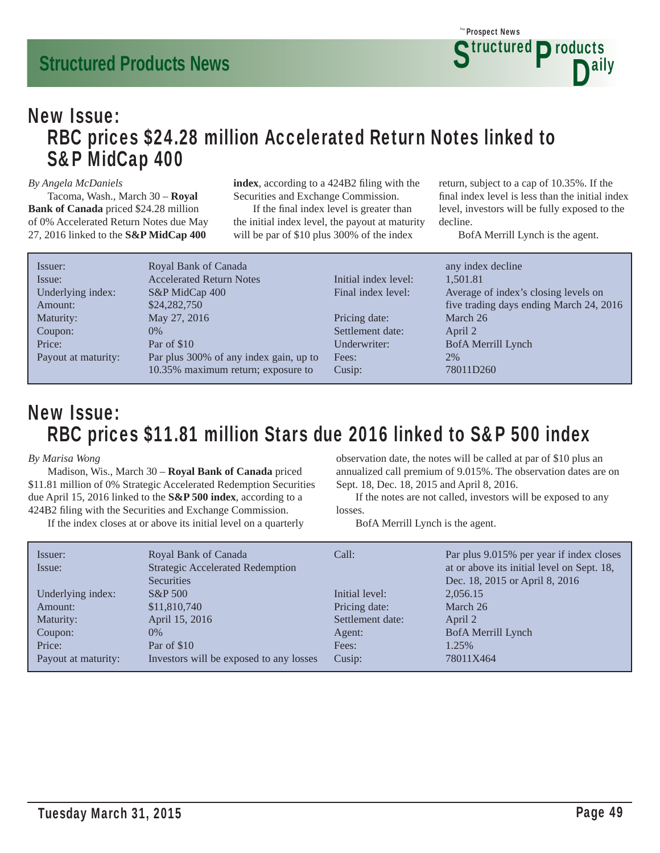### New Issue: RBC prices \$24.28 million Accelerated Return Notes linked to S&P MidCap 400

#### *By Angela McDaniels*

 Tacoma, Wash., March 30 – **Royal Bank of Canada** priced \$24.28 million of 0% Accelerated Return Notes due May 27, 2016 linked to the **S&P MidCap 400** 

index, according to a 424B2 filing with the Securities and Exchange Commission.

If the final index level is greater than the initial index level, the payout at maturity will be par of \$10 plus 300% of the index

return, subject to a cap of 10.35%. If the final index level is less than the initial index level, investors will be fully exposed to the decline.

BofA Merrill Lynch is the agent.

| Issuer:             | Royal Bank of Canada                   |                      | any index decline                       |
|---------------------|----------------------------------------|----------------------|-----------------------------------------|
| Issue:              | <b>Accelerated Return Notes</b>        | Initial index level: | 1.501.81                                |
| Underlying index:   | S&P MidCap 400                         | Final index level:   | Average of index's closing levels on    |
| Amount:             | \$24,282,750                           |                      | five trading days ending March 24, 2016 |
| Maturity:           | May 27, 2016                           | Pricing date:        | March 26                                |
| Coupon:             | $0\%$                                  | Settlement date:     | April 2                                 |
| Price:              | Par of \$10                            | Underwriter:         | BofA Merrill Lynch                      |
| Payout at maturity: | Par plus 300% of any index gain, up to | Fees:                | 2%                                      |
|                     | 10.35% maximum return; exposure to     | Cusip:               | 78011D260                               |

### New Issue: RBC prices \$11.81 million Stars due 2016 linked to S&P 500 index

#### *By Marisa Wong*

 Madison, Wis., March 30 – **Royal Bank of Canada** priced \$11.81 million of 0% Strategic Accelerated Redemption Securities due April 15, 2016 linked to the **S&P 500 index**, according to a 424B2 filing with the Securities and Exchange Commission.

If the index closes at or above its initial level on a quarterly

observation date, the notes will be called at par of \$10 plus an annualized call premium of 9.015%. The observation dates are on Sept. 18, Dec. 18, 2015 and April 8, 2016.

 If the notes are not called, investors will be exposed to any losses.

BofA Merrill Lynch is the agent.

| Issuer:<br>Issue:   | Royal Bank of Canada<br><b>Strategic Accelerated Redemption</b> | Call:            | Par plus 9.015% per year if index closes<br>at or above its initial level on Sept. 18, |
|---------------------|-----------------------------------------------------------------|------------------|----------------------------------------------------------------------------------------|
|                     | $S\&P 500$                                                      | Initial level:   | 2,056.15                                                                               |
| Amount:             | \$11,810,740                                                    | Pricing date:    | March 26                                                                               |
| Maturity:           | April 15, 2016                                                  | Settlement date: | April 2                                                                                |
| Coupon:             | $0\%$                                                           | Agent:           | BofA Merrill Lynch                                                                     |
| Price:              | Par of \$10                                                     | Fees:            | 1.25%                                                                                  |
| Payout at maturity: | Investors will be exposed to any losses                         | Cusip:           | 78011X464                                                                              |
| Underlying index:   | <b>Securities</b>                                               |                  | Dec. 18, 2015 or April 8, 2016                                                         |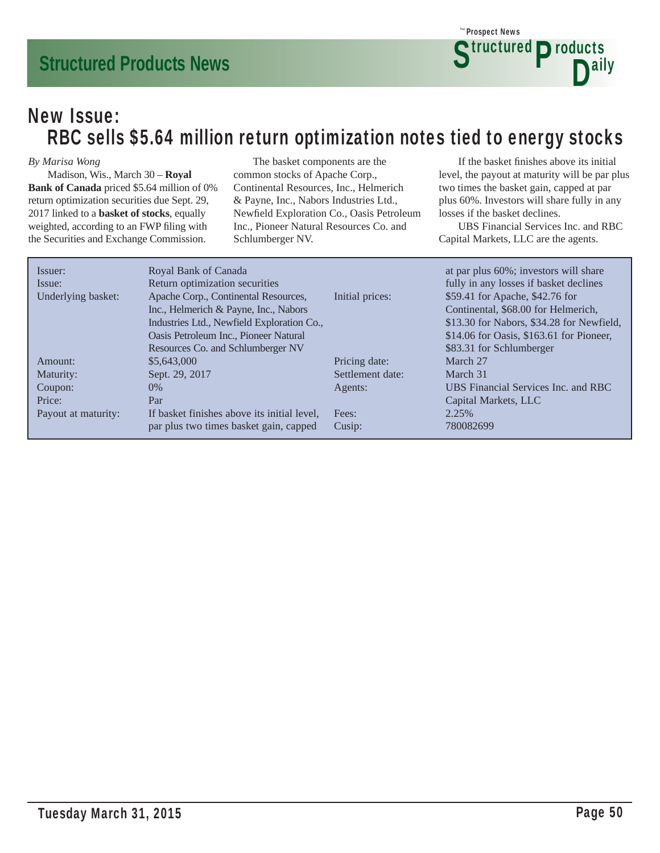### New Issue: RBC sells \$5.64 million return optimization notes tied to energy stocks

#### *By Marisa Wong*

 Madison, Wis., March 30 – **Royal Bank of Canada** priced \$5.64 million of 0% return optimization securities due Sept. 29, 2017 linked to a **basket of stocks**, equally weighted, according to an FWP filing with the Securities and Exchange Commission.

 The basket components are the common stocks of Apache Corp., Continental Resources, Inc., Helmerich & Payne, Inc., Nabors Industries Ltd., Newfield Exploration Co., Oasis Petroleum Inc., Pioneer Natural Resources Co. and Schlumberger NV.

If the basket finishes above its initial level, the payout at maturity will be par plus two times the basket gain, capped at par plus 60%. Investors will share fully in any losses if the basket declines.

**Structured Products** 

D<sup>ally</sup>

Prospect News *The*

 UBS Financial Services Inc. and RBC Capital Markets, LLC are the agents.

| Issuer:             | Royal Bank of Canada                        |                  | at par plus 60%; investors will share     |
|---------------------|---------------------------------------------|------------------|-------------------------------------------|
| Issue:              | Return optimization securities              |                  | fully in any losses if basket declines    |
| Underlying basket:  | Apache Corp., Continental Resources,        | Initial prices:  | \$59.41 for Apache, \$42.76 for           |
|                     | Inc., Helmerich & Payne, Inc., Nabors       |                  | Continental, \$68.00 for Helmerich,       |
|                     | Industries Ltd., Newfield Exploration Co.,  |                  | \$13.30 for Nabors, \$34.28 for Newfield, |
|                     | Oasis Petroleum Inc., Pioneer Natural       |                  | \$14.06 for Oasis, \$163.61 for Pioneer,  |
|                     | Resources Co. and Schlumberger NV           |                  | \$83.31 for Schlumberger                  |
| Amount:             | \$5,643,000                                 | Pricing date:    | March 27                                  |
| Maturity:           | Sept. 29, 2017                              | Settlement date: | March 31                                  |
| Coupon:             | $0\%$                                       | Agents:          | UBS Financial Services Inc. and RBC       |
| Price:              | Par                                         |                  | Capital Markets, LLC                      |
| Payout at maturity: | If basket finishes above its initial level, | Fees:            | 2.25%                                     |
|                     | par plus two times basket gain, capped      | Cusip:           | 780082699                                 |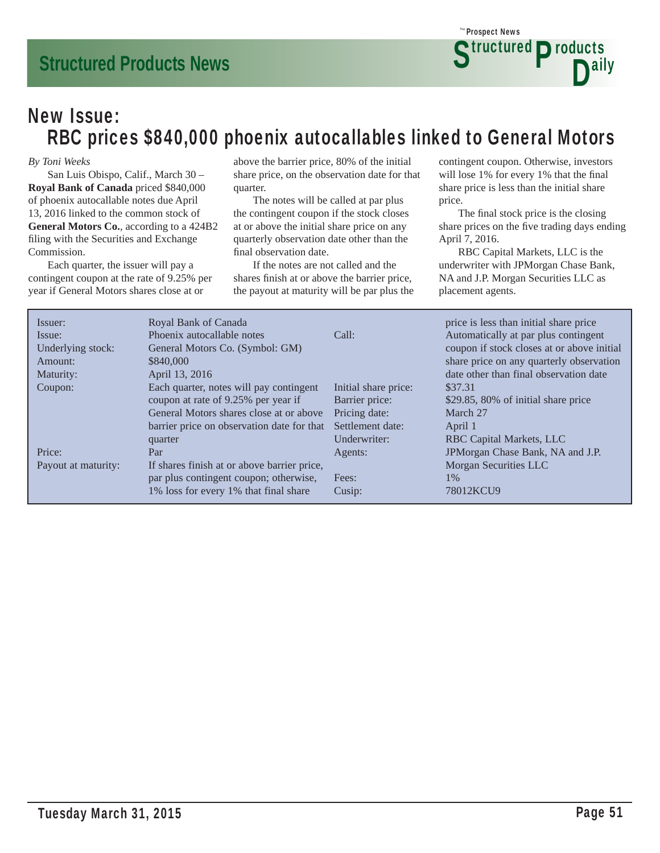### New Issue: RBC prices \$840,000 phoenix autocallables linked to General Motors

#### *By Toni Weeks*

 San Luis Obispo, Calif., March 30 – **Royal Bank of Canada** priced \$840,000 of phoenix autocallable notes due April 13, 2016 linked to the common stock of **General Motors Co.**, according to a 424B2 filing with the Securities and Exchange Commission.

 Each quarter, the issuer will pay a contingent coupon at the rate of 9.25% per year if General Motors shares close at or

above the barrier price, 80% of the initial share price, on the observation date for that quarter.

 The notes will be called at par plus the contingent coupon if the stock closes at or above the initial share price on any quarterly observation date other than the final observation date.

 If the notes are not called and the shares finish at or above the barrier price, the payout at maturity will be par plus the contingent coupon. Otherwise, investors will lose 1% for every 1% that the final share price is less than the initial share price.

**Structured Products** 

D<sup>ally</sup>

Prospect News *The*

The final stock price is the closing share prices on the five trading days ending April 7, 2016.

 RBC Capital Markets, LLC is the underwriter with JPMorgan Chase Bank, NA and J.P. Morgan Securities LLC as placement agents.

| Issuer:             | Royal Bank of Canada                        |                      | price is less than initial share price     |
|---------------------|---------------------------------------------|----------------------|--------------------------------------------|
| Issue:              | Phoenix autocallable notes                  | Call:                | Automatically at par plus contingent       |
| Underlying stock:   | General Motors Co. (Symbol: GM)             |                      | coupon if stock closes at or above initial |
| Amount:             | \$840,000                                   |                      | share price on any quarterly observation   |
| Maturity:           | April 13, 2016                              |                      | date other than final observation date     |
| Coupon:             | Each quarter, notes will pay contingent     | Initial share price: | \$37.31                                    |
|                     | coupon at rate of 9.25% per year if         | Barrier price:       | \$29.85, 80% of initial share price        |
|                     | General Motors shares close at or above     | Pricing date:        | March 27                                   |
|                     | barrier price on observation date for that  | Settlement date:     | April 1                                    |
|                     | quarter                                     | Underwriter:         | RBC Capital Markets, LLC                   |
| Price:              | Par                                         | Agents:              | JPMorgan Chase Bank, NA and J.P.           |
| Payout at maturity: | If shares finish at or above barrier price, |                      | Morgan Securities LLC                      |
|                     | par plus contingent coupon; otherwise,      | Fees:                | 1%                                         |
|                     | 1% loss for every 1% that final share       | Cusip:               | 78012KCU9                                  |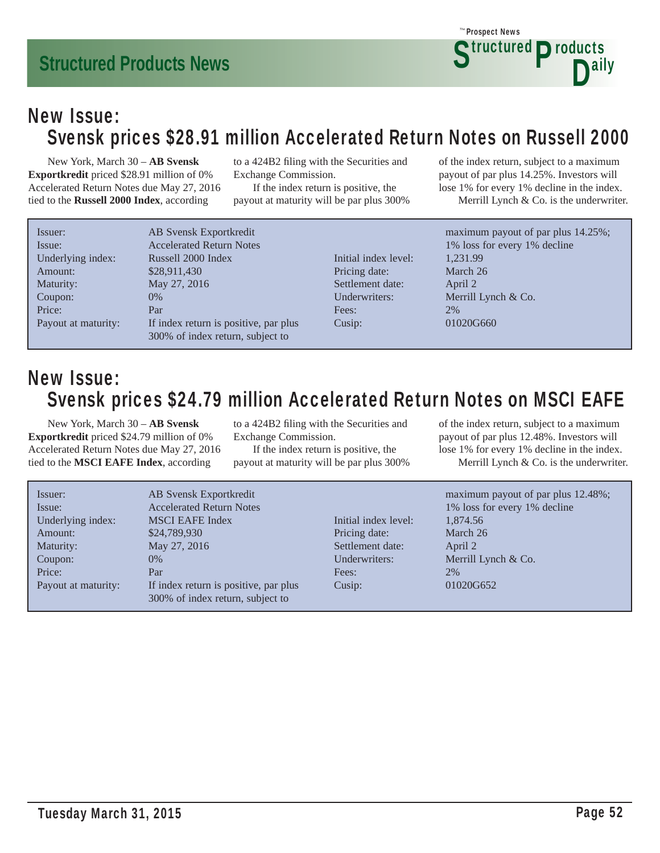### New Issue: Svensk prices \$28.91 million Accelerated Return Notes on Russell 2000

 New York, March 30 – **AB Svensk Exportkredit** priced \$28.91 million of 0% Accelerated Return Notes due May 27, 2016 tied to the **Russell 2000 Index**, according

Underly Amoun Maturit Coupor Price: Payout to a 424B2 filing with the Securities and Exchange Commission.

 If the index return is positive, the payout at maturity will be par plus 300% of the index return, subject to a maximum payout of par plus 14.25%. Investors will lose 1% for every 1% decline in the index. Merrill Lynch & Co. is the underwriter.

| Issuer:             | AB Svensk Exportkredit               |
|---------------------|--------------------------------------|
| Issue:              | <b>Accelerated Return Notes</b>      |
| Underlying index:   | Russell 2000 Index                   |
| Amount:             | \$28,911,430                         |
| Maturity:           | May 27, 2016                         |
| Coupon:             | $0\%$                                |
| Price:              | Par                                  |
| Payout at maturity: | If index return is positive, par plu |
|                     | 300% of index return, subject to     |

Initial index level: 1,231.99 Pricing date: March 26 Settlement date: April 2 Fees: 2% Cusip: 01020G660

maximum payout of par plus 14.25%; 1% loss for every 1% decline Underwriters: Merrill Lynch & Co.

### New Issue: Svensk prices \$24.79 million Accelerated Return Notes on MSCI EAFE

 New York, March 30 – **AB Svensk Exportkredit** priced \$24.79 million of 0% Accelerated Return Notes due May 27, 2016 tied to the **MSCI EAFE Index**, according

to a 424B2 filing with the Securities and Exchange Commission.

 If the index return is positive, the payout at maturity will be par plus 300% of the index return, subject to a maximum payout of par plus 12.48%. Investors will lose 1% for every 1% decline in the index. Merrill Lynch & Co. is the underwriter.

| Issuer:<br>Issue:<br>Underlying index:<br>Amount:<br>Maturity:<br>Coupon:<br>Price:<br>Payout at maturity: | AB Svensk Exportkredit<br><b>Accelerated Return Notes</b><br><b>MSCI EAFE Index</b><br>\$24,789,930<br>May 27, 2016<br>$0\%$<br>Par<br>If index return is positive, par plus<br>300% of index return, subject to | Initial index level:<br>Pricing date:<br>Settlement date:<br>Underwriters:<br>Fees:<br>Cusip: | maximum payout of par plus 12.48%;<br>1% loss for every 1% decline<br>1,874.56<br>March 26<br>April 2<br>Merrill Lynch $& Co.$<br>2%<br>01020G652 |
|------------------------------------------------------------------------------------------------------------|------------------------------------------------------------------------------------------------------------------------------------------------------------------------------------------------------------------|-----------------------------------------------------------------------------------------------|---------------------------------------------------------------------------------------------------------------------------------------------------|
|                                                                                                            |                                                                                                                                                                                                                  |                                                                                               |                                                                                                                                                   |

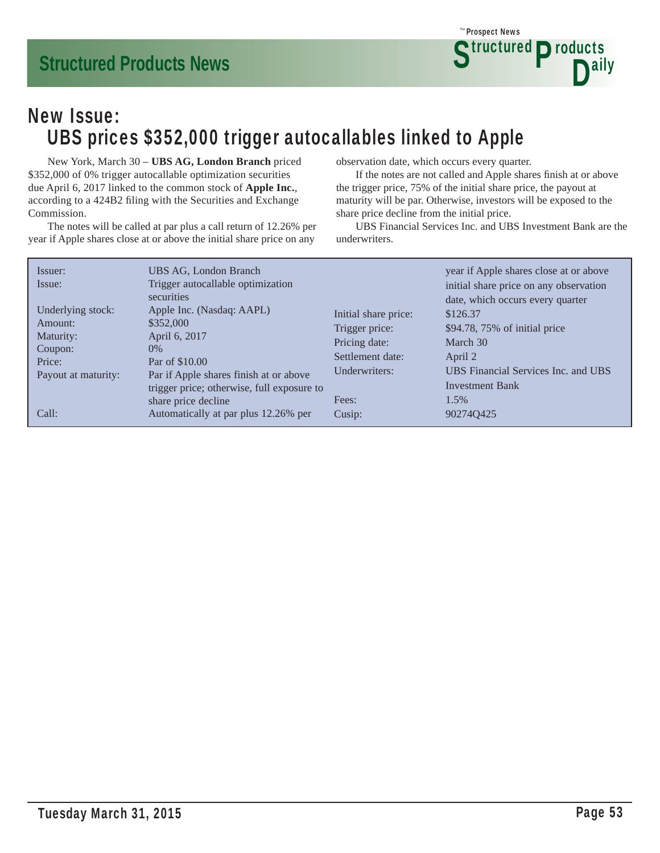

### New Issue: UBS prices \$352,000 trigger autocallables linked to Apple

 New York, March 30 – **UBS AG, London Branch** priced \$352,000 of 0% trigger autocallable optimization securities due April 6, 2017 linked to the common stock of **Apple Inc.**, according to a 424B2 filing with the Securities and Exchange Commission.

 The notes will be called at par plus a call return of 12.26% per year if Apple shares close at or above the initial share price on any

observation date, which occurs every quarter.

If the notes are not called and Apple shares finish at or above the trigger price, 75% of the initial share price, the payout at maturity will be par. Otherwise, investors will be exposed to the share price decline from the initial price.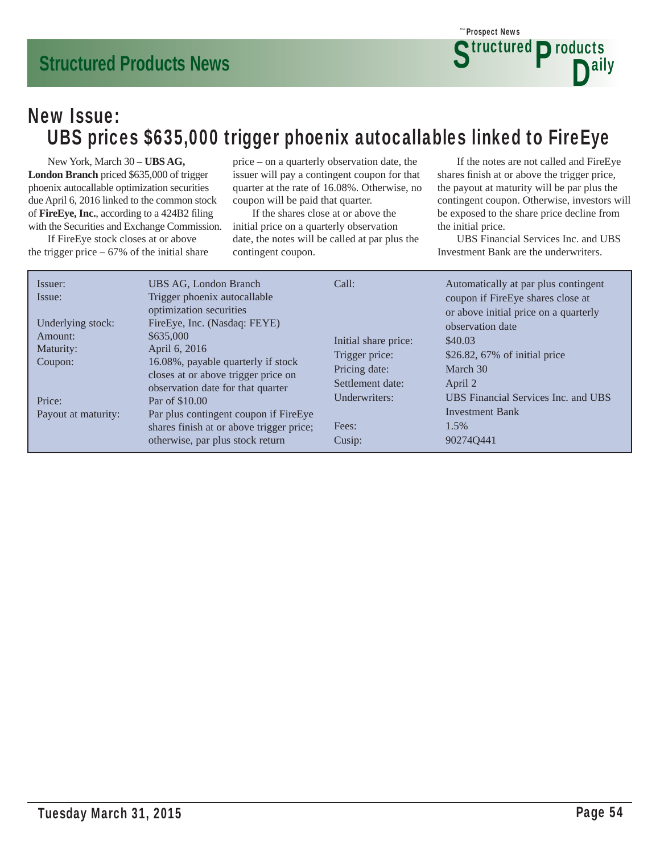### New Issue: UBS prices \$635,000 trigger phoenix autocallables linked to FireEye

 New York, March 30 – **UBS AG, London Branch** priced \$635,000 of trigger phoenix autocallable optimization securities due April 6, 2016 linked to the common stock of FireEye, Inc., according to a 424B2 filing with the Securities and Exchange Commission.

 If FireEye stock closes at or above the trigger price  $-67\%$  of the initial share price – on a quarterly observation date, the issuer will pay a contingent coupon for that quarter at the rate of 16.08%. Otherwise, no coupon will be paid that quarter.

 If the shares close at or above the initial price on a quarterly observation date, the notes will be called at par plus the contingent coupon.

 If the notes are not called and FireEye shares finish at or above the trigger price, the payout at maturity will be par plus the contingent coupon. Otherwise, investors will be exposed to the share price decline from the initial price.

**Structured Products** 

D<sup>ally</sup>

Prospect News *The*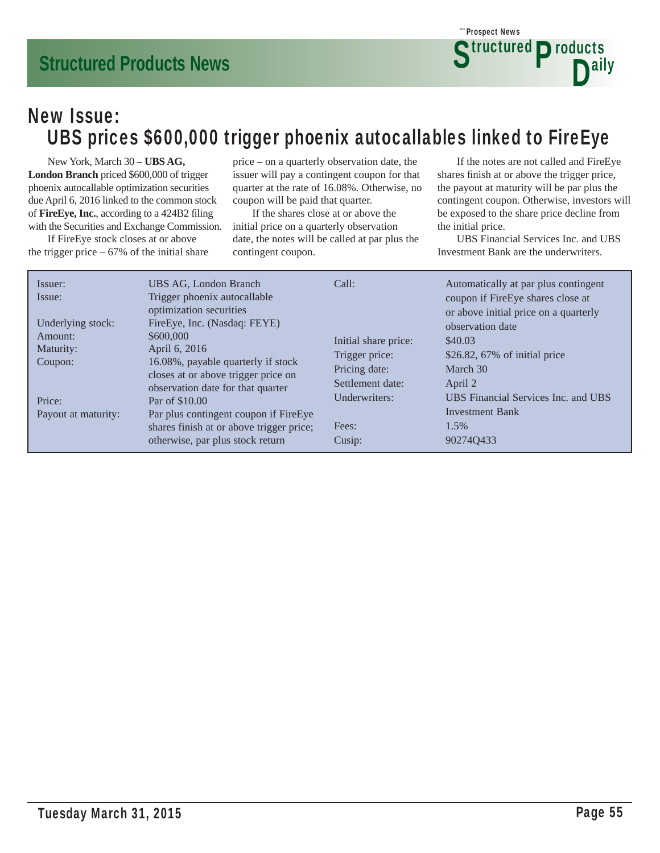### New Issue: UBS prices \$600,000 trigger phoenix autocallables linked to FireEye

 New York, March 30 – **UBS AG, London Branch** priced \$600,000 of trigger phoenix autocallable optimization securities due April 6, 2016 linked to the common stock of FireEye, Inc., according to a 424B2 filing with the Securities and Exchange Commission.

 If FireEye stock closes at or above the trigger price  $-67\%$  of the initial share price – on a quarterly observation date, the issuer will pay a contingent coupon for that quarter at the rate of 16.08%. Otherwise, no coupon will be paid that quarter.

 If the shares close at or above the initial price on a quarterly observation date, the notes will be called at par plus the contingent coupon.

 If the notes are not called and FireEye shares finish at or above the trigger price, the payout at maturity will be par plus the contingent coupon. Otherwise, investors will be exposed to the share price decline from the initial price.

**Structured Products** 

D<sup>ally</sup>

Prospect News *The*

| Issuer:<br>Issue:<br>Underlying stock:<br>Amount:<br>Maturity:<br>Coupon: | UBS AG, London Branch<br>Trigger phoenix autocallable<br>optimization securities<br>FireEye, Inc. (Nasdaq: FEYE)<br>\$600,000<br>April 6, 2016<br>16.08%, payable quarterly if stock<br>closes at or above trigger price on | Call:<br>Initial share price:<br>Trigger price:<br>Pricing date:<br>Settlement date: | Automatically at par plus contingent<br>coupon if FireEye shares close at<br>or above initial price on a quarterly<br>observation date<br>\$40.03<br>\$26.82, $67\%$ of initial price<br>March 30<br>April 2 |
|---------------------------------------------------------------------------|-----------------------------------------------------------------------------------------------------------------------------------------------------------------------------------------------------------------------------|--------------------------------------------------------------------------------------|--------------------------------------------------------------------------------------------------------------------------------------------------------------------------------------------------------------|
| Price:<br>Payout at maturity:                                             | observation date for that quarter<br>Par of \$10.00<br>Par plus contingent coupon if FireEye<br>shares finish at or above trigger price;<br>otherwise, par plus stock return                                                | Underwriters:<br>Fees:<br>Cusip:                                                     | UBS Financial Services Inc. and UBS<br><b>Investment Bank</b><br>1.5%<br>902740433                                                                                                                           |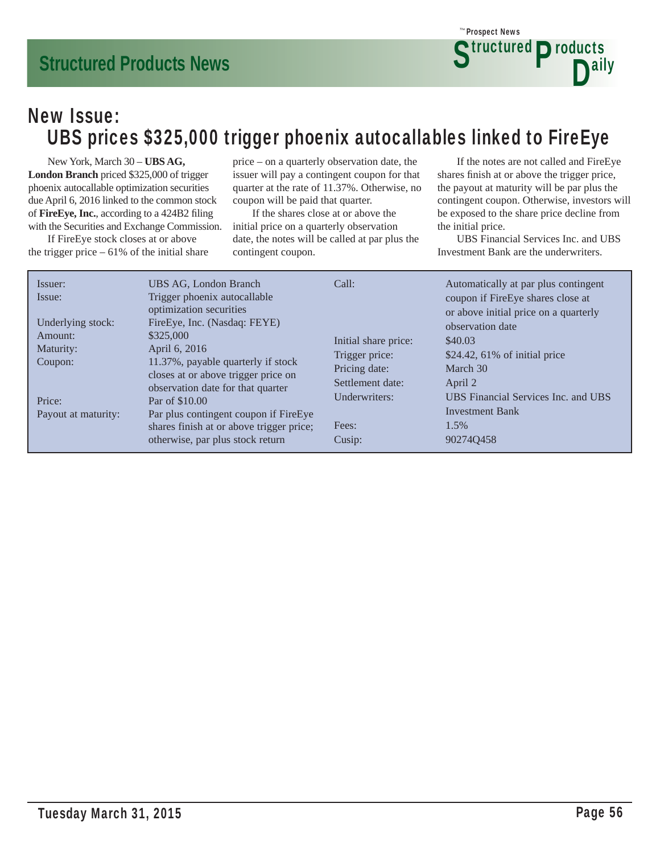### New Issue: UBS prices \$325,000 trigger phoenix autocallables linked to FireEye

 New York, March 30 – **UBS AG, London Branch** priced \$325,000 of trigger phoenix autocallable optimization securities due April 6, 2016 linked to the common stock of FireEye, Inc., according to a 424B2 filing with the Securities and Exchange Commission.

 If FireEye stock closes at or above the trigger price  $-61\%$  of the initial share price – on a quarterly observation date, the issuer will pay a contingent coupon for that quarter at the rate of 11.37%. Otherwise, no coupon will be paid that quarter.

 If the shares close at or above the initial price on a quarterly observation date, the notes will be called at par plus the contingent coupon.

 If the notes are not called and FireEye shares finish at or above the trigger price, the payout at maturity will be par plus the contingent coupon. Otherwise, investors will be exposed to the share price decline from the initial price.

**Structured Products** 

D<sup>ally</sup>

Prospect News *The*

| Issuer:<br>Issue:             | UBS AG, London Branch<br>Trigger phoenix autocallable<br>optimization securities                                                        | Call:                                               | Automatically at par plus contingent<br>coupon if FireEye shares close at<br>or above initial price on a quarterly |
|-------------------------------|-----------------------------------------------------------------------------------------------------------------------------------------|-----------------------------------------------------|--------------------------------------------------------------------------------------------------------------------|
| Underlying stock:<br>Amount:  | FireEye, Inc. (Nasdaq: FEYE)<br>\$325,000                                                                                               | Initial share price:                                | observation date<br>\$40.03                                                                                        |
| Maturity:<br>Coupon:          | April 6, 2016<br>11.37%, payable quarterly if stock<br>closes at or above trigger price on<br>observation date for that quarter         | Trigger price:<br>Pricing date:<br>Settlement date: | $$24.42, 61\%$ of initial price<br>March 30<br>April 2                                                             |
| Price:<br>Payout at maturity: | Par of \$10.00<br>Par plus contingent coupon if FireEye<br>shares finish at or above trigger price;<br>otherwise, par plus stock return | Underwriters:<br>Fees:<br>Cusip:                    | UBS Financial Services Inc. and UBS<br><b>Investment Bank</b><br>1.5%<br>902740458                                 |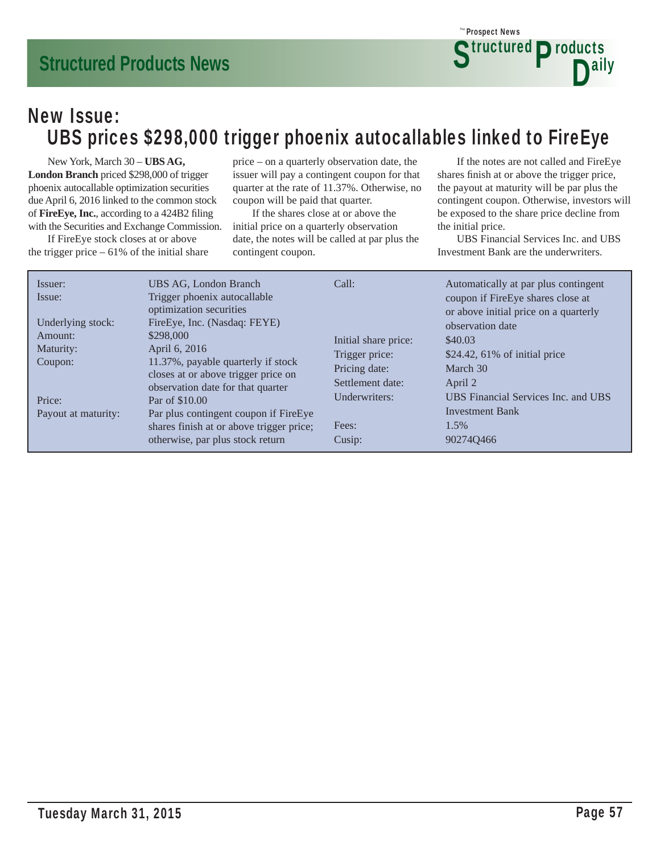### New Issue: UBS prices \$298,000 trigger phoenix autocallables linked to FireEye

 New York, March 30 – **UBS AG, London Branch** priced \$298,000 of trigger phoenix autocallable optimization securities due April 6, 2016 linked to the common stock of FireEye, Inc., according to a 424B2 filing with the Securities and Exchange Commission.

 If FireEye stock closes at or above the trigger price  $-61\%$  of the initial share price – on a quarterly observation date, the issuer will pay a contingent coupon for that quarter at the rate of 11.37%. Otherwise, no coupon will be paid that quarter.

 If the shares close at or above the initial price on a quarterly observation date, the notes will be called at par plus the contingent coupon.

 If the notes are not called and FireEye shares finish at or above the trigger price, the payout at maturity will be par plus the contingent coupon. Otherwise, investors will be exposed to the share price decline from the initial price.

**Structured Products** 

D<sup>ally</sup>

Prospect News *The*

| Issuer:<br>Issue:             | UBS AG, London Branch<br>Trigger phoenix autocallable<br>optimization securities                                                         | Call:                                               | Automatically at par plus contingent<br>coupon if FireEye shares close at<br>or above initial price on a quarterly |
|-------------------------------|------------------------------------------------------------------------------------------------------------------------------------------|-----------------------------------------------------|--------------------------------------------------------------------------------------------------------------------|
| Underlying stock:<br>Amount:  | FireEye, Inc. (Nasdaq: FEYE)<br>\$298,000                                                                                                | Initial share price:                                | observation date<br>\$40.03                                                                                        |
| Maturity:<br>Coupon:          | April 6, 2016<br>11.37%, payable quarterly if stock<br>closes at or above trigger price on                                               | Trigger price:<br>Pricing date:<br>Settlement date: | $$24.42, 61\%$ of initial price<br>March 30<br>April 2                                                             |
| Price:<br>Payout at maturity: | observation date for that quarter<br>Par of \$10.00<br>Par plus contingent coupon if FireEye<br>shares finish at or above trigger price; | Underwriters:<br>Fees:                              | UBS Financial Services Inc. and UBS<br><b>Investment Bank</b><br>1.5%                                              |
|                               | otherwise, par plus stock return                                                                                                         | Cusip:                                              | 902740466                                                                                                          |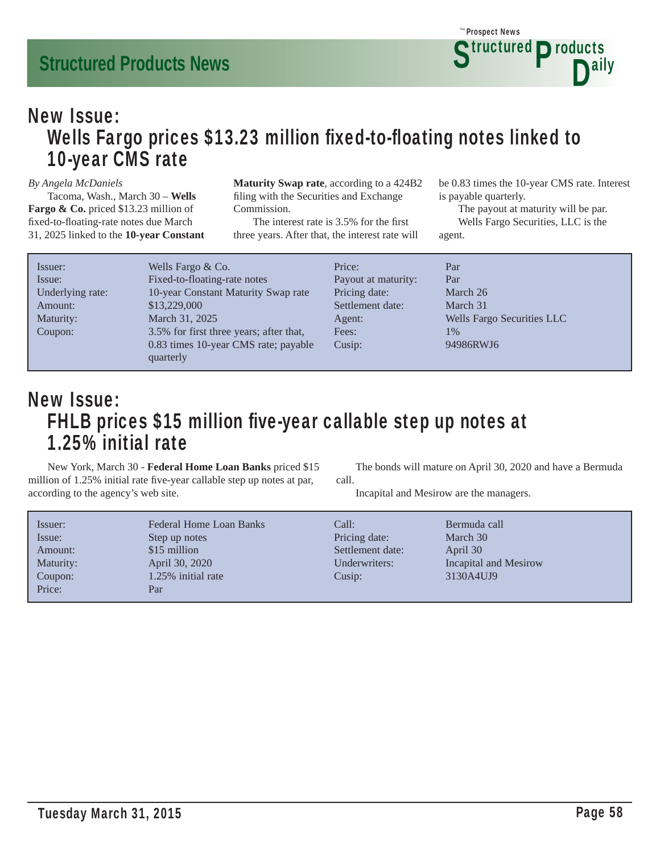

### New Issue: Wells Fargo prices \$13.23 million fixed-to-floating notes linked to 10-year CMS rate

#### *By Angela McDaniels*

 Tacoma, Wash., March 30 – **Wells Fargo & Co.** priced \$13.23 million of fixed-to-floating-rate notes due March 31, 2025 linked to the **10-year Constant**  **Maturity Swap rate**, according to a 424B2 filing with the Securities and Exchange Commission.

The interest rate is 3.5% for the first three years. After that, the interest rate will be 0.83 times the 10-year CMS rate. Interest is payable quarterly.

 The payout at maturity will be par. Wells Fargo Securities, LLC is the agent.

| Issuer:          | Wells Fargo $& Co.$                               | Price:              | Par                        |
|------------------|---------------------------------------------------|---------------------|----------------------------|
| Issue:           | Fixed-to-floating-rate notes                      | Payout at maturity: | Par                        |
| Underlying rate: | 10-year Constant Maturity Swap rate               | Pricing date:       | March 26                   |
| Amount:          | \$13,229,000                                      | Settlement date:    | March 31                   |
| Maturity:        | March 31, 2025                                    | Agent:              | Wells Fargo Securities LLC |
| Coupon:          | 3.5% for first three years; after that,           | Fees:               | 1%                         |
|                  | 0.83 times 10-year CMS rate; payable<br>quarterly | Cusip:              | 94986RWJ6                  |

### New Issue: FHLB prices \$15 million five-year callable step up notes at 1.25% initial rate

 New York, March 30 - **Federal Home Loan Banks** priced \$15 million of 1.25% initial rate five-year callable step up notes at par, according to the agency's web site.

 The bonds will mature on April 30, 2020 and have a Bermuda call.

Incapital and Mesirow are the managers.

| Issuer:<br>Issue:<br>Amount: | Federal Home Loan Banks<br>Step up notes<br>\$15 million | Call:<br>Pricing date:<br>Settlement date: | Bermuda call<br>March 30<br>April 30 |
|------------------------------|----------------------------------------------------------|--------------------------------------------|--------------------------------------|
| Maturity:                    | April 30, 2020                                           | Underwriters:                              | Incapital and Mesirow                |
| Coupon:                      | 1.25% initial rate                                       | Cusip:                                     | 3130A4UJ9                            |
| Price:                       | Par                                                      |                                            |                                      |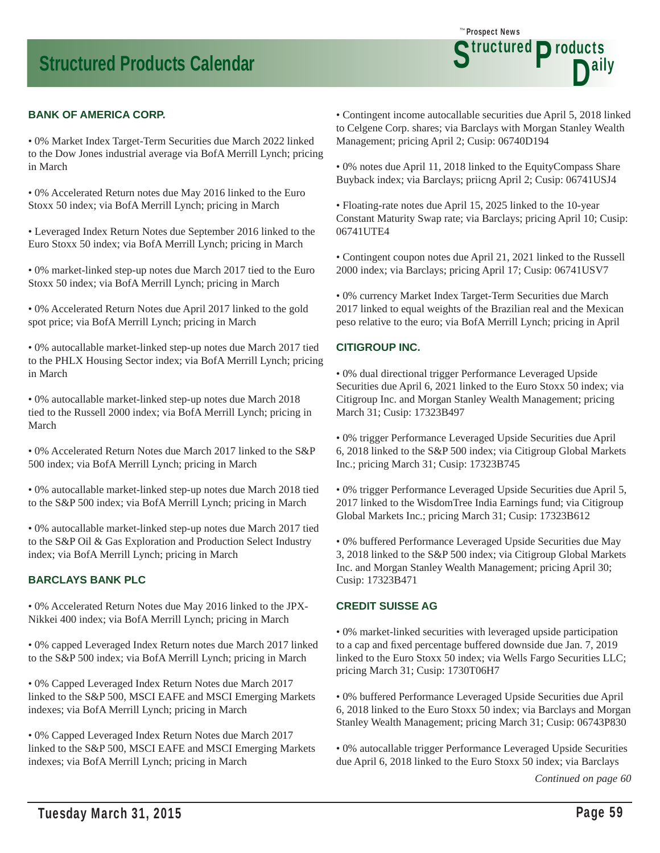

#### **BANK OF AMERICA CORP.**

• 0% Market Index Target-Term Securities due March 2022 linked to the Dow Jones industrial average via BofA Merrill Lynch; pricing in March

• 0% Accelerated Return notes due May 2016 linked to the Euro Stoxx 50 index; via BofA Merrill Lynch; pricing in March

• Leveraged Index Return Notes due September 2016 linked to the Euro Stoxx 50 index; via BofA Merrill Lynch; pricing in March

• 0% market-linked step-up notes due March 2017 tied to the Euro Stoxx 50 index; via BofA Merrill Lynch; pricing in March

• 0% Accelerated Return Notes due April 2017 linked to the gold spot price; via BofA Merrill Lynch; pricing in March

• 0% autocallable market-linked step-up notes due March 2017 tied to the PHLX Housing Sector index; via BofA Merrill Lynch; pricing in March

• 0% autocallable market-linked step-up notes due March 2018 tied to the Russell 2000 index; via BofA Merrill Lynch; pricing in March

• 0% Accelerated Return Notes due March 2017 linked to the S&P 500 index; via BofA Merrill Lynch; pricing in March

• 0% autocallable market-linked step-up notes due March 2018 tied to the S&P 500 index; via BofA Merrill Lynch; pricing in March

• 0% autocallable market-linked step-up notes due March 2017 tied to the S&P Oil & Gas Exploration and Production Select Industry index; via BofA Merrill Lynch; pricing in March

#### **BARCLAYS BANK PLC**

• 0% Accelerated Return Notes due May 2016 linked to the JPX-Nikkei 400 index; via BofA Merrill Lynch; pricing in March

• 0% capped Leveraged Index Return notes due March 2017 linked to the S&P 500 index; via BofA Merrill Lynch; pricing in March

• 0% Capped Leveraged Index Return Notes due March 2017 linked to the S&P 500, MSCI EAFE and MSCI Emerging Markets indexes; via BofA Merrill Lynch; pricing in March

• 0% Capped Leveraged Index Return Notes due March 2017 linked to the S&P 500, MSCI EAFE and MSCI Emerging Markets indexes; via BofA Merrill Lynch; pricing in March

• Contingent income autocallable securities due April 5, 2018 linked to Celgene Corp. shares; via Barclays with Morgan Stanley Wealth Management; pricing April 2; Cusip: 06740D194

• 0% notes due April 11, 2018 linked to the EquityCompass Share Buyback index; via Barclays; priicng April 2; Cusip: 06741USJ4

• Floating-rate notes due April 15, 2025 linked to the 10-year Constant Maturity Swap rate; via Barclays; pricing April 10; Cusip: 06741UTE4

• Contingent coupon notes due April 21, 2021 linked to the Russell 2000 index; via Barclays; pricing April 17; Cusip: 06741USV7

• 0% currency Market Index Target-Term Securities due March 2017 linked to equal weights of the Brazilian real and the Mexican peso relative to the euro; via BofA Merrill Lynch; pricing in April

#### **CITIGROUP INC.**

• 0% dual directional trigger Performance Leveraged Upside Securities due April 6, 2021 linked to the Euro Stoxx 50 index; via Citigroup Inc. and Morgan Stanley Wealth Management; pricing March 31; Cusip: 17323B497

• 0% trigger Performance Leveraged Upside Securities due April 6, 2018 linked to the S&P 500 index; via Citigroup Global Markets Inc.; pricing March 31; Cusip: 17323B745

• 0% trigger Performance Leveraged Upside Securities due April 5, 2017 linked to the WisdomTree India Earnings fund; via Citigroup Global Markets Inc.; pricing March 31; Cusip: 17323B612

• 0% buffered Performance Leveraged Upside Securities due May 3, 2018 linked to the S&P 500 index; via Citigroup Global Markets Inc. and Morgan Stanley Wealth Management; pricing April 30; Cusip: 17323B471

#### **CREDIT SUISSE AG**

• 0% market-linked securities with leveraged upside participation to a cap and fixed percentage buffered downside due Jan. 7, 2019 linked to the Euro Stoxx 50 index; via Wells Fargo Securities LLC; pricing March 31; Cusip: 1730T06H7

• 0% buffered Performance Leveraged Upside Securities due April 6, 2018 linked to the Euro Stoxx 50 index; via Barclays and Morgan Stanley Wealth Management; pricing March 31; Cusip: 06743P830

• 0% autocallable trigger Performance Leveraged Upside Securities due April 6, 2018 linked to the Euro Stoxx 50 index; via Barclays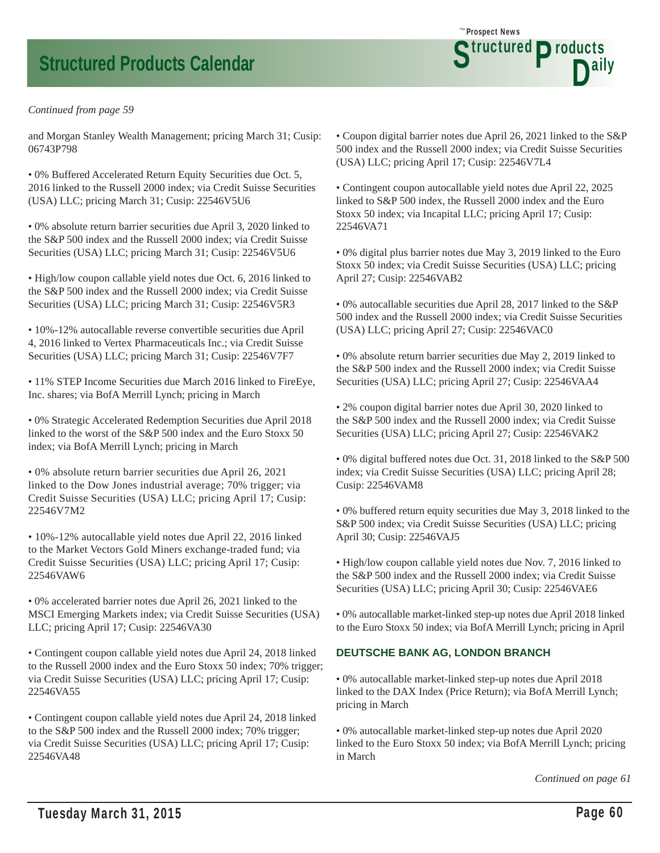#### *Continued from page 59*

and Morgan Stanley Wealth Management; pricing March 31; Cusip: 06743P798

• 0% Buffered Accelerated Return Equity Securities due Oct. 5, 2016 linked to the Russell 2000 index; via Credit Suisse Securities (USA) LLC; pricing March 31; Cusip: 22546V5U6

• 0% absolute return barrier securities due April 3, 2020 linked to the S&P 500 index and the Russell 2000 index; via Credit Suisse Securities (USA) LLC; pricing March 31; Cusip: 22546V5U6

• High/low coupon callable yield notes due Oct. 6, 2016 linked to the S&P 500 index and the Russell 2000 index; via Credit Suisse Securities (USA) LLC; pricing March 31; Cusip: 22546V5R3

• 10%-12% autocallable reverse convertible securities due April 4, 2016 linked to Vertex Pharmaceuticals Inc.; via Credit Suisse Securities (USA) LLC; pricing March 31; Cusip: 22546V7F7

• 11% STEP Income Securities due March 2016 linked to FireEye, Inc. shares; via BofA Merrill Lynch; pricing in March

• 0% Strategic Accelerated Redemption Securities due April 2018 linked to the worst of the S&P 500 index and the Euro Stoxx 50 index; via BofA Merrill Lynch; pricing in March

• 0% absolute return barrier securities due April 26, 2021 linked to the Dow Jones industrial average; 70% trigger; via Credit Suisse Securities (USA) LLC; pricing April 17; Cusip: 22546V7M2

• 10%-12% autocallable yield notes due April 22, 2016 linked to the Market Vectors Gold Miners exchange-traded fund; via Credit Suisse Securities (USA) LLC; pricing April 17; Cusip: 22546VAW6

• 0% accelerated barrier notes due April 26, 2021 linked to the MSCI Emerging Markets index; via Credit Suisse Securities (USA) LLC; pricing April 17; Cusip: 22546VA30

• Contingent coupon callable yield notes due April 24, 2018 linked to the Russell 2000 index and the Euro Stoxx 50 index; 70% trigger; via Credit Suisse Securities (USA) LLC; pricing April 17; Cusip: 22546VA55

• Contingent coupon callable yield notes due April 24, 2018 linked to the S&P 500 index and the Russell 2000 index; 70% trigger; via Credit Suisse Securities (USA) LLC; pricing April 17; Cusip: 22546VA48

• Coupon digital barrier notes due April 26, 2021 linked to the S&P 500 index and the Russell 2000 index; via Credit Suisse Securities (USA) LLC; pricing April 17; Cusip: 22546V7L4

Prospect News *The*

Structured Products<br>D<sup>aily</sup>

• Contingent coupon autocallable yield notes due April 22, 2025 linked to S&P 500 index, the Russell 2000 index and the Euro Stoxx 50 index; via Incapital LLC; pricing April 17; Cusip: 22546VA71

• 0% digital plus barrier notes due May 3, 2019 linked to the Euro Stoxx 50 index; via Credit Suisse Securities (USA) LLC; pricing April 27; Cusip: 22546VAB2

• 0% autocallable securities due April 28, 2017 linked to the S&P 500 index and the Russell 2000 index; via Credit Suisse Securities (USA) LLC; pricing April 27; Cusip: 22546VAC0

• 0% absolute return barrier securities due May 2, 2019 linked to the S&P 500 index and the Russell 2000 index; via Credit Suisse Securities (USA) LLC; pricing April 27; Cusip: 22546VAA4

• 2% coupon digital barrier notes due April 30, 2020 linked to the S&P 500 index and the Russell 2000 index; via Credit Suisse Securities (USA) LLC; pricing April 27; Cusip: 22546VAK2

• 0% digital buffered notes due Oct. 31, 2018 linked to the S&P 500 index; via Credit Suisse Securities (USA) LLC; pricing April 28; Cusip: 22546VAM8

• 0% buffered return equity securities due May 3, 2018 linked to the S&P 500 index; via Credit Suisse Securities (USA) LLC; pricing April 30; Cusip: 22546VAJ5

• High/low coupon callable yield notes due Nov. 7, 2016 linked to the S&P 500 index and the Russell 2000 index; via Credit Suisse Securities (USA) LLC; pricing April 30; Cusip: 22546VAE6

• 0% autocallable market-linked step-up notes due April 2018 linked to the Euro Stoxx 50 index; via BofA Merrill Lynch; pricing in April

#### **DEUTSCHE BANK AG, LONDON BRANCH**

• 0% autocallable market-linked step-up notes due April 2018 linked to the DAX Index (Price Return); via BofA Merrill Lynch; pricing in March

• 0% autocallable market-linked step-up notes due April 2020 linked to the Euro Stoxx 50 index; via BofA Merrill Lynch; pricing in March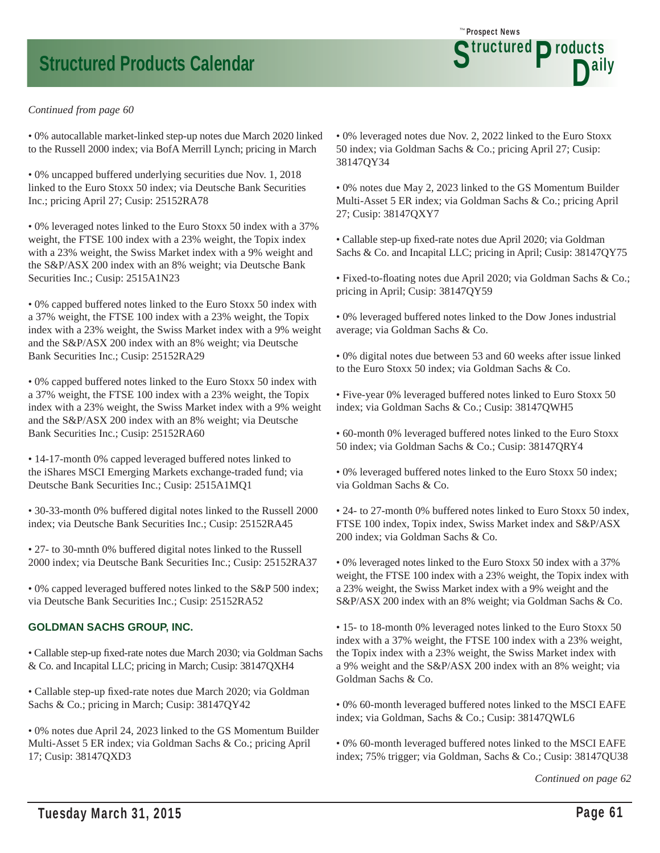#### *Continued from page 60*

• 0% autocallable market-linked step-up notes due March 2020 linked to the Russell 2000 index; via BofA Merrill Lynch; pricing in March

• 0% uncapped buffered underlying securities due Nov. 1, 2018 linked to the Euro Stoxx 50 index; via Deutsche Bank Securities Inc.; pricing April 27; Cusip: 25152RA78

• 0% leveraged notes linked to the Euro Stoxx 50 index with a 37% weight, the FTSE 100 index with a 23% weight, the Topix index with a 23% weight, the Swiss Market index with a 9% weight and the S&P/ASX 200 index with an 8% weight; via Deutsche Bank Securities Inc.; Cusip: 2515A1N23

• 0% capped buffered notes linked to the Euro Stoxx 50 index with a 37% weight, the FTSE 100 index with a 23% weight, the Topix index with a 23% weight, the Swiss Market index with a 9% weight and the S&P/ASX 200 index with an 8% weight; via Deutsche Bank Securities Inc.; Cusip: 25152RA29

• 0% capped buffered notes linked to the Euro Stoxx 50 index with a 37% weight, the FTSE 100 index with a 23% weight, the Topix index with a 23% weight, the Swiss Market index with a 9% weight and the S&P/ASX 200 index with an 8% weight; via Deutsche Bank Securities Inc.; Cusip: 25152RA60

• 14-17-month 0% capped leveraged buffered notes linked to the iShares MSCI Emerging Markets exchange-traded fund; via Deutsche Bank Securities Inc.; Cusip: 2515A1MQ1

• 30-33-month 0% buffered digital notes linked to the Russell 2000 index; via Deutsche Bank Securities Inc.; Cusip: 25152RA45

• 27- to 30-mnth 0% buffered digital notes linked to the Russell 2000 index; via Deutsche Bank Securities Inc.; Cusip: 25152RA37

• 0% capped leveraged buffered notes linked to the S&P 500 index; via Deutsche Bank Securities Inc.; Cusip: 25152RA52

#### **GOLDMAN SACHS GROUP, INC.**

• Callable step-up fixed-rate notes due March 2030; via Goldman Sachs & Co. and Incapital LLC; pricing in March; Cusip: 38147QXH4

• Callable step-up fi xed-rate notes due March 2020; via Goldman Sachs & Co.; pricing in March; Cusip: 38147QY42

• 0% notes due April 24, 2023 linked to the GS Momentum Builder Multi-Asset 5 ER index; via Goldman Sachs & Co.; pricing April 17; Cusip: 38147QXD3

• 0% leveraged notes due Nov. 2, 2022 linked to the Euro Stoxx 50 index; via Goldman Sachs & Co.; pricing April 27; Cusip: 38147QY34

Prospect News *The*

Structured Products<br>D<sup>aily</sup>

• 0% notes due May 2, 2023 linked to the GS Momentum Builder Multi-Asset 5 ER index; via Goldman Sachs & Co.; pricing April 27; Cusip: 38147QXY7

• Callable step-up fi xed-rate notes due April 2020; via Goldman Sachs & Co. and Incapital LLC; pricing in April; Cusip: 38147QY75

• Fixed-to-floating notes due April 2020; via Goldman Sachs & Co.; pricing in April; Cusip: 38147QY59

• 0% leveraged buffered notes linked to the Dow Jones industrial average; via Goldman Sachs & Co.

• 0% digital notes due between 53 and 60 weeks after issue linked to the Euro Stoxx 50 index; via Goldman Sachs & Co.

• Five-year 0% leveraged buffered notes linked to Euro Stoxx 50 index; via Goldman Sachs & Co.; Cusip: 38147QWH5

• 60-month 0% leveraged buffered notes linked to the Euro Stoxx 50 index; via Goldman Sachs & Co.; Cusip: 38147QRY4

• 0% leveraged buffered notes linked to the Euro Stoxx 50 index; via Goldman Sachs & Co.

• 24- to 27-month 0% buffered notes linked to Euro Stoxx 50 index, FTSE 100 index, Topix index, Swiss Market index and S&P/ASX 200 index; via Goldman Sachs & Co.

• 0% leveraged notes linked to the Euro Stoxx 50 index with a 37% weight, the FTSE 100 index with a 23% weight, the Topix index with a 23% weight, the Swiss Market index with a 9% weight and the S&P/ASX 200 index with an 8% weight; via Goldman Sachs & Co.

• 15- to 18-month 0% leveraged notes linked to the Euro Stoxx 50 index with a 37% weight, the FTSE 100 index with a 23% weight, the Topix index with a 23% weight, the Swiss Market index with a 9% weight and the S&P/ASX 200 index with an 8% weight; via Goldman Sachs & Co.

• 0% 60-month leveraged buffered notes linked to the MSCI EAFE index; via Goldman, Sachs & Co.; Cusip: 38147QWL6

• 0% 60-month leveraged buffered notes linked to the MSCI EAFE index; 75% trigger; via Goldman, Sachs & Co.; Cusip: 38147QU38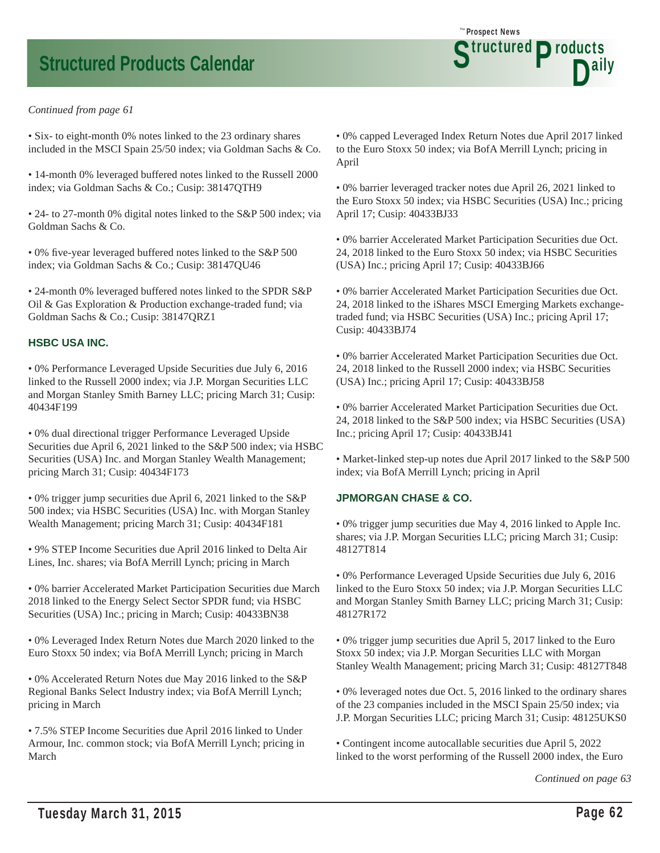

• Six- to eight-month 0% notes linked to the 23 ordinary shares included in the MSCI Spain 25/50 index; via Goldman Sachs & Co.

• 14-month 0% leveraged buffered notes linked to the Russell 2000 index; via Goldman Sachs & Co.; Cusip: 38147QTH9

• 24- to 27-month 0% digital notes linked to the S&P 500 index; via Goldman Sachs & Co.

• 0% five-year leveraged buffered notes linked to the S&P 500 index; via Goldman Sachs & Co.; Cusip: 38147QU46

• 24-month 0% leveraged buffered notes linked to the SPDR S&P Oil & Gas Exploration & Production exchange-traded fund; via Goldman Sachs & Co.; Cusip: 38147QRZ1

#### **HSBC USA INC.**

• 0% Performance Leveraged Upside Securities due July 6, 2016 linked to the Russell 2000 index; via J.P. Morgan Securities LLC and Morgan Stanley Smith Barney LLC; pricing March 31; Cusip: 40434F199

• 0% dual directional trigger Performance Leveraged Upside Securities due April 6, 2021 linked to the S&P 500 index; via HSBC Securities (USA) Inc. and Morgan Stanley Wealth Management; pricing March 31; Cusip: 40434F173

• 0% trigger jump securities due April 6, 2021 linked to the S&P 500 index; via HSBC Securities (USA) Inc. with Morgan Stanley Wealth Management; pricing March 31; Cusip: 40434F181

• 9% STEP Income Securities due April 2016 linked to Delta Air Lines, Inc. shares; via BofA Merrill Lynch; pricing in March

• 0% barrier Accelerated Market Participation Securities due March 2018 linked to the Energy Select Sector SPDR fund; via HSBC Securities (USA) Inc.; pricing in March; Cusip: 40433BN38

• 0% Leveraged Index Return Notes due March 2020 linked to the Euro Stoxx 50 index; via BofA Merrill Lynch; pricing in March

• 0% Accelerated Return Notes due May 2016 linked to the S&P Regional Banks Select Industry index; via BofA Merrill Lynch; pricing in March

• 7.5% STEP Income Securities due April 2016 linked to Under Armour, Inc. common stock; via BofA Merrill Lynch; pricing in March

• 0% capped Leveraged Index Return Notes due April 2017 linked to the Euro Stoxx 50 index; via BofA Merrill Lynch; pricing in April

Prospect News *The*

Structured Products<br>D<sup>aily</sup>

• 0% barrier leveraged tracker notes due April 26, 2021 linked to the Euro Stoxx 50 index; via HSBC Securities (USA) Inc.; pricing April 17; Cusip: 40433BJ33

• 0% barrier Accelerated Market Participation Securities due Oct. 24, 2018 linked to the Euro Stoxx 50 index; via HSBC Securities (USA) Inc.; pricing April 17; Cusip: 40433BJ66

• 0% barrier Accelerated Market Participation Securities due Oct. 24, 2018 linked to the iShares MSCI Emerging Markets exchangetraded fund; via HSBC Securities (USA) Inc.; pricing April 17; Cusip: 40433BJ74

• 0% barrier Accelerated Market Participation Securities due Oct. 24, 2018 linked to the Russell 2000 index; via HSBC Securities (USA) Inc.; pricing April 17; Cusip: 40433BJ58

• 0% barrier Accelerated Market Participation Securities due Oct. 24, 2018 linked to the S&P 500 index; via HSBC Securities (USA) Inc.; pricing April 17; Cusip: 40433BJ41

• Market-linked step-up notes due April 2017 linked to the S&P 500 index; via BofA Merrill Lynch; pricing in April

#### **JPMORGAN CHASE & CO.**

• 0% trigger jump securities due May 4, 2016 linked to Apple Inc. shares; via J.P. Morgan Securities LLC; pricing March 31; Cusip: 48127T814

• 0% Performance Leveraged Upside Securities due July 6, 2016 linked to the Euro Stoxx 50 index; via J.P. Morgan Securities LLC and Morgan Stanley Smith Barney LLC; pricing March 31; Cusip: 48127R172

• 0% trigger jump securities due April 5, 2017 linked to the Euro Stoxx 50 index; via J.P. Morgan Securities LLC with Morgan Stanley Wealth Management; pricing March 31; Cusip: 48127T848

• 0% leveraged notes due Oct. 5, 2016 linked to the ordinary shares of the 23 companies included in the MSCI Spain 25/50 index; via J.P. Morgan Securities LLC; pricing March 31; Cusip: 48125UKS0

• Contingent income autocallable securities due April 5, 2022 linked to the worst performing of the Russell 2000 index, the Euro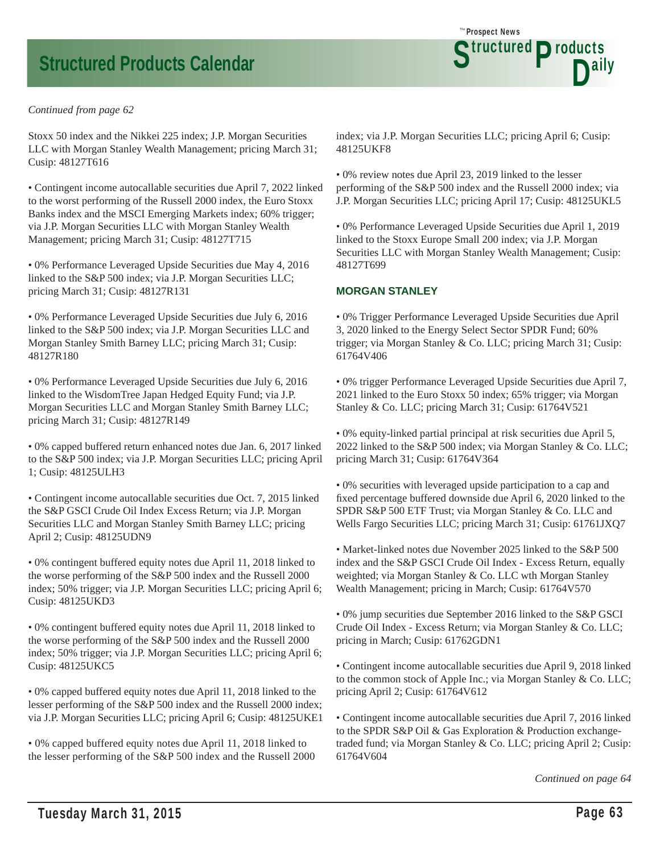#### *Continued from page 62*

Stoxx 50 index and the Nikkei 225 index; J.P. Morgan Securities LLC with Morgan Stanley Wealth Management; pricing March 31; Cusip: 48127T616

• Contingent income autocallable securities due April 7, 2022 linked to the worst performing of the Russell 2000 index, the Euro Stoxx Banks index and the MSCI Emerging Markets index; 60% trigger; via J.P. Morgan Securities LLC with Morgan Stanley Wealth Management; pricing March 31; Cusip: 48127T715

• 0% Performance Leveraged Upside Securities due May 4, 2016 linked to the S&P 500 index; via J.P. Morgan Securities LLC; pricing March 31; Cusip: 48127R131

• 0% Performance Leveraged Upside Securities due July 6, 2016 linked to the S&P 500 index; via J.P. Morgan Securities LLC and Morgan Stanley Smith Barney LLC; pricing March 31; Cusip: 48127R180

• 0% Performance Leveraged Upside Securities due July 6, 2016 linked to the WisdomTree Japan Hedged Equity Fund; via J.P. Morgan Securities LLC and Morgan Stanley Smith Barney LLC; pricing March 31; Cusip: 48127R149

• 0% capped buffered return enhanced notes due Jan. 6, 2017 linked to the S&P 500 index; via J.P. Morgan Securities LLC; pricing April 1; Cusip: 48125ULH3

• Contingent income autocallable securities due Oct. 7, 2015 linked the S&P GSCI Crude Oil Index Excess Return; via J.P. Morgan Securities LLC and Morgan Stanley Smith Barney LLC; pricing April 2; Cusip: 48125UDN9

• 0% contingent buffered equity notes due April 11, 2018 linked to the worse performing of the S&P 500 index and the Russell 2000 index; 50% trigger; via J.P. Morgan Securities LLC; pricing April 6; Cusip: 48125UKD3

• 0% contingent buffered equity notes due April 11, 2018 linked to the worse performing of the S&P 500 index and the Russell 2000 index; 50% trigger; via J.P. Morgan Securities LLC; pricing April 6; Cusip: 48125UKC5

• 0% capped buffered equity notes due April 11, 2018 linked to the lesser performing of the S&P 500 index and the Russell 2000 index; via J.P. Morgan Securities LLC; pricing April 6; Cusip: 48125UKE1

• 0% capped buffered equity notes due April 11, 2018 linked to the lesser performing of the S&P 500 index and the Russell 2000 index; via J.P. Morgan Securities LLC; pricing April 6; Cusip: 48125UKF8

Prospect News *The*

Structured Products<br>D<sup>aily</sup>

• 0% review notes due April 23, 2019 linked to the lesser performing of the S&P 500 index and the Russell 2000 index; via J.P. Morgan Securities LLC; pricing April 17; Cusip: 48125UKL5

• 0% Performance Leveraged Upside Securities due April 1, 2019 linked to the Stoxx Europe Small 200 index; via J.P. Morgan Securities LLC with Morgan Stanley Wealth Management; Cusip: 48127T699

#### **MORGAN STANLEY**

• 0% Trigger Performance Leveraged Upside Securities due April 3, 2020 linked to the Energy Select Sector SPDR Fund; 60% trigger; via Morgan Stanley & Co. LLC; pricing March 31; Cusip: 61764V406

• 0% trigger Performance Leveraged Upside Securities due April 7, 2021 linked to the Euro Stoxx 50 index; 65% trigger; via Morgan Stanley & Co. LLC; pricing March 31; Cusip: 61764V521

• 0% equity-linked partial principal at risk securities due April 5, 2022 linked to the S&P 500 index; via Morgan Stanley & Co. LLC; pricing March 31; Cusip: 61764V364

• 0% securities with leveraged upside participation to a cap and fixed percentage buffered downside due April 6, 2020 linked to the SPDR S&P 500 ETF Trust; via Morgan Stanley & Co. LLC and Wells Fargo Securities LLC; pricing March 31; Cusip: 61761JXQ7

• Market-linked notes due November 2025 linked to the S&P 500 index and the S&P GSCI Crude Oil Index - Excess Return, equally weighted; via Morgan Stanley & Co. LLC wth Morgan Stanley Wealth Management; pricing in March; Cusip: 61764V570

• 0% jump securities due September 2016 linked to the S&P GSCI Crude Oil Index - Excess Return; via Morgan Stanley & Co. LLC; pricing in March; Cusip: 61762GDN1

• Contingent income autocallable securities due April 9, 2018 linked to the common stock of Apple Inc.; via Morgan Stanley & Co. LLC; pricing April 2; Cusip: 61764V612

• Contingent income autocallable securities due April 7, 2016 linked to the SPDR S&P Oil & Gas Exploration & Production exchangetraded fund; via Morgan Stanley & Co. LLC; pricing April 2; Cusip: 61764V604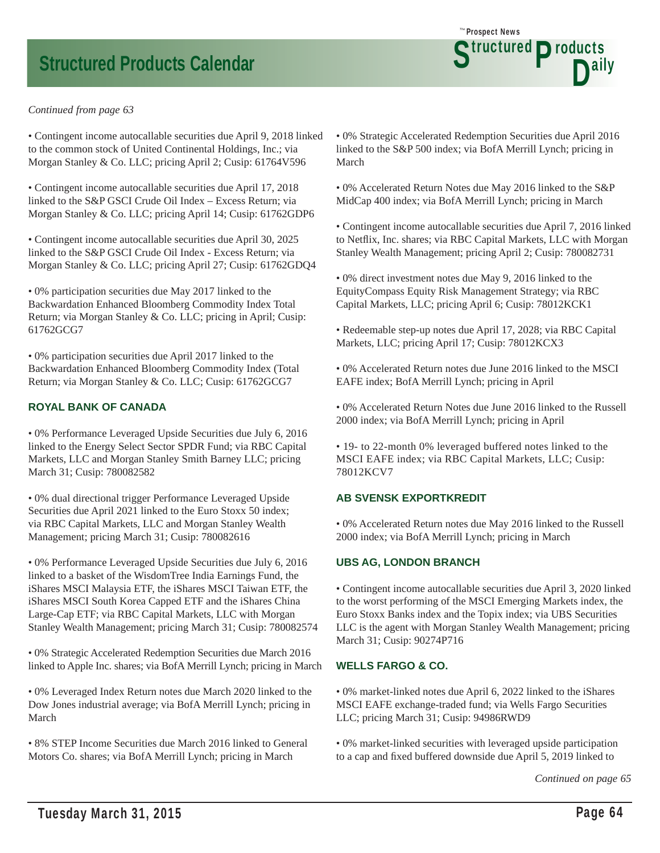#### *Continued from page 63*

• Contingent income autocallable securities due April 9, 2018 linked to the common stock of United Continental Holdings, Inc.; via Morgan Stanley & Co. LLC; pricing April 2; Cusip: 61764V596

• Contingent income autocallable securities due April 17, 2018 linked to the S&P GSCI Crude Oil Index – Excess Return; via Morgan Stanley & Co. LLC; pricing April 14; Cusip: 61762GDP6

• Contingent income autocallable securities due April 30, 2025 linked to the S&P GSCI Crude Oil Index - Excess Return; via Morgan Stanley & Co. LLC; pricing April 27; Cusip: 61762GDQ4

• 0% participation securities due May 2017 linked to the Backwardation Enhanced Bloomberg Commodity Index Total Return; via Morgan Stanley & Co. LLC; pricing in April; Cusip: 61762GCG7

• 0% participation securities due April 2017 linked to the Backwardation Enhanced Bloomberg Commodity Index (Total Return; via Morgan Stanley & Co. LLC; Cusip: 61762GCG7

#### **ROYAL BANK OF CANADA**

• 0% Performance Leveraged Upside Securities due July 6, 2016 linked to the Energy Select Sector SPDR Fund; via RBC Capital Markets, LLC and Morgan Stanley Smith Barney LLC; pricing March 31; Cusip: 780082582

• 0% dual directional trigger Performance Leveraged Upside Securities due April 2021 linked to the Euro Stoxx 50 index; via RBC Capital Markets, LLC and Morgan Stanley Wealth Management; pricing March 31; Cusip: 780082616

• 0% Performance Leveraged Upside Securities due July 6, 2016 linked to a basket of the WisdomTree India Earnings Fund, the iShares MSCI Malaysia ETF, the iShares MSCI Taiwan ETF, the iShares MSCI South Korea Capped ETF and the iShares China Large-Cap ETF; via RBC Capital Markets, LLC with Morgan Stanley Wealth Management; pricing March 31; Cusip: 780082574

• 0% Strategic Accelerated Redemption Securities due March 2016 linked to Apple Inc. shares; via BofA Merrill Lynch; pricing in March

• 0% Leveraged Index Return notes due March 2020 linked to the Dow Jones industrial average; via BofA Merrill Lynch; pricing in March

• 8% STEP Income Securities due March 2016 linked to General Motors Co. shares; via BofA Merrill Lynch; pricing in March

• 0% Strategic Accelerated Redemption Securities due April 2016 linked to the S&P 500 index; via BofA Merrill Lynch; pricing in March

Prospect News *The*

Structured Products<br>D<sup>aily</sup>

• 0% Accelerated Return Notes due May 2016 linked to the S&P MidCap 400 index; via BofA Merrill Lynch; pricing in March

• Contingent income autocallable securities due April 7, 2016 linked to Netflix, Inc. shares; via RBC Capital Markets, LLC with Morgan Stanley Wealth Management; pricing April 2; Cusip: 780082731

• 0% direct investment notes due May 9, 2016 linked to the EquityCompass Equity Risk Management Strategy; via RBC Capital Markets, LLC; pricing April 6; Cusip: 78012KCK1

• Redeemable step-up notes due April 17, 2028; via RBC Capital Markets, LLC; pricing April 17; Cusip: 78012KCX3

• 0% Accelerated Return notes due June 2016 linked to the MSCI EAFE index; BofA Merrill Lynch; pricing in April

• 0% Accelerated Return Notes due June 2016 linked to the Russell 2000 index; via BofA Merrill Lynch; pricing in April

• 19- to 22-month 0% leveraged buffered notes linked to the MSCI EAFE index; via RBC Capital Markets, LLC; Cusip: 78012KCV7

#### **AB SVENSK EXPORTKREDIT**

• 0% Accelerated Return notes due May 2016 linked to the Russell 2000 index; via BofA Merrill Lynch; pricing in March

#### **UBS AG, LONDON BRANCH**

• Contingent income autocallable securities due April 3, 2020 linked to the worst performing of the MSCI Emerging Markets index, the Euro Stoxx Banks index and the Topix index; via UBS Securities LLC is the agent with Morgan Stanley Wealth Management; pricing March 31; Cusip: 90274P716

#### **WELLS FARGO & CO.**

• 0% market-linked notes due April 6, 2022 linked to the iShares MSCI EAFE exchange-traded fund; via Wells Fargo Securities LLC; pricing March 31; Cusip: 94986RWD9

• 0% market-linked securities with leveraged upside participation to a cap and fixed buffered downside due April 5, 2019 linked to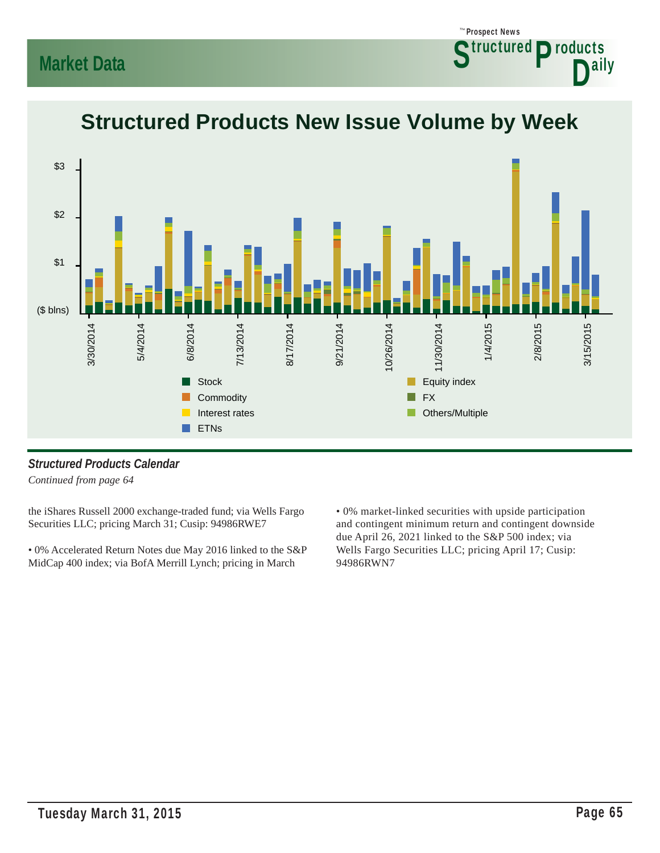### **Market Data**





### **Structured Products New Issue Volume by Week**

### *Structured Products Calendar*

*Continued from page 64*

the iShares Russell 2000 exchange-traded fund; via Wells Fargo Securities LLC; pricing March 31; Cusip: 94986RWE7

• 0% Accelerated Return Notes due May 2016 linked to the S&P MidCap 400 index; via BofA Merrill Lynch; pricing in March

• 0% market-linked securities with upside participation and contingent minimum return and contingent downside due April 26, 2021 linked to the S&P 500 index; via Wells Fargo Securities LLC; pricing April 17; Cusip: 94986RWN7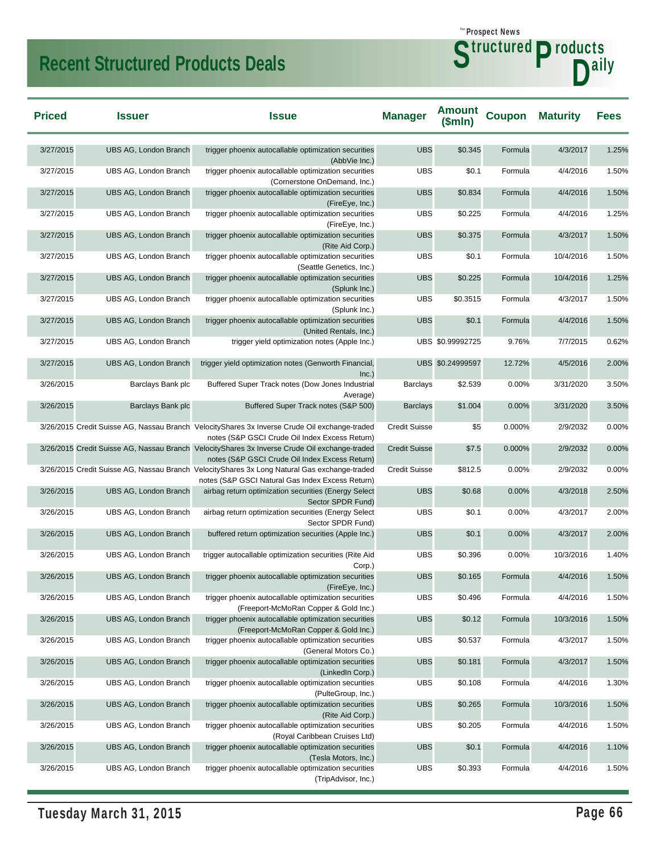### **Recent Structured Products Deals**

۰

| <b>Priced</b> | <b>Issuer</b>                | <b>Issue</b>                                                                                                                                      | <b>Manager</b>       | <b>Amount</b><br>\$mIn) | <b>Coupon</b> | <b>Maturity</b> | <b>Fees</b> |
|---------------|------------------------------|---------------------------------------------------------------------------------------------------------------------------------------------------|----------------------|-------------------------|---------------|-----------------|-------------|
| 3/27/2015     | UBS AG, London Branch        | trigger phoenix autocallable optimization securities<br>(AbbVie Inc.)                                                                             | <b>UBS</b>           | \$0.345                 | Formula       | 4/3/2017        | 1.25%       |
| 3/27/2015     | UBS AG, London Branch        | trigger phoenix autocallable optimization securities<br>(Cornerstone OnDemand, Inc.)                                                              | <b>UBS</b>           | \$0.1                   | Formula       | 4/4/2016        | 1.50%       |
| 3/27/2015     | UBS AG, London Branch        | trigger phoenix autocallable optimization securities<br>(FireEye, Inc.)                                                                           | <b>UBS</b>           | \$0.834                 | Formula       | 4/4/2016        | 1.50%       |
| 3/27/2015     | UBS AG, London Branch        | trigger phoenix autocallable optimization securities<br>(FireEye, Inc.)                                                                           | <b>UBS</b>           | \$0.225                 | Formula       | 4/4/2016        | 1.25%       |
| 3/27/2015     | UBS AG, London Branch        | trigger phoenix autocallable optimization securities<br>(Rite Aid Corp.)                                                                          | <b>UBS</b>           | \$0.375                 | Formula       | 4/3/2017        | 1.50%       |
| 3/27/2015     | UBS AG, London Branch        | trigger phoenix autocallable optimization securities<br>(Seattle Genetics, Inc.)                                                                  | <b>UBS</b>           | \$0.1                   | Formula       | 10/4/2016       | 1.50%       |
| 3/27/2015     | UBS AG, London Branch        | trigger phoenix autocallable optimization securities<br>(Splunk Inc.)                                                                             | <b>UBS</b>           | \$0.225                 | Formula       | 10/4/2016       | 1.25%       |
| 3/27/2015     | UBS AG, London Branch        | trigger phoenix autocallable optimization securities<br>(Splunk Inc.)                                                                             | <b>UBS</b>           | \$0.3515                | Formula       | 4/3/2017        | 1.50%       |
| 3/27/2015     | UBS AG, London Branch        | trigger phoenix autocallable optimization securities<br>(United Rentals, Inc.)                                                                    | <b>UBS</b>           | \$0.1                   | Formula       | 4/4/2016        | 1.50%       |
| 3/27/2015     | UBS AG, London Branch        | trigger yield optimization notes (Apple Inc.)                                                                                                     |                      | UBS \$0.99992725        | 9.76%         | 7/7/2015        | 0.62%       |
| 3/27/2015     | <b>UBS AG, London Branch</b> | trigger yield optimization notes (Genworth Financial,<br>Inc.)                                                                                    |                      | UBS \$0.24999597        | 12.72%        | 4/5/2016        | 2.00%       |
| 3/26/2015     | Barclays Bank plc            | Buffered Super Track notes (Dow Jones Industrial<br>Average)                                                                                      | <b>Barclays</b>      | \$2.539                 | 0.00%         | 3/31/2020       | 3.50%       |
| 3/26/2015     | Barclays Bank plc            | Buffered Super Track notes (S&P 500)                                                                                                              | <b>Barclays</b>      | \$1.004                 | 0.00%         | 3/31/2020       | 3.50%       |
|               |                              | 3/26/2015 Credit Suisse AG, Nassau Branch Velocity Shares 3x Inverse Crude Oil exchange-traded<br>notes (S&P GSCI Crude Oil Index Excess Return)  | <b>Credit Suisse</b> | \$5                     | 0.000%        | 2/9/2032        | 0.00%       |
|               |                              | 3/26/2015 Credit Suisse AG, Nassau Branch Velocity Shares 3x Inverse Crude Oil exchange-traded<br>notes (S&P GSCI Crude Oil Index Excess Return)  | <b>Credit Suisse</b> | \$7.5                   | 0.000%        | 2/9/2032        | 0.00%       |
|               |                              | 3/26/2015 Credit Suisse AG, Nassau Branch Velocity Shares 3x Long Natural Gas exchange-traded<br>notes (S&P GSCI Natural Gas Index Excess Return) | <b>Credit Suisse</b> | \$812.5                 | 0.00%         | 2/9/2032        | 0.00%       |
| 3/26/2015     | UBS AG, London Branch        | airbag return optimization securities (Energy Select                                                                                              | <b>UBS</b>           | \$0.68                  | 0.00%         | 4/3/2018        | 2.50%       |
| 3/26/2015     | UBS AG, London Branch        | Sector SPDR Fund)<br>airbag return optimization securities (Energy Select                                                                         | <b>UBS</b>           | \$0.1                   | 0.00%         | 4/3/2017        | 2.00%       |
| 3/26/2015     | UBS AG, London Branch        | Sector SPDR Fund)<br>buffered return optimization securities (Apple Inc.)                                                                         | <b>UBS</b>           | \$0.1                   | 0.00%         | 4/3/2017        | 2.00%       |
| 3/26/2015     | UBS AG, London Branch        | trigger autocallable optimization securities (Rite Aid                                                                                            | <b>UBS</b>           | \$0.396                 | 0.00%         | 10/3/2016       | 1.40%       |
| 3/26/2015     | UBS AG, London Branch        | Corp.)<br>trigger phoenix autocallable optimization securities                                                                                    | <b>UBS</b>           | \$0.165                 | Formula       | 4/4/2016        | 1.50%       |
| 3/26/2015     | UBS AG, London Branch        | (FireEye, Inc.)<br>trigger phoenix autocallable optimization securities<br>(Freeport-McMoRan Copper & Gold Inc.)                                  | <b>UBS</b>           | \$0.496                 | Formula       | 4/4/2016        | 1.50%       |
| 3/26/2015     | UBS AG, London Branch        | trigger phoenix autocallable optimization securities<br>(Freeport-McMoRan Copper & Gold Inc.)                                                     | <b>UBS</b>           | \$0.12                  | Formula       | 10/3/2016       | 1.50%       |
| 3/26/2015     | UBS AG, London Branch        | trigger phoenix autocallable optimization securities                                                                                              | <b>UBS</b>           | \$0.537                 | Formula       | 4/3/2017        | 1.50%       |
| 3/26/2015     | <b>UBS AG, London Branch</b> | (General Motors Co.)<br>trigger phoenix autocallable optimization securities<br>(LinkedIn Corp.)                                                  | <b>UBS</b>           | \$0.181                 | Formula       | 4/3/2017        | 1.50%       |
| 3/26/2015     | UBS AG, London Branch        | trigger phoenix autocallable optimization securities<br>(PulteGroup, Inc.)                                                                        | <b>UBS</b>           | \$0.108                 | Formula       | 4/4/2016        | 1.30%       |
| 3/26/2015     | UBS AG, London Branch        | trigger phoenix autocallable optimization securities<br>(Rite Aid Corp.)                                                                          | <b>UBS</b>           | \$0.265                 | Formula       | 10/3/2016       | 1.50%       |
| 3/26/2015     | UBS AG, London Branch        | trigger phoenix autocallable optimization securities<br>(Royal Caribbean Cruises Ltd)                                                             | <b>UBS</b>           | \$0.205                 | Formula       | 4/4/2016        | 1.50%       |
| 3/26/2015     | UBS AG, London Branch        | trigger phoenix autocallable optimization securities<br>(Tesla Motors, Inc.)                                                                      | <b>UBS</b>           | \$0.1                   | Formula       | 4/4/2016        | 1.10%       |

(TripAdvisor, Inc.)

3/26/2015 UBS AG, London Branch trigger phoenix autocallable optimization securities

UBS \$0.393 Formula 4/4/2016 1.50%